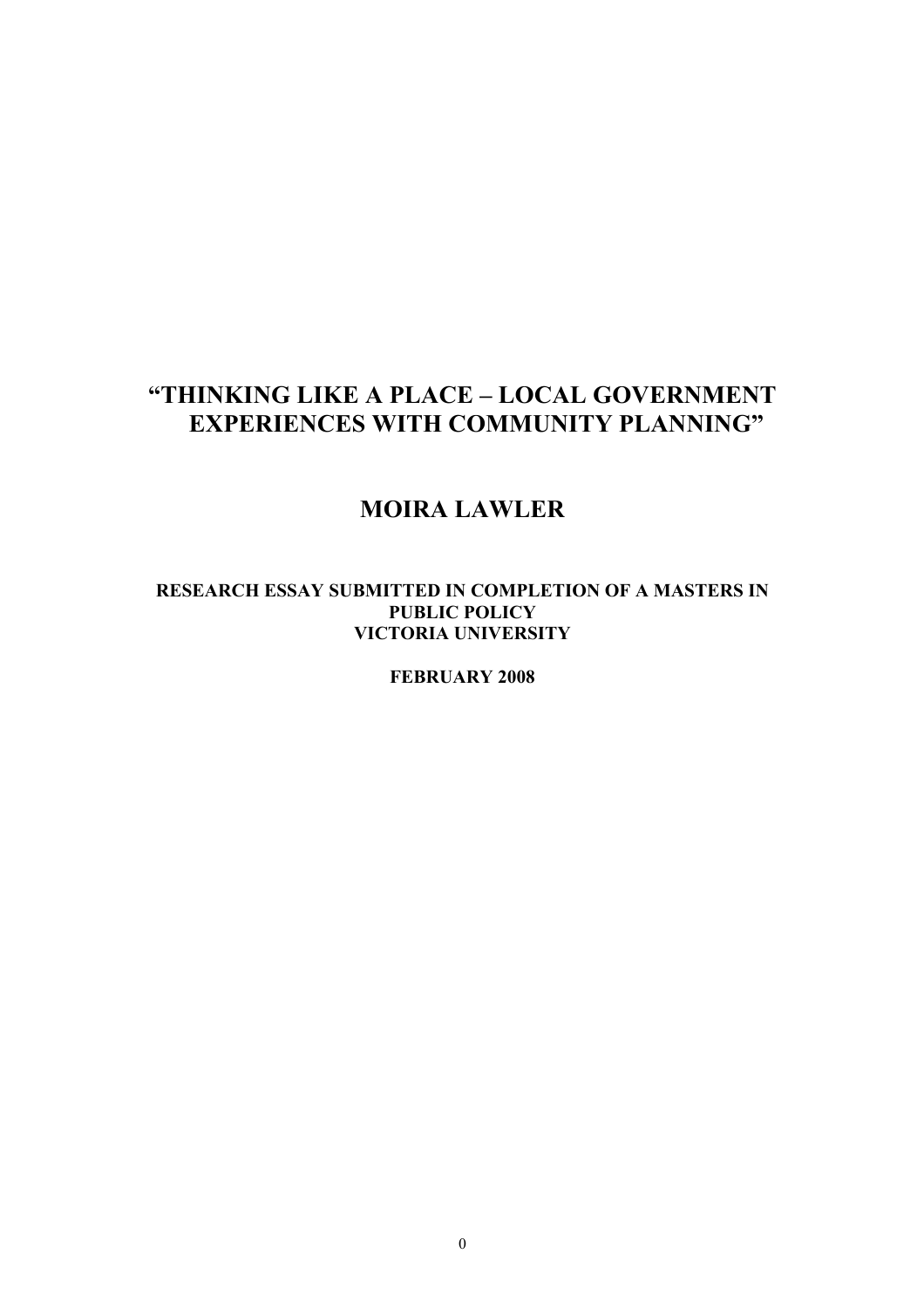# **"THINKING LIKE A PLACE – LOCAL GOVERNMENT EXPERIENCES WITH COMMUNITY PLANNING"**

# **MOIRA LAWLER**

#### **RESEARCH ESSAY SUBMITTED IN COMPLETION OF A MASTERS IN PUBLIC POLICY VICTORIA UNIVERSITY**

**FEBRUARY 2008**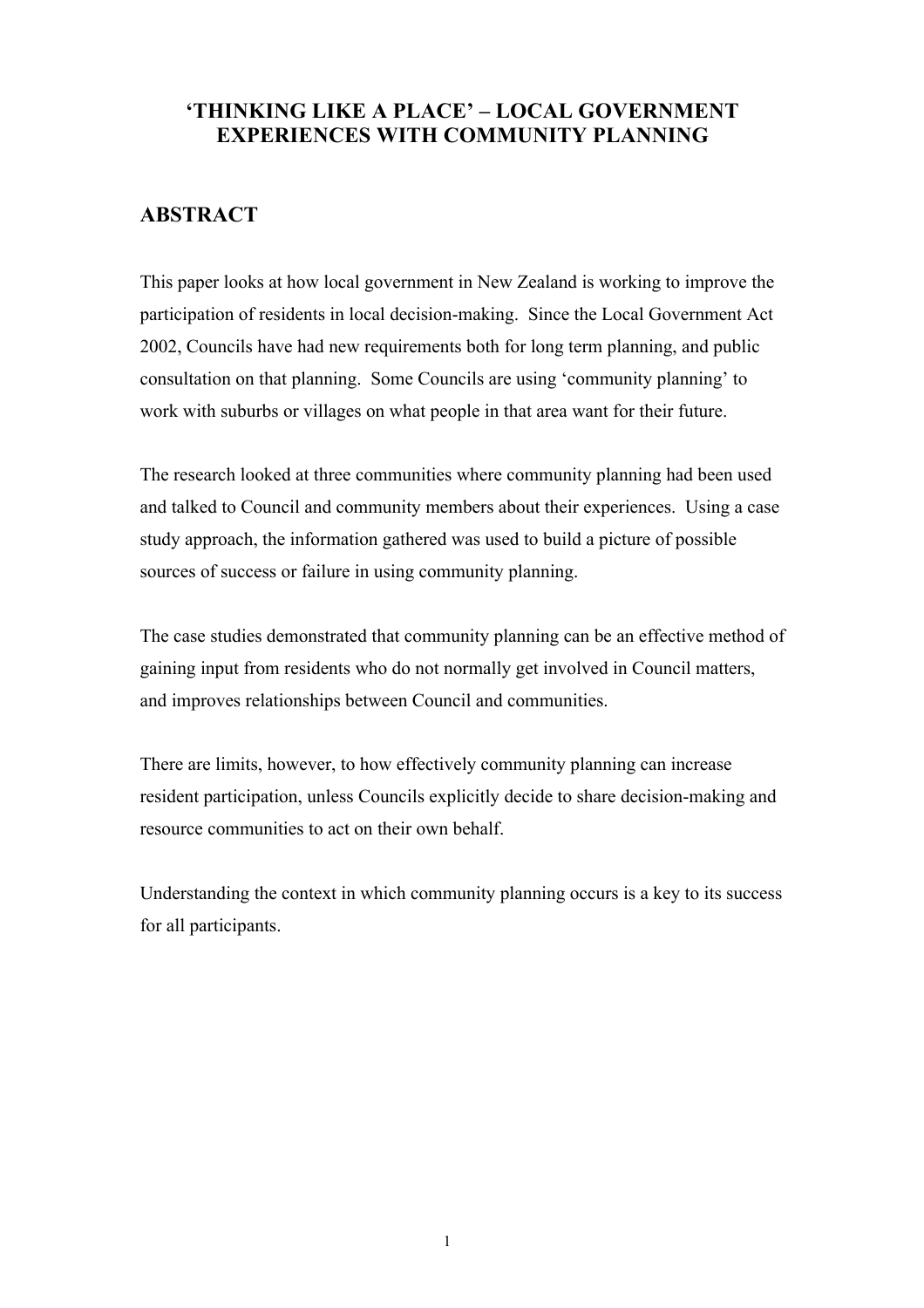## **'THINKING LIKE A PLACE' – LOCAL GOVERNMENT EXPERIENCES WITH COMMUNITY PLANNING**

## **ABSTRACT**

This paper looks at how local government in New Zealand is working to improve the participation of residents in local decision-making. Since the Local Government Act 2002, Councils have had new requirements both for long term planning, and public consultation on that planning. Some Councils are using 'community planning' to work with suburbs or villages on what people in that area want for their future.

The research looked at three communities where community planning had been used and talked to Council and community members about their experiences. Using a case study approach, the information gathered was used to build a picture of possible sources of success or failure in using community planning.

The case studies demonstrated that community planning can be an effective method of gaining input from residents who do not normally get involved in Council matters, and improves relationships between Council and communities.

There are limits, however, to how effectively community planning can increase resident participation, unless Councils explicitly decide to share decision-making and resource communities to act on their own behalf.

Understanding the context in which community planning occurs is a key to its success for all participants.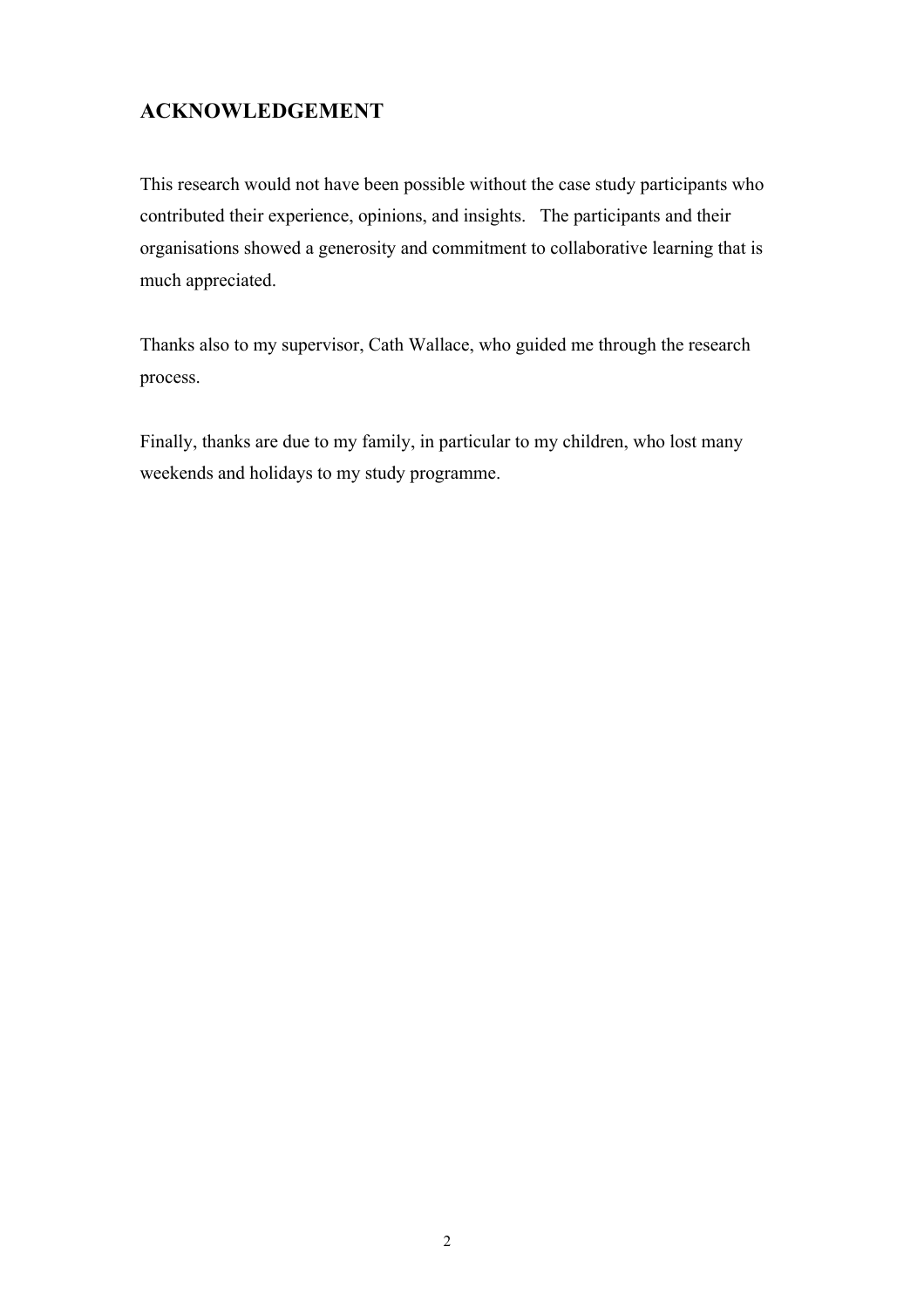# **ACKNOWLEDGEMENT**

This research would not have been possible without the case study participants who contributed their experience, opinions, and insights. The participants and their organisations showed a generosity and commitment to collaborative learning that is much appreciated.

Thanks also to my supervisor, Cath Wallace, who guided me through the research process.

Finally, thanks are due to my family, in particular to my children, who lost many weekends and holidays to my study programme.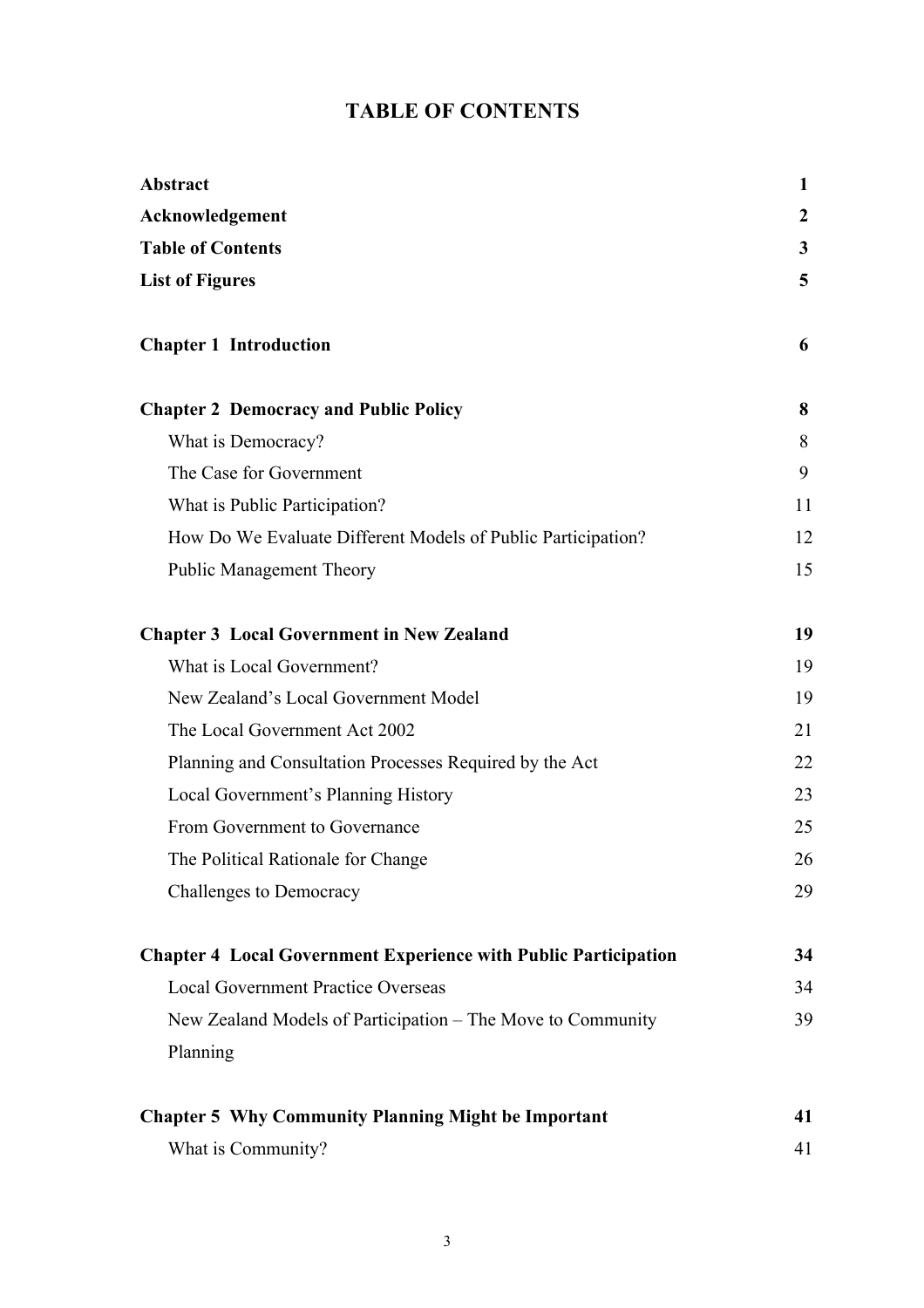# **TABLE OF CONTENTS**

| Abstract                                                               | 1               |
|------------------------------------------------------------------------|-----------------|
| Acknowledgement                                                        | $\mathbf{2}$    |
| <b>Table of Contents</b>                                               | $\mathbf{3}$    |
| <b>List of Figures</b>                                                 | $5\overline{)}$ |
| <b>Chapter 1 Introduction</b>                                          | 6               |
| <b>Chapter 2 Democracy and Public Policy</b>                           | 8               |
| What is Democracy?                                                     | 8               |
| The Case for Government                                                | 9               |
| What is Public Participation?                                          | 11              |
| How Do We Evaluate Different Models of Public Participation?           | 12              |
| <b>Public Management Theory</b>                                        | 15              |
| <b>Chapter 3 Local Government in New Zealand</b>                       | 19              |
| What is Local Government?                                              | 19              |
| New Zealand's Local Government Model                                   | 19              |
| The Local Government Act 2002                                          | 21              |
| Planning and Consultation Processes Required by the Act                | 22              |
| Local Government's Planning History                                    | 23              |
| From Government to Governance                                          | 25              |
| The Political Rationale for Change                                     | 26              |
| <b>Challenges to Democracy</b>                                         | 29              |
| <b>Chapter 4 Local Government Experience with Public Participation</b> | 34              |
| <b>Local Government Practice Overseas</b>                              | 34              |
| New Zealand Models of Participation – The Move to Community            | 39              |
| Planning                                                               |                 |
| <b>Chapter 5 Why Community Planning Might be Important</b>             | 41              |
| What is Community?                                                     | 41              |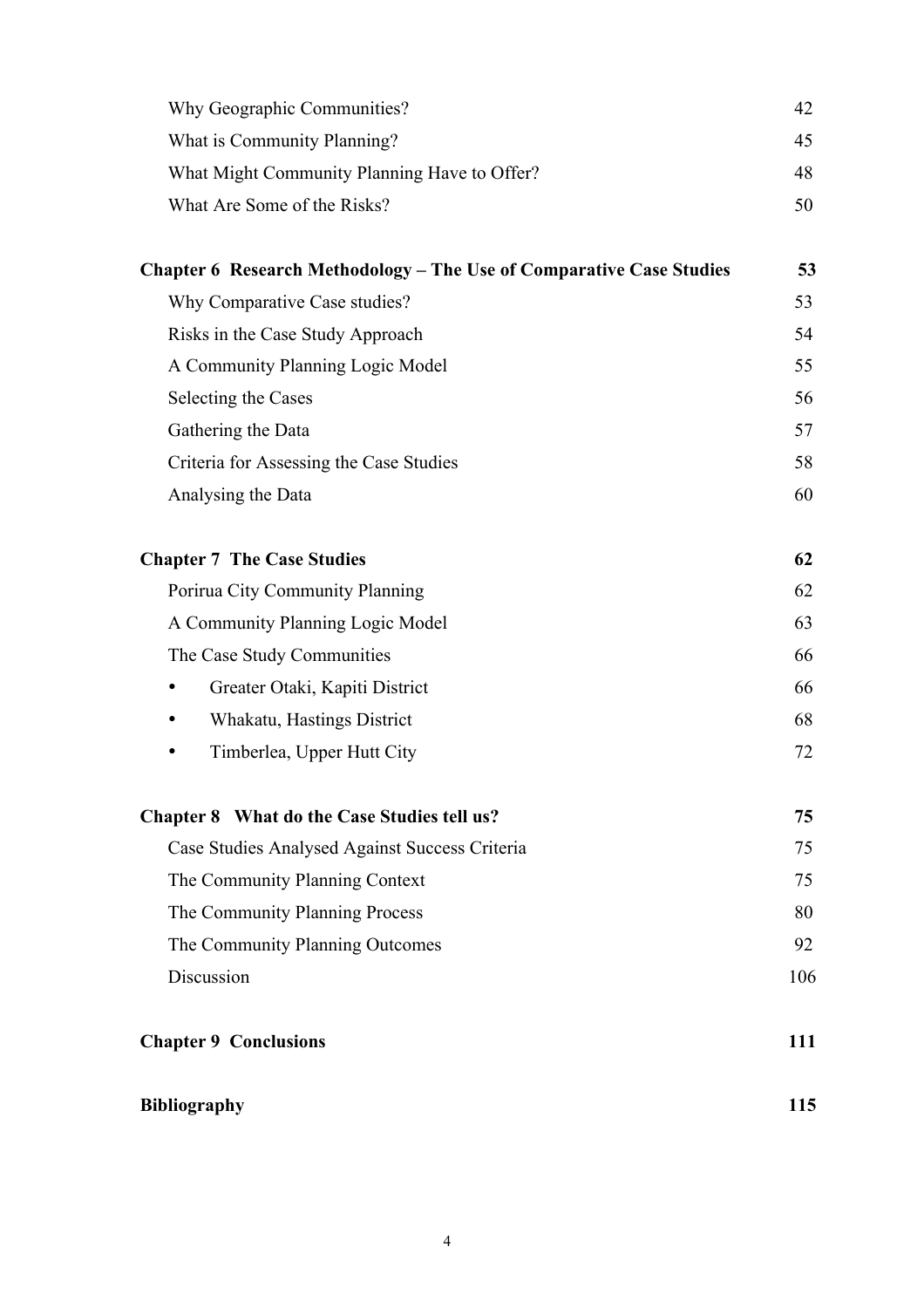| Why Geographic Communities?                                                 | 42  |
|-----------------------------------------------------------------------------|-----|
| What is Community Planning?                                                 | 45  |
| What Might Community Planning Have to Offer?                                | 48  |
| What Are Some of the Risks?                                                 | 50  |
| <b>Chapter 6 Research Methodology – The Use of Comparative Case Studies</b> | 53  |
| Why Comparative Case studies?                                               | 53  |
| Risks in the Case Study Approach                                            | 54  |
| A Community Planning Logic Model                                            | 55  |
| Selecting the Cases                                                         | 56  |
| Gathering the Data                                                          | 57  |
| Criteria for Assessing the Case Studies                                     | 58  |
| Analysing the Data                                                          | 60  |
| <b>Chapter 7 The Case Studies</b>                                           | 62  |
| Porirua City Community Planning                                             | 62  |
| A Community Planning Logic Model                                            | 63  |
| The Case Study Communities                                                  | 66  |
| Greater Otaki, Kapiti District<br>$\bullet$                                 | 66  |
| Whakatu, Hastings District<br>٠                                             | 68  |
| Timberlea, Upper Hutt City                                                  | 72  |
| Chapter 8 What do the Case Studies tell us?                                 | 75  |
| Case Studies Analysed Against Success Criteria                              | 75  |
| The Community Planning Context                                              | 75  |
| The Community Planning Process                                              | 80  |
| The Community Planning Outcomes                                             | 92  |
| Discussion                                                                  | 106 |
| <b>Chapter 9 Conclusions</b>                                                | 111 |
| <b>Bibliography</b>                                                         | 115 |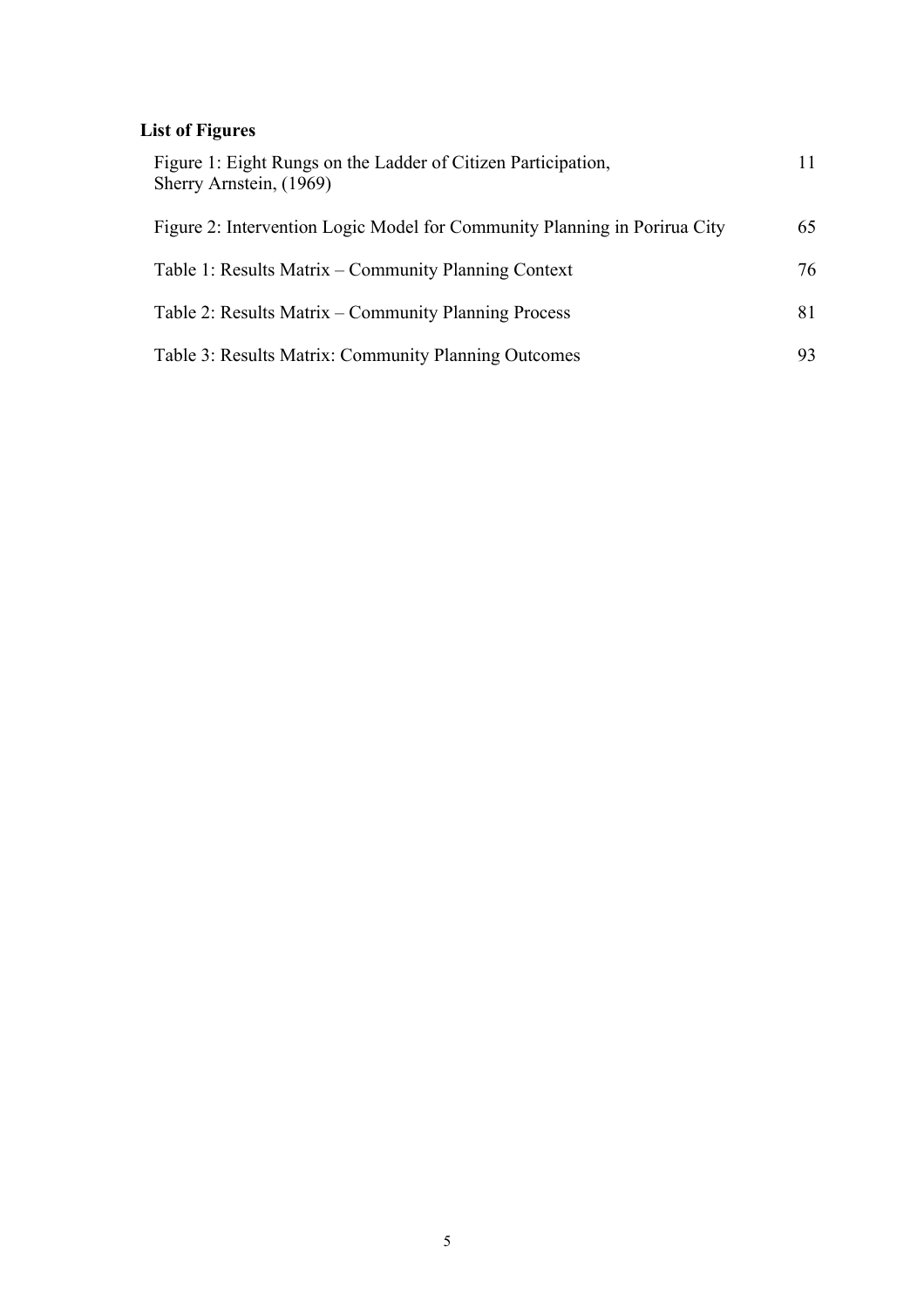# **List of Figures**

| Figure 1: Eight Rungs on the Ladder of Citizen Participation,<br>Sherry Arnstein, (1969) |     |
|------------------------------------------------------------------------------------------|-----|
| Figure 2: Intervention Logic Model for Community Planning in Porirua City                | 65  |
| Table 1: Results Matrix – Community Planning Context                                     | 76  |
| Table 2: Results Matrix – Community Planning Process                                     | 81  |
| Table 3: Results Matrix: Community Planning Outcomes                                     | 93. |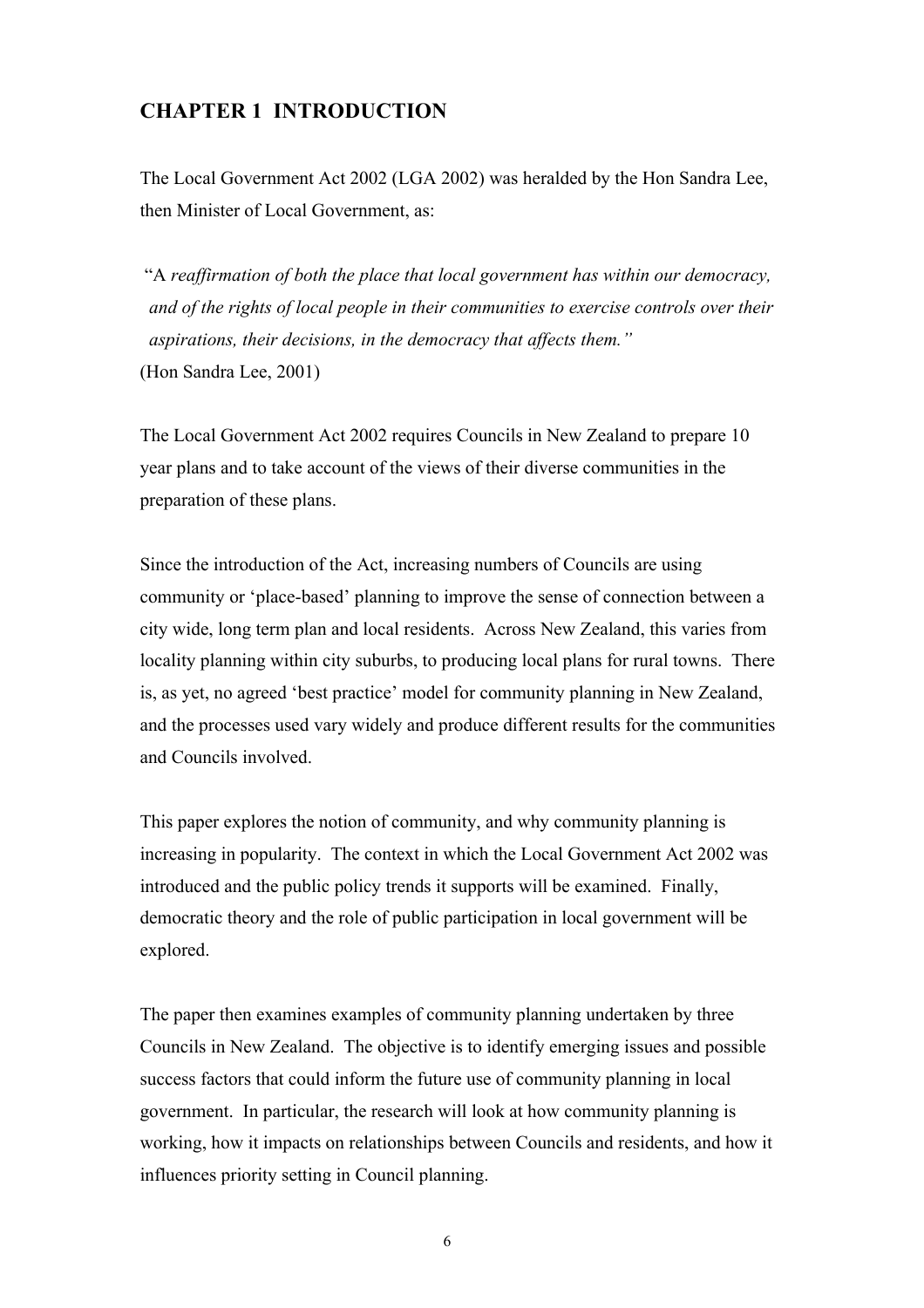#### **CHAPTER 1 INTRODUCTION**

The Local Government Act 2002 (LGA 2002) was heralded by the Hon Sandra Lee, then Minister of Local Government, as:

 "A *reaffirmation of both the place that local government has within our democracy, and of the rights of local people in their communities to exercise controls over their aspirations, their decisions, in the democracy that affects them."* (Hon Sandra Lee, 2001)

The Local Government Act 2002 requires Councils in New Zealand to prepare 10 year plans and to take account of the views of their diverse communities in the preparation of these plans.

Since the introduction of the Act, increasing numbers of Councils are using community or 'place-based' planning to improve the sense of connection between a city wide, long term plan and local residents. Across New Zealand, this varies from locality planning within city suburbs, to producing local plans for rural towns. There is, as yet, no agreed 'best practice' model for community planning in New Zealand, and the processes used vary widely and produce different results for the communities and Councils involved.

This paper explores the notion of community, and why community planning is increasing in popularity. The context in which the Local Government Act 2002 was introduced and the public policy trends it supports will be examined. Finally, democratic theory and the role of public participation in local government will be explored.

The paper then examines examples of community planning undertaken by three Councils in New Zealand. The objective is to identify emerging issues and possible success factors that could inform the future use of community planning in local government. In particular, the research will look at how community planning is working, how it impacts on relationships between Councils and residents, and how it influences priority setting in Council planning.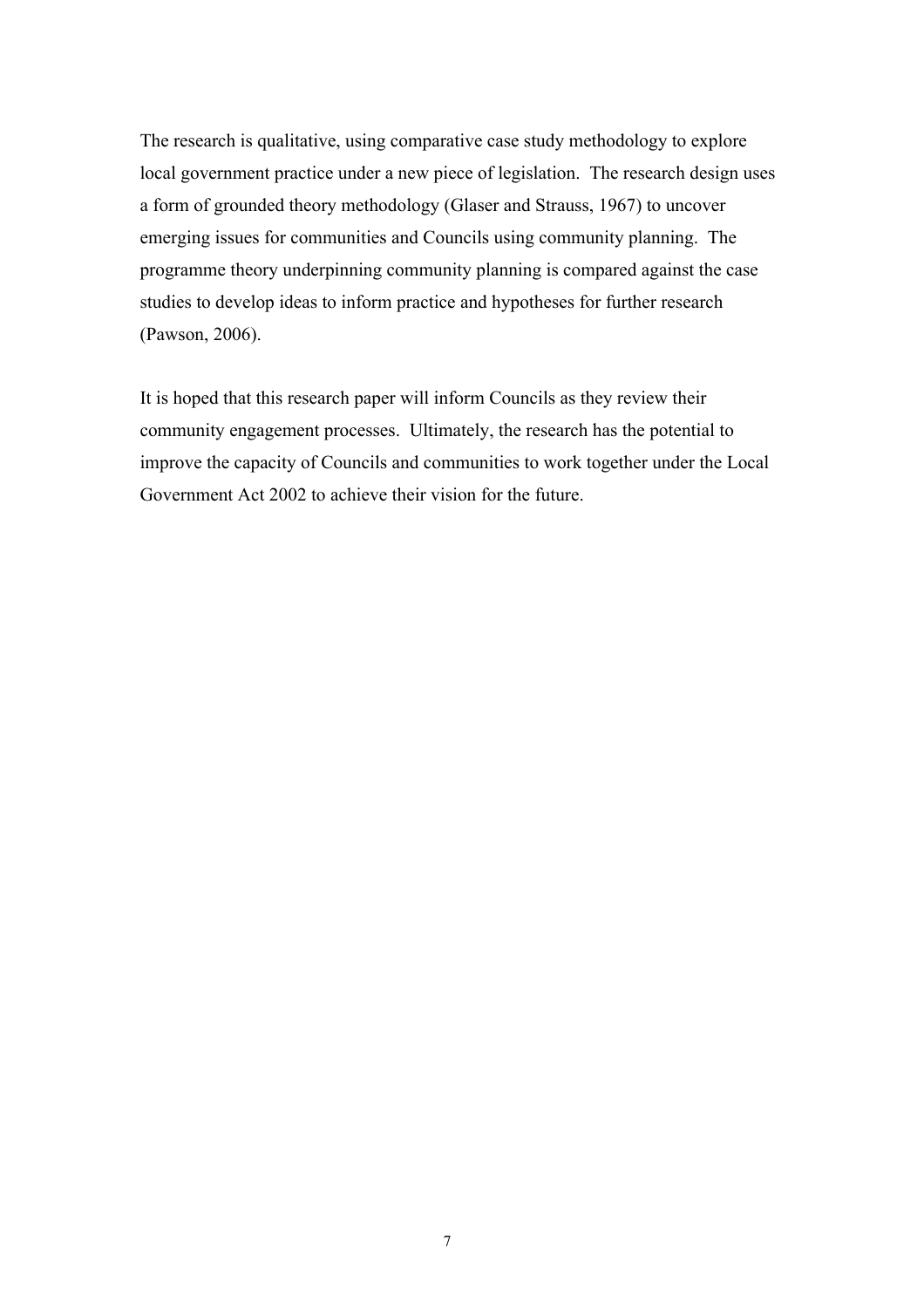The research is qualitative, using comparative case study methodology to explore local government practice under a new piece of legislation. The research design uses a form of grounded theory methodology (Glaser and Strauss, 1967) to uncover emerging issues for communities and Councils using community planning. The programme theory underpinning community planning is compared against the case studies to develop ideas to inform practice and hypotheses for further research (Pawson, 2006).

It is hoped that this research paper will inform Councils as they review their community engagement processes. Ultimately, the research has the potential to improve the capacity of Councils and communities to work together under the Local Government Act 2002 to achieve their vision for the future.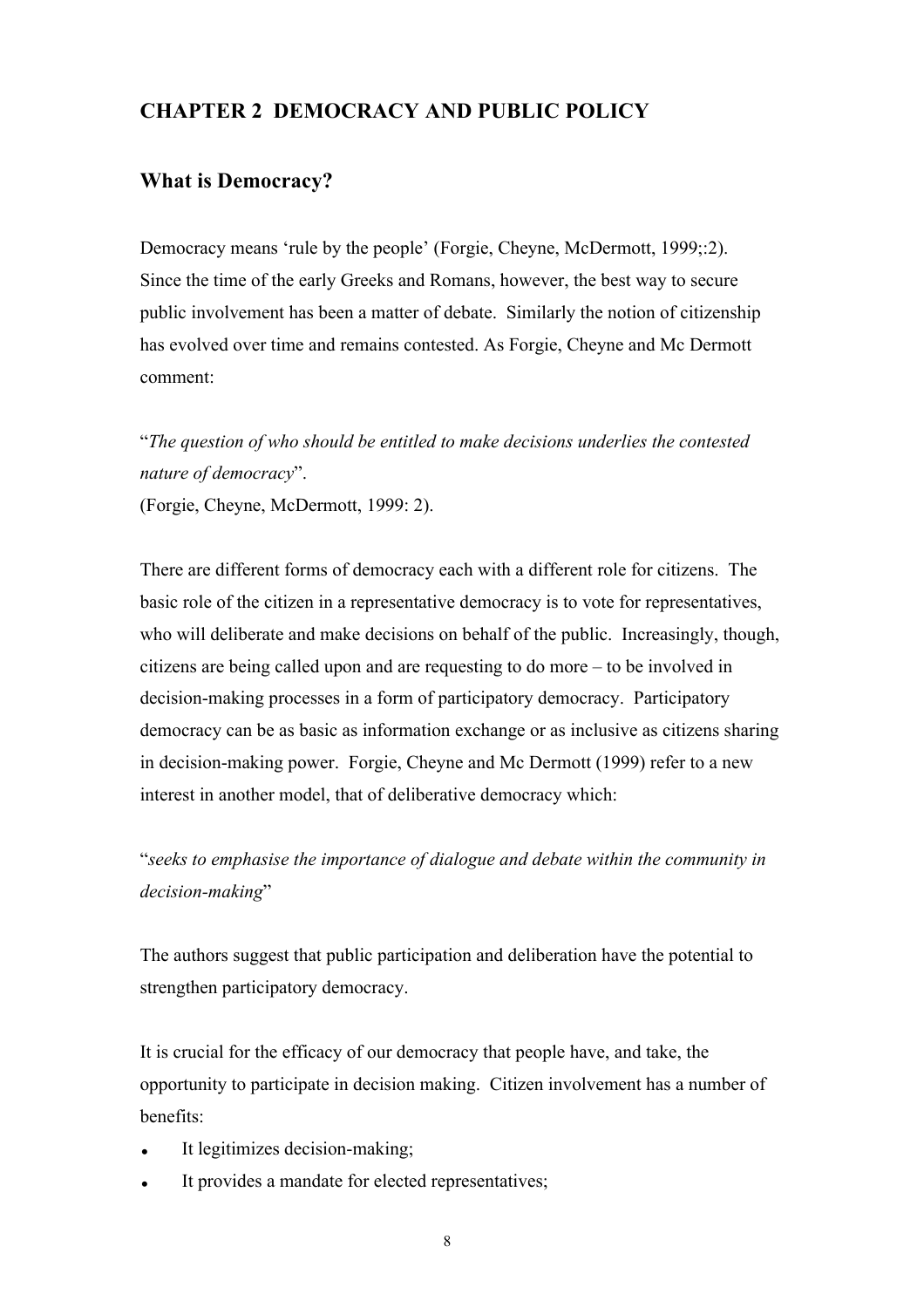## **CHAPTER 2 DEMOCRACY AND PUBLIC POLICY**

## **What is Democracy?**

Democracy means 'rule by the people' (Forgie, Cheyne, McDermott, 1999;:2). Since the time of the early Greeks and Romans, however, the best way to secure public involvement has been a matter of debate. Similarly the notion of citizenship has evolved over time and remains contested. As Forgie, Cheyne and Mc Dermott comment:

"*The question of who should be entitled to make decisions underlies the contested nature of democracy*".

(Forgie, Cheyne, McDermott, 1999: 2).

There are different forms of democracy each with a different role for citizens. The basic role of the citizen in a representative democracy is to vote for representatives, who will deliberate and make decisions on behalf of the public. Increasingly, though, citizens are being called upon and are requesting to do more – to be involved in decision-making processes in a form of participatory democracy. Participatory democracy can be as basic as information exchange or as inclusive as citizens sharing in decision-making power. Forgie, Cheyne and Mc Dermott (1999) refer to a new interest in another model, that of deliberative democracy which:

"*seeks to emphasise the importance of dialogue and debate within the community in decision-making*"

The authors suggest that public participation and deliberation have the potential to strengthen participatory democracy.

It is crucial for the efficacy of our democracy that people have, and take, the opportunity to participate in decision making. Citizen involvement has a number of benefits:

- It legitimizes decision-making;
- It provides a mandate for elected representatives;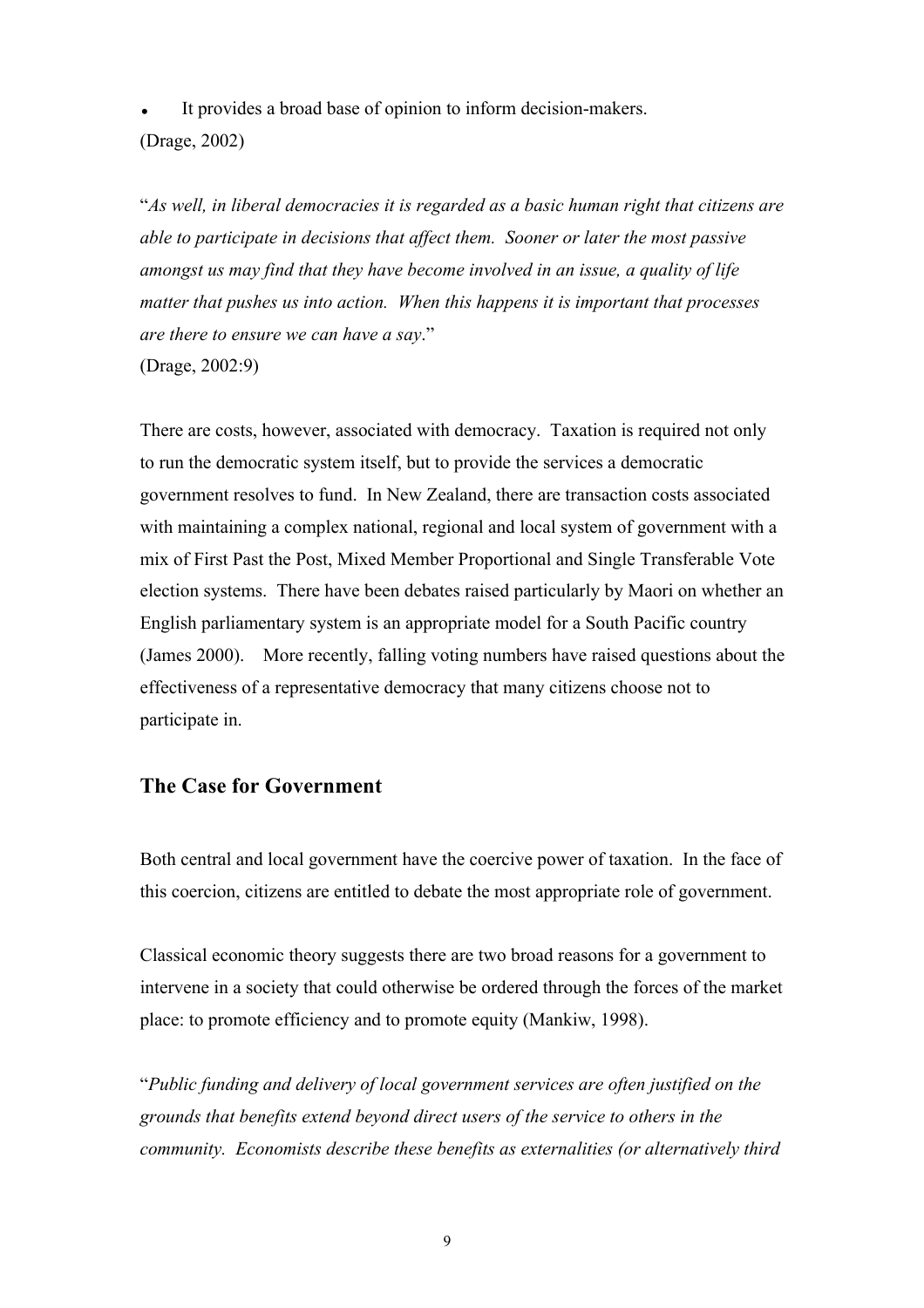It provides a broad base of opinion to inform decision-makers. (Drage, 2002)

"*As well, in liberal democracies it is regarded as a basic human right that citizens are able to participate in decisions that affect them. Sooner or later the most passive amongst us may find that they have become involved in an issue, a quality of life matter that pushes us into action. When this happens it is important that processes are there to ensure we can have a say*." (Drage, 2002:9)

There are costs, however, associated with democracy. Taxation is required not only to run the democratic system itself, but to provide the services a democratic government resolves to fund. In New Zealand, there are transaction costs associated with maintaining a complex national, regional and local system of government with a mix of First Past the Post, Mixed Member Proportional and Single Transferable Vote election systems. There have been debates raised particularly by Maori on whether an English parliamentary system is an appropriate model for a South Pacific country (James 2000). More recently, falling voting numbers have raised questions about the effectiveness of a representative democracy that many citizens choose not to participate in.

## **The Case for Government**

Both central and local government have the coercive power of taxation. In the face of this coercion, citizens are entitled to debate the most appropriate role of government.

Classical economic theory suggests there are two broad reasons for a government to intervene in a society that could otherwise be ordered through the forces of the market place: to promote efficiency and to promote equity (Mankiw, 1998).

"*Public funding and delivery of local government services are often justified on the grounds that benefits extend beyond direct users of the service to others in the community. Economists describe these benefits as externalities (or alternatively third*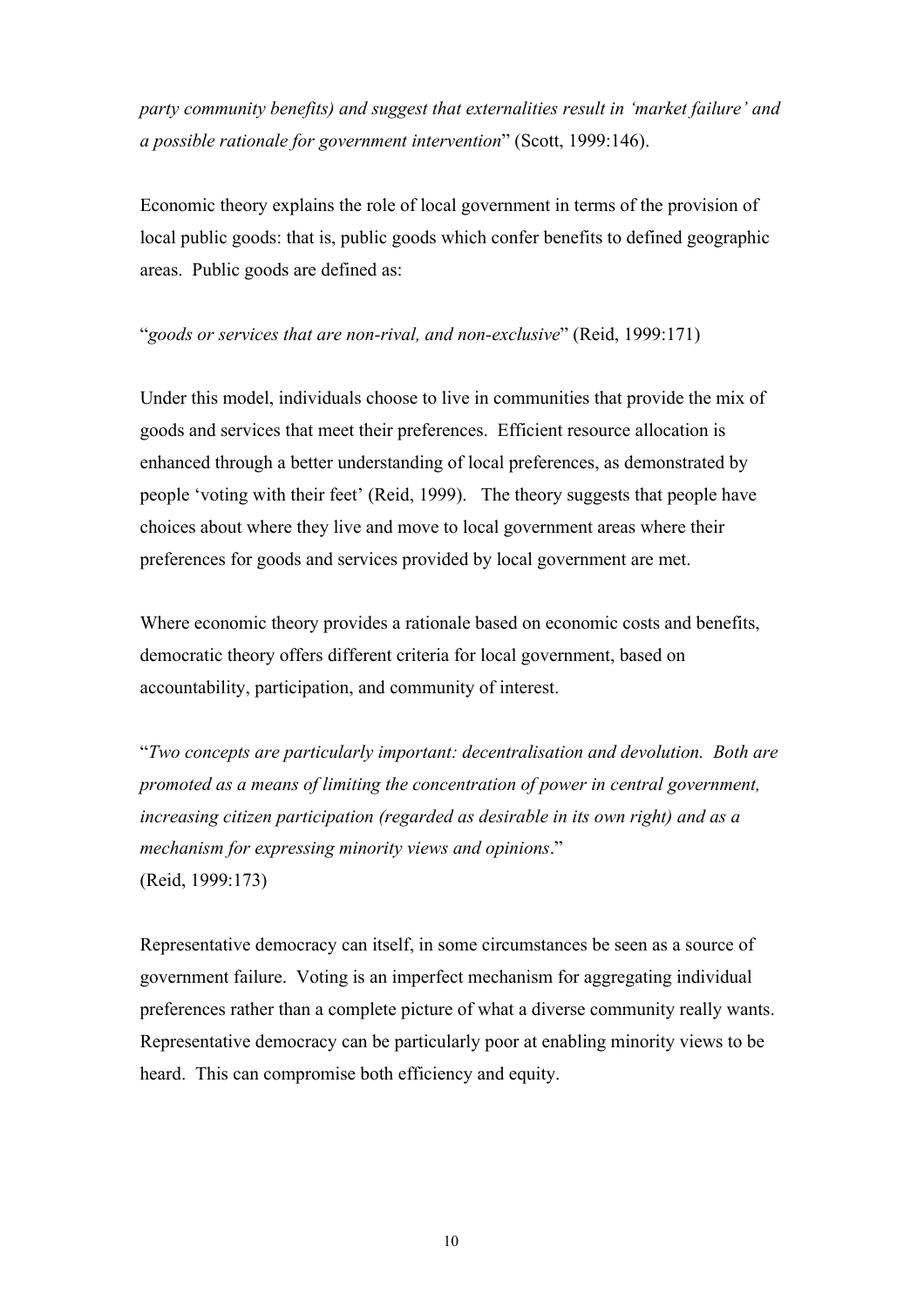*party community benefits) and suggest that externalities result in 'market failure' and a possible rationale for government intervention*" (Scott, 1999:146).

Economic theory explains the role of local government in terms of the provision of local public goods: that is, public goods which confer benefits to defined geographic areas. Public goods are defined as:

#### "*goods or services that are non-rival, and non-exclusive*" (Reid, 1999:171)

Under this model, individuals choose to live in communities that provide the mix of goods and services that meet their preferences. Efficient resource allocation is enhanced through a better understanding of local preferences, as demonstrated by people 'voting with their feet' (Reid, 1999). The theory suggests that people have choices about where they live and move to local government areas where their preferences for goods and services provided by local government are met.

Where economic theory provides a rationale based on economic costs and benefits, democratic theory offers different criteria for local government, based on accountability, participation, and community of interest.

"*Two concepts are particularly important: decentralisation and devolution. Both are promoted as a means of limiting the concentration of power in central government, increasing citizen participation (regarded as desirable in its own right) and as a mechanism for expressing minority views and opinions*." (Reid, 1999:173)

Representative democracy can itself, in some circumstances be seen as a source of government failure. Voting is an imperfect mechanism for aggregating individual preferences rather than a complete picture of what a diverse community really wants. Representative democracy can be particularly poor at enabling minority views to be heard. This can compromise both efficiency and equity.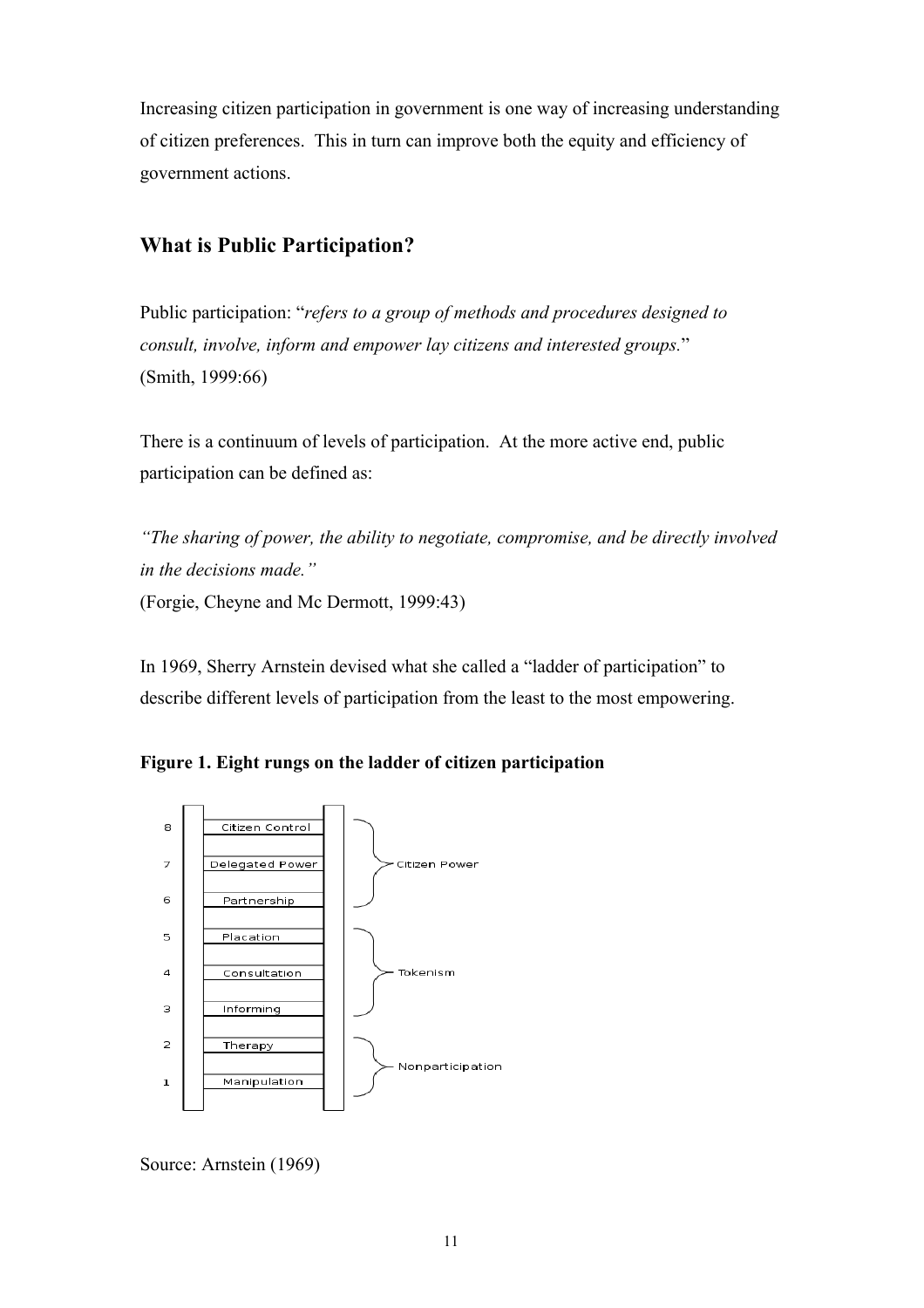Increasing citizen participation in government is one way of increasing understanding of citizen preferences. This in turn can improve both the equity and efficiency of government actions.

## **What is Public Participation?**

Public participation: "*refers to a group of methods and procedures designed to consult, involve, inform and empower lay citizens and interested groups.*" (Smith, 1999:66)

There is a continuum of levels of participation. At the more active end, public participation can be defined as:

*"The sharing of power, the ability to negotiate, compromise, and be directly involved in the decisions made."*  (Forgie, Cheyne and Mc Dermott, 1999:43)

In 1969, Sherry Arnstein devised what she called a "ladder of participation" to describe different levels of participation from the least to the most empowering.





Source: Arnstein (1969)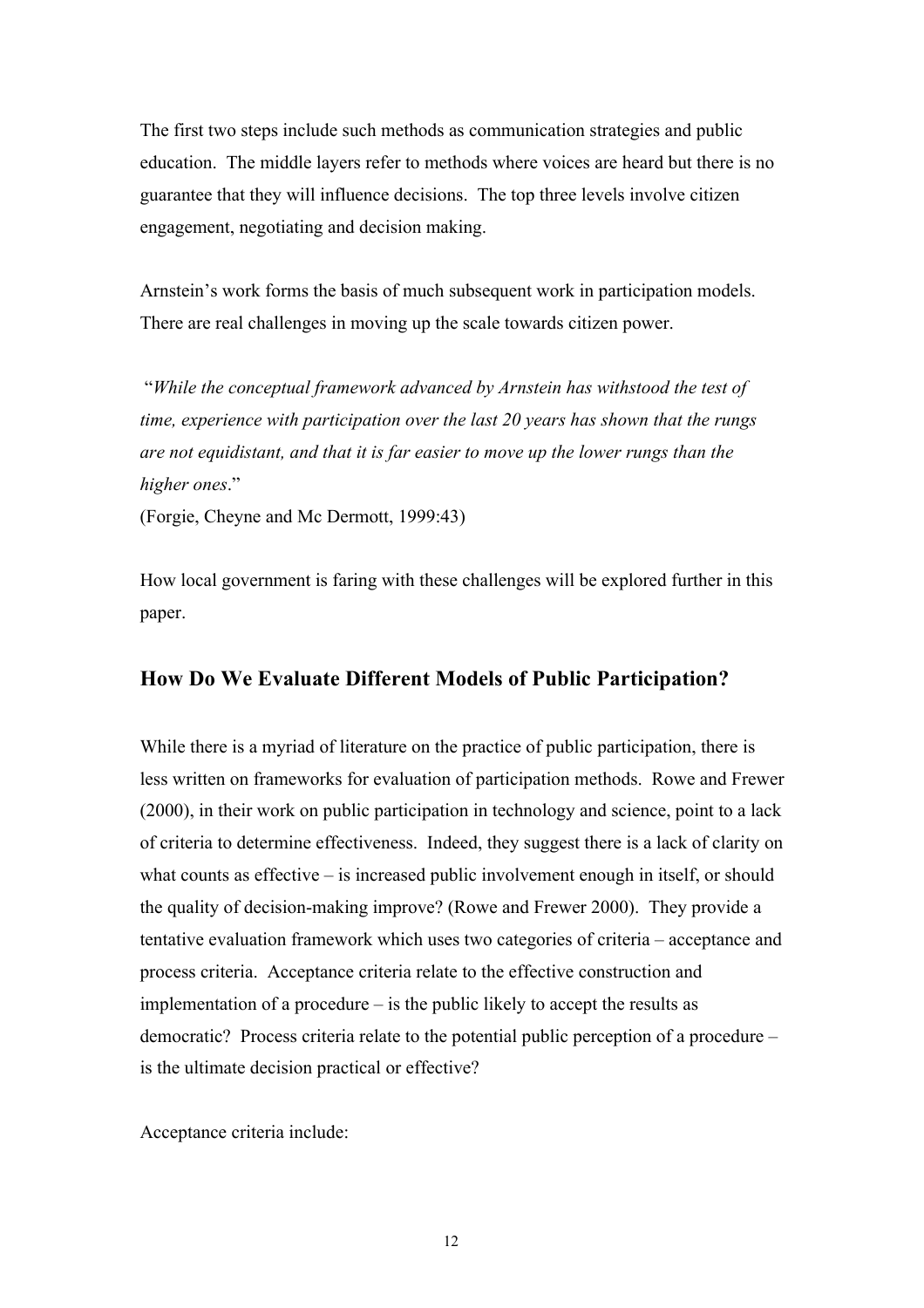The first two steps include such methods as communication strategies and public education. The middle layers refer to methods where voices are heard but there is no guarantee that they will influence decisions. The top three levels involve citizen engagement, negotiating and decision making.

Arnstein's work forms the basis of much subsequent work in participation models. There are real challenges in moving up the scale towards citizen power.

 "*While the conceptual framework advanced by Arnstein has withstood the test of time, experience with participation over the last 20 years has shown that the rungs are not equidistant, and that it is far easier to move up the lower rungs than the higher ones*."

(Forgie, Cheyne and Mc Dermott, 1999:43)

How local government is faring with these challenges will be explored further in this paper.

#### **How Do We Evaluate Different Models of Public Participation?**

While there is a myriad of literature on the practice of public participation, there is less written on frameworks for evaluation of participation methods. Rowe and Frewer (2000), in their work on public participation in technology and science, point to a lack of criteria to determine effectiveness. Indeed, they suggest there is a lack of clarity on what counts as effective – is increased public involvement enough in itself, or should the quality of decision-making improve? (Rowe and Frewer 2000). They provide a tentative evaluation framework which uses two categories of criteria – acceptance and process criteria. Acceptance criteria relate to the effective construction and implementation of a procedure – is the public likely to accept the results as democratic? Process criteria relate to the potential public perception of a procedure – is the ultimate decision practical or effective?

Acceptance criteria include: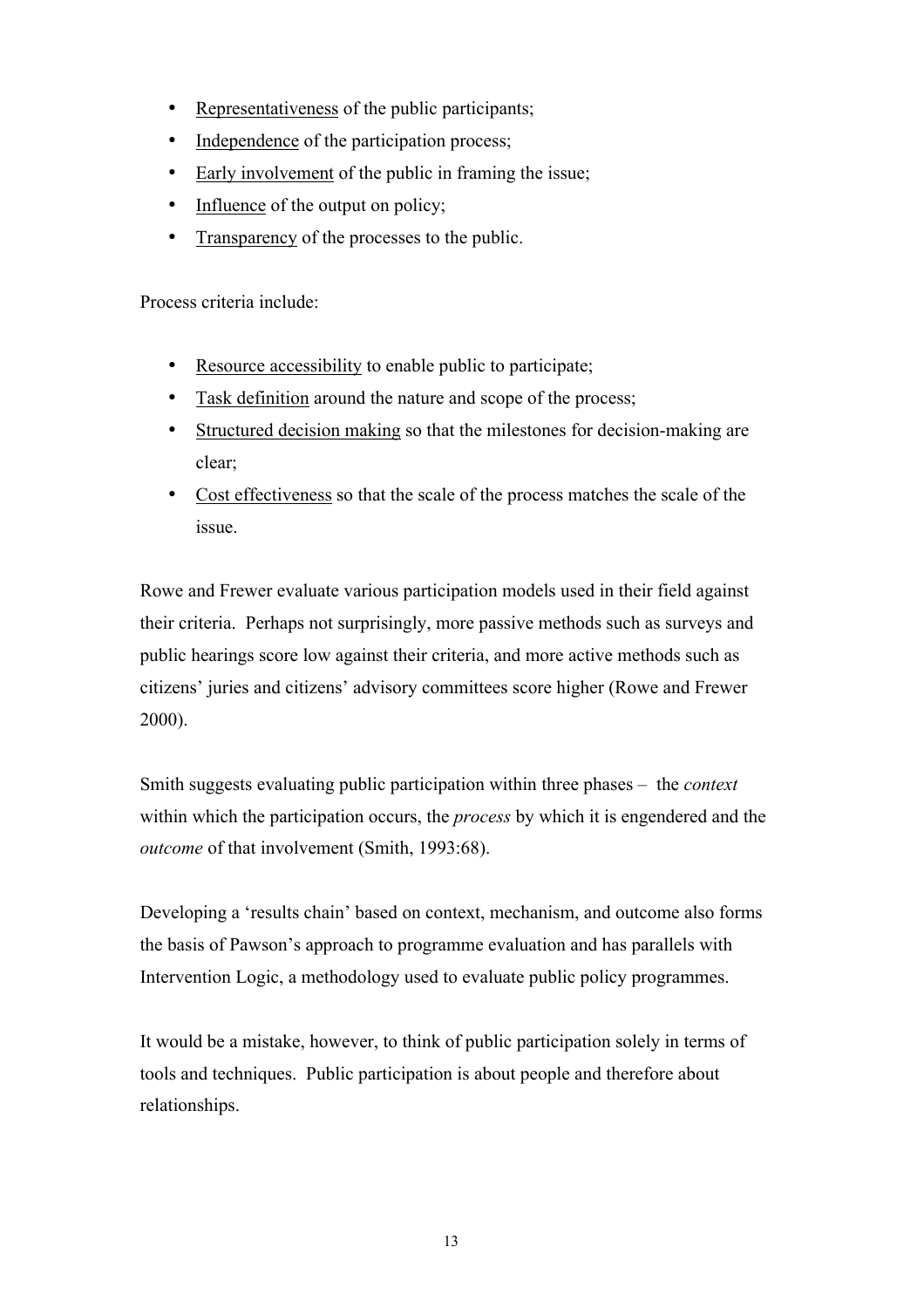- Representativeness of the public participants;
- Independence of the participation process;
- Early involvement of the public in framing the issue;
- Influence of the output on policy;
- Transparency of the processes to the public.

Process criteria include:

- Resource accessibility to enable public to participate;
- Task definition around the nature and scope of the process;
- Structured decision making so that the milestones for decision-making are clear;
- Cost effectiveness so that the scale of the process matches the scale of the issue.

Rowe and Frewer evaluate various participation models used in their field against their criteria. Perhaps not surprisingly, more passive methods such as surveys and public hearings score low against their criteria, and more active methods such as citizens' juries and citizens' advisory committees score higher (Rowe and Frewer 2000).

Smith suggests evaluating public participation within three phases – the *context*  within which the participation occurs, the *process* by which it is engendered and the *outcome* of that involvement (Smith, 1993:68).

Developing a 'results chain' based on context, mechanism, and outcome also forms the basis of Pawson's approach to programme evaluation and has parallels with Intervention Logic, a methodology used to evaluate public policy programmes.

It would be a mistake, however, to think of public participation solely in terms of tools and techniques. Public participation is about people and therefore about relationships.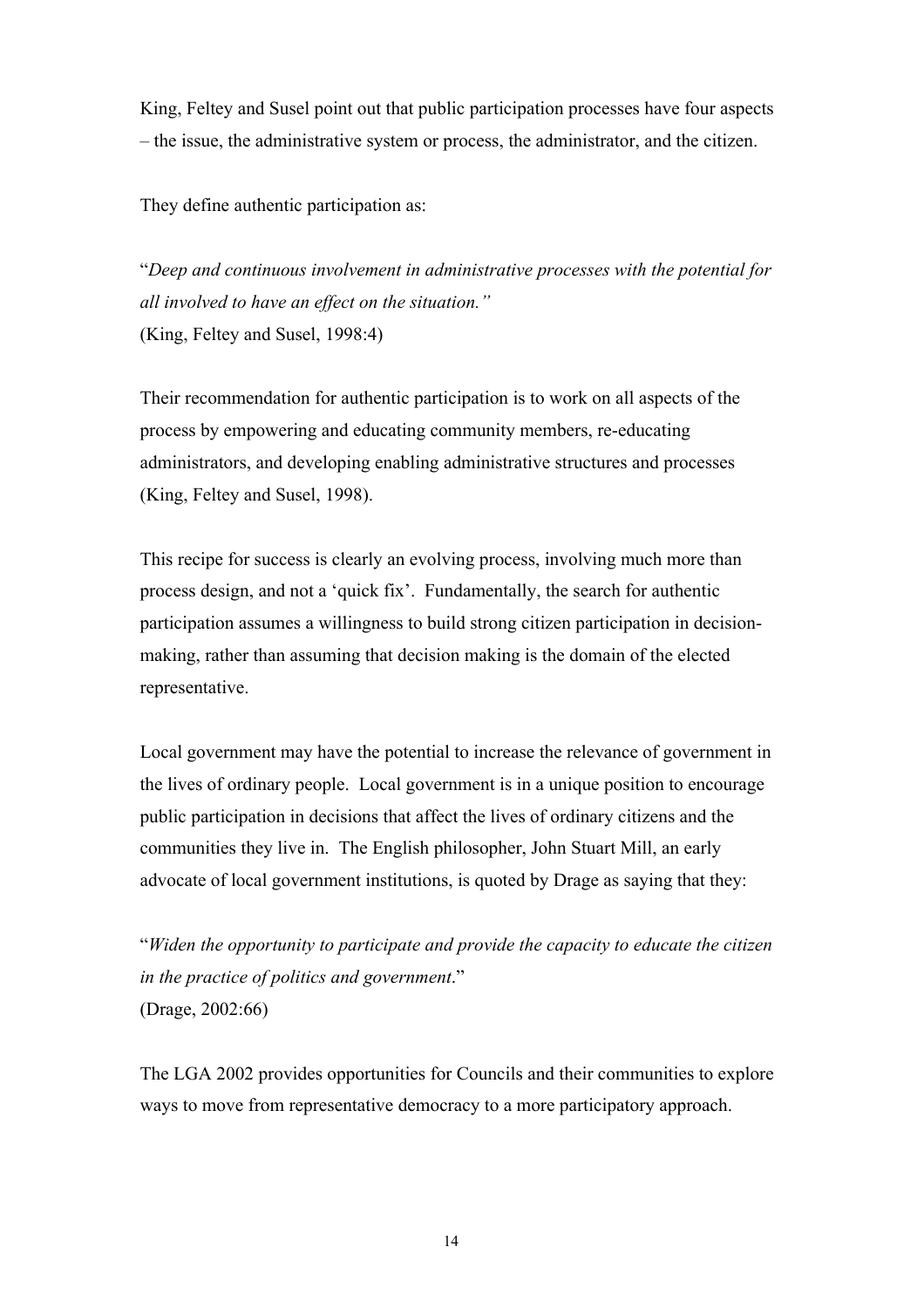King, Feltey and Susel point out that public participation processes have four aspects – the issue, the administrative system or process, the administrator, and the citizen.

They define authentic participation as:

"*Deep and continuous involvement in administrative processes with the potential for all involved to have an effect on the situation."* (King, Feltey and Susel, 1998:4)

Their recommendation for authentic participation is to work on all aspects of the process by empowering and educating community members, re-educating administrators, and developing enabling administrative structures and processes (King, Feltey and Susel, 1998).

This recipe for success is clearly an evolving process, involving much more than process design, and not a 'quick fix'. Fundamentally, the search for authentic participation assumes a willingness to build strong citizen participation in decisionmaking, rather than assuming that decision making is the domain of the elected representative.

Local government may have the potential to increase the relevance of government in the lives of ordinary people. Local government is in a unique position to encourage public participation in decisions that affect the lives of ordinary citizens and the communities they live in. The English philosopher, John Stuart Mill, an early advocate of local government institutions, is quoted by Drage as saying that they:

"*Widen the opportunity to participate and provide the capacity to educate the citizen in the practice of politics and government*." (Drage, 2002:66)

The LGA 2002 provides opportunities for Councils and their communities to explore ways to move from representative democracy to a more participatory approach.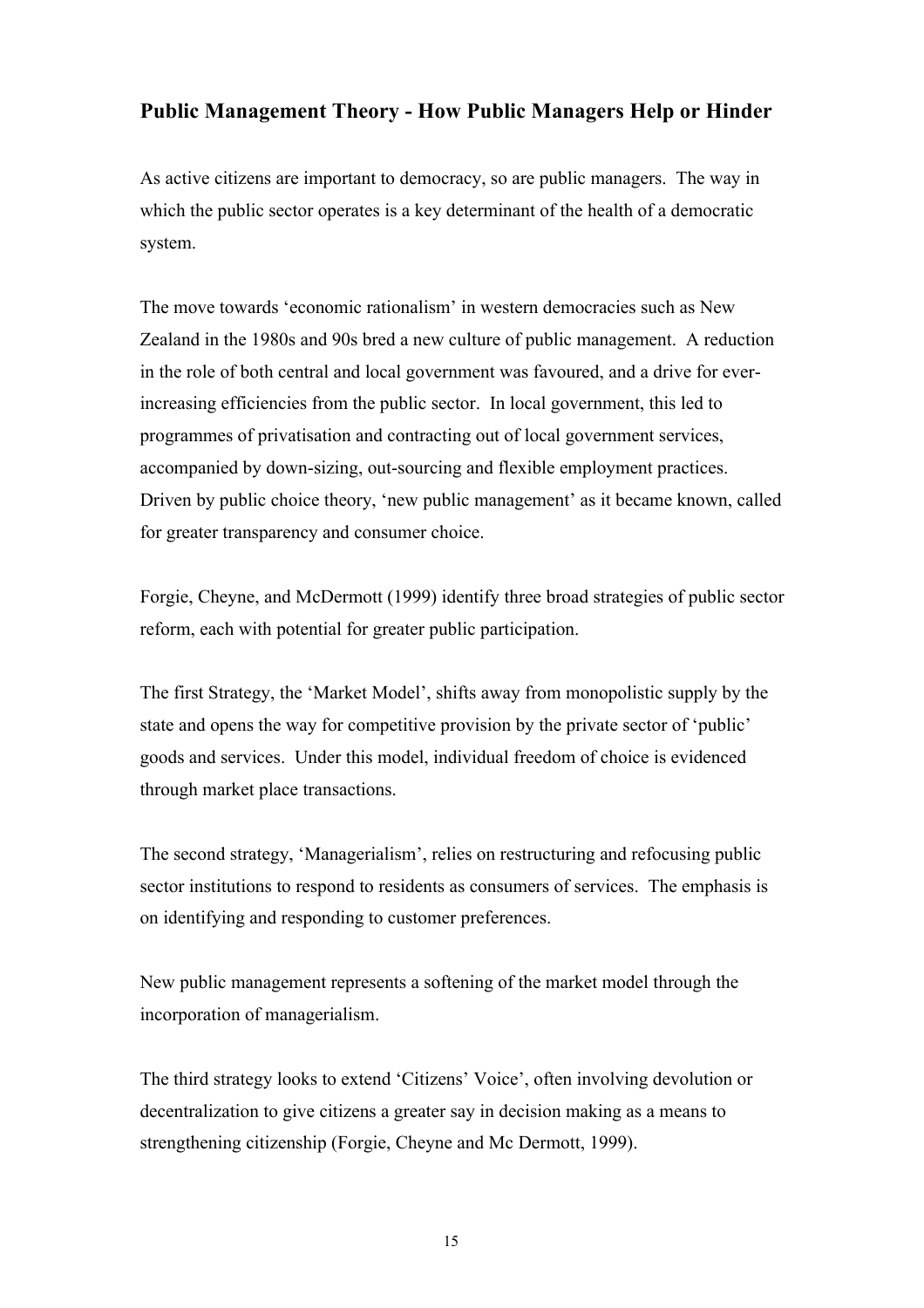## **Public Management Theory - How Public Managers Help or Hinder**

As active citizens are important to democracy, so are public managers. The way in which the public sector operates is a key determinant of the health of a democratic system.

The move towards 'economic rationalism' in western democracies such as New Zealand in the 1980s and 90s bred a new culture of public management. A reduction in the role of both central and local government was favoured, and a drive for everincreasing efficiencies from the public sector. In local government, this led to programmes of privatisation and contracting out of local government services, accompanied by down-sizing, out-sourcing and flexible employment practices. Driven by public choice theory, 'new public management' as it became known, called for greater transparency and consumer choice.

Forgie, Cheyne, and McDermott (1999) identify three broad strategies of public sector reform, each with potential for greater public participation.

The first Strategy, the 'Market Model', shifts away from monopolistic supply by the state and opens the way for competitive provision by the private sector of 'public' goods and services. Under this model, individual freedom of choice is evidenced through market place transactions.

The second strategy, 'Managerialism', relies on restructuring and refocusing public sector institutions to respond to residents as consumers of services. The emphasis is on identifying and responding to customer preferences.

New public management represents a softening of the market model through the incorporation of managerialism.

The third strategy looks to extend 'Citizens' Voice', often involving devolution or decentralization to give citizens a greater say in decision making as a means to strengthening citizenship (Forgie, Cheyne and Mc Dermott, 1999).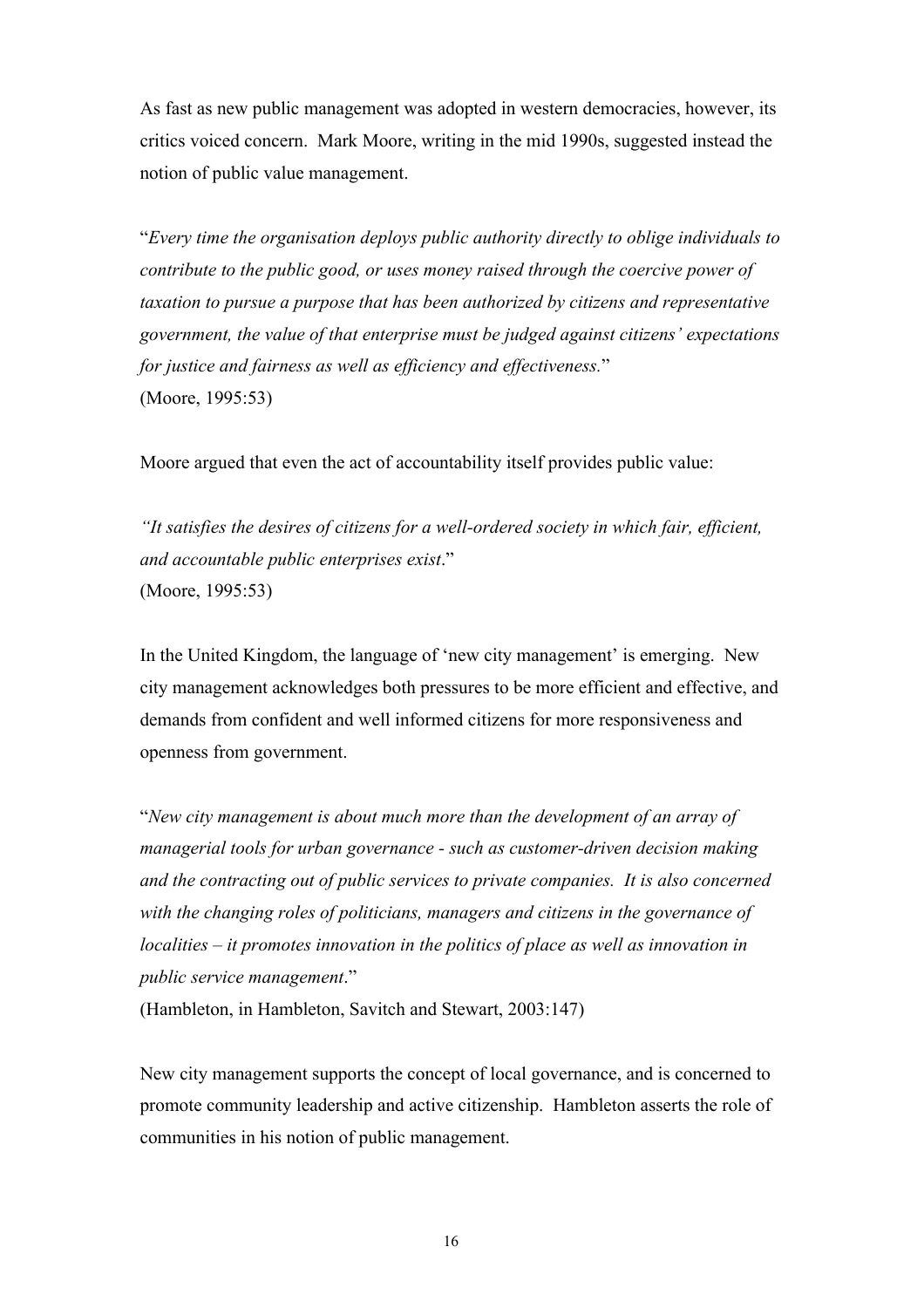As fast as new public management was adopted in western democracies, however, its critics voiced concern. Mark Moore, writing in the mid 1990s, suggested instead the notion of public value management.

"*Every time the organisation deploys public authority directly to oblige individuals to contribute to the public good, or uses money raised through the coercive power of taxation to pursue a purpose that has been authorized by citizens and representative government, the value of that enterprise must be judged against citizens' expectations for justice and fairness as well as efficiency and effectiveness.*" (Moore, 1995:53)

Moore argued that even the act of accountability itself provides public value:

*"It satisfies the desires of citizens for a well-ordered society in which fair, efficient, and accountable public enterprises exist*." (Moore, 1995:53)

In the United Kingdom, the language of 'new city management' is emerging. New city management acknowledges both pressures to be more efficient and effective, and demands from confident and well informed citizens for more responsiveness and openness from government.

"*New city management is about much more than the development of an array of managerial tools for urban governance - such as customer-driven decision making and the contracting out of public services to private companies. It is also concerned with the changing roles of politicians, managers and citizens in the governance of localities – it promotes innovation in the politics of place as well as innovation in public service management*."

(Hambleton, in Hambleton, Savitch and Stewart, 2003:147)

New city management supports the concept of local governance, and is concerned to promote community leadership and active citizenship. Hambleton asserts the role of communities in his notion of public management.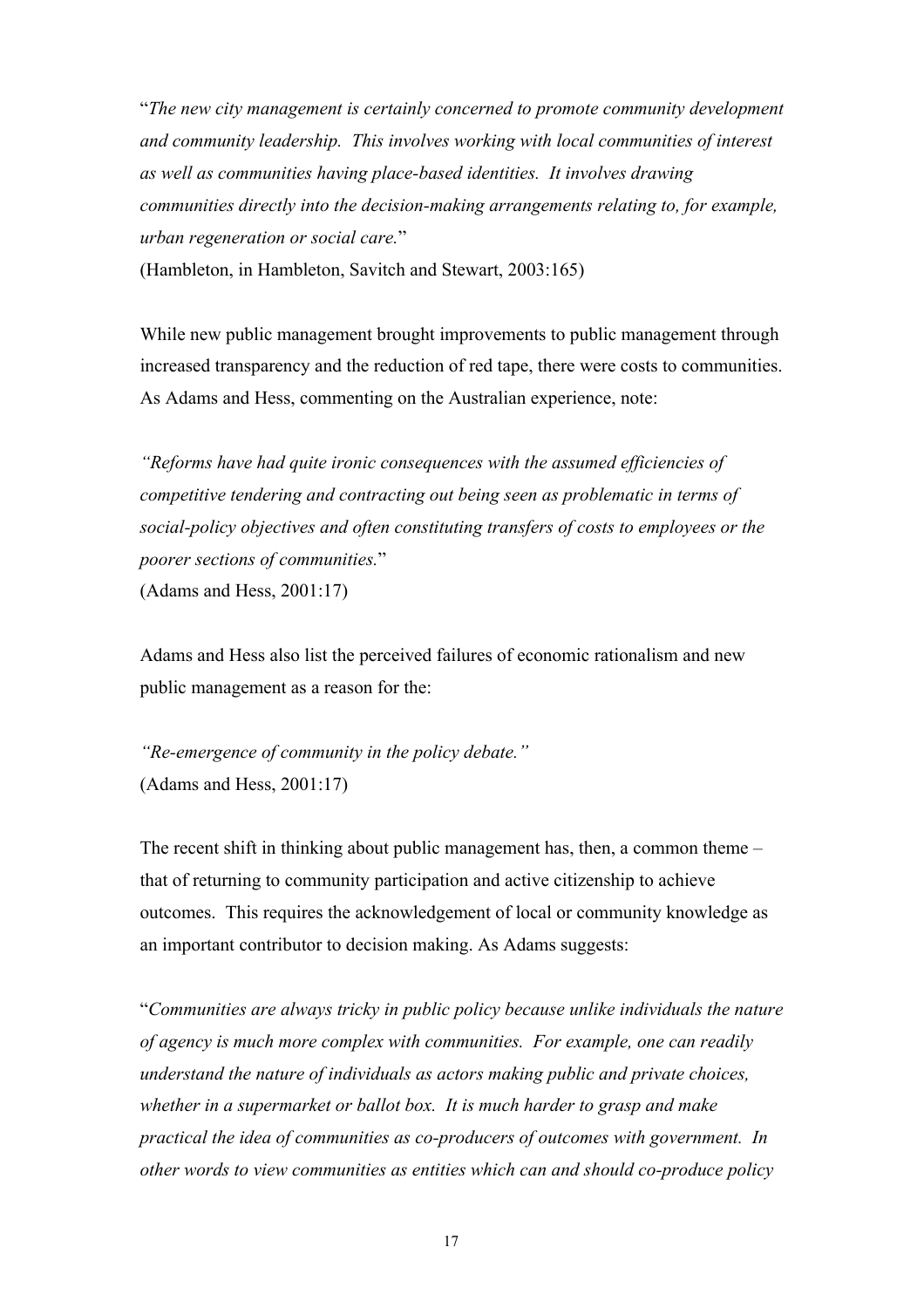"*The new city management is certainly concerned to promote community development and community leadership. This involves working with local communities of interest as well as communities having place-based identities. It involves drawing communities directly into the decision-making arrangements relating to, for example, urban regeneration or social care.*"

(Hambleton, in Hambleton, Savitch and Stewart, 2003:165)

While new public management brought improvements to public management through increased transparency and the reduction of red tape, there were costs to communities. As Adams and Hess, commenting on the Australian experience, note:

*"Reforms have had quite ironic consequences with the assumed efficiencies of competitive tendering and contracting out being seen as problematic in terms of social-policy objectives and often constituting transfers of costs to employees or the poorer sections of communities.*" (Adams and Hess, 2001:17)

Adams and Hess also list the perceived failures of economic rationalism and new public management as a reason for the:

*"Re-emergence of community in the policy debate."*  (Adams and Hess, 2001:17)

The recent shift in thinking about public management has, then, a common theme – that of returning to community participation and active citizenship to achieve outcomes. This requires the acknowledgement of local or community knowledge as an important contributor to decision making. As Adams suggests:

"*Communities are always tricky in public policy because unlike individuals the nature of agency is much more complex with communities. For example, one can readily understand the nature of individuals as actors making public and private choices, whether in a supermarket or ballot box. It is much harder to grasp and make practical the idea of communities as co-producers of outcomes with government. In other words to view communities as entities which can and should co-produce policy*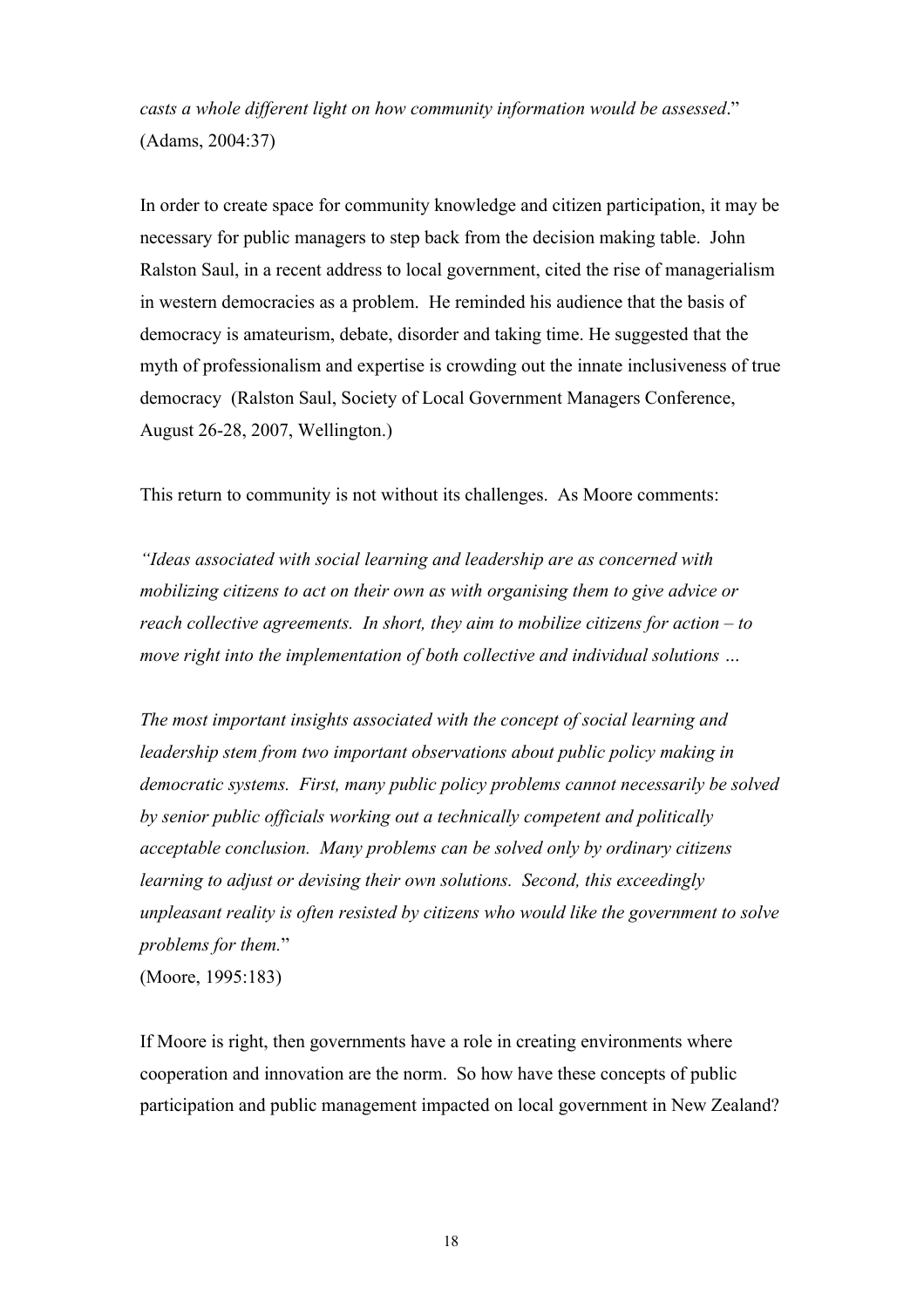*casts a whole different light on how community information would be assessed*." (Adams, 2004:37)

In order to create space for community knowledge and citizen participation, it may be necessary for public managers to step back from the decision making table. John Ralston Saul, in a recent address to local government, cited the rise of managerialism in western democracies as a problem. He reminded his audience that the basis of democracy is amateurism, debate, disorder and taking time. He suggested that the myth of professionalism and expertise is crowding out the innate inclusiveness of true democracy (Ralston Saul, Society of Local Government Managers Conference, August 26-28, 2007, Wellington.)

This return to community is not without its challenges. As Moore comments:

*"Ideas associated with social learning and leadership are as concerned with mobilizing citizens to act on their own as with organising them to give advice or reach collective agreements. In short, they aim to mobilize citizens for action – to move right into the implementation of both collective and individual solutions …*

*The most important insights associated with the concept of social learning and leadership stem from two important observations about public policy making in democratic systems. First, many public policy problems cannot necessarily be solved by senior public officials working out a technically competent and politically acceptable conclusion. Many problems can be solved only by ordinary citizens learning to adjust or devising their own solutions. Second, this exceedingly unpleasant reality is often resisted by citizens who would like the government to solve problems for them.*"

(Moore, 1995:183)

If Moore is right, then governments have a role in creating environments where cooperation and innovation are the norm. So how have these concepts of public participation and public management impacted on local government in New Zealand?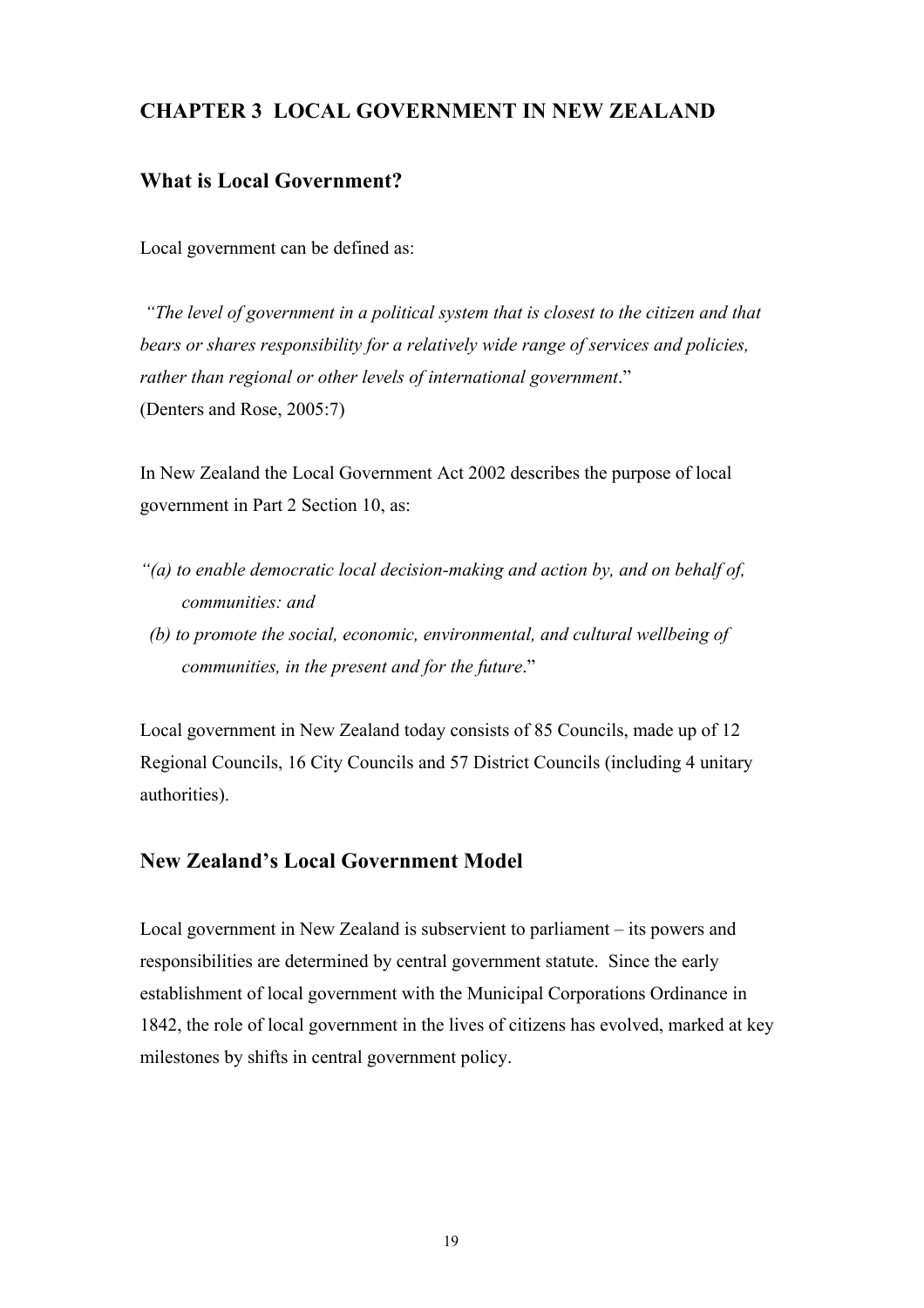## **CHAPTER 3 LOCAL GOVERNMENT IN NEW ZEALAND**

#### **What is Local Government?**

Local government can be defined as:

 *"The level of government in a political system that is closest to the citizen and that bears or shares responsibility for a relatively wide range of services and policies, rather than regional or other levels of international government*." (Denters and Rose, 2005:7)

In New Zealand the Local Government Act 2002 describes the purpose of local government in Part 2 Section 10, as:

- *"(a) to enable democratic local decision-making and action by, and on behalf of, communities: and*
- *(b) to promote the social, economic, environmental, and cultural wellbeing of communities, in the present and for the future*."

Local government in New Zealand today consists of 85 Councils, made up of 12 Regional Councils, 16 City Councils and 57 District Councils (including 4 unitary authorities).

## **New Zealand's Local Government Model**

Local government in New Zealand is subservient to parliament – its powers and responsibilities are determined by central government statute. Since the early establishment of local government with the Municipal Corporations Ordinance in 1842, the role of local government in the lives of citizens has evolved, marked at key milestones by shifts in central government policy.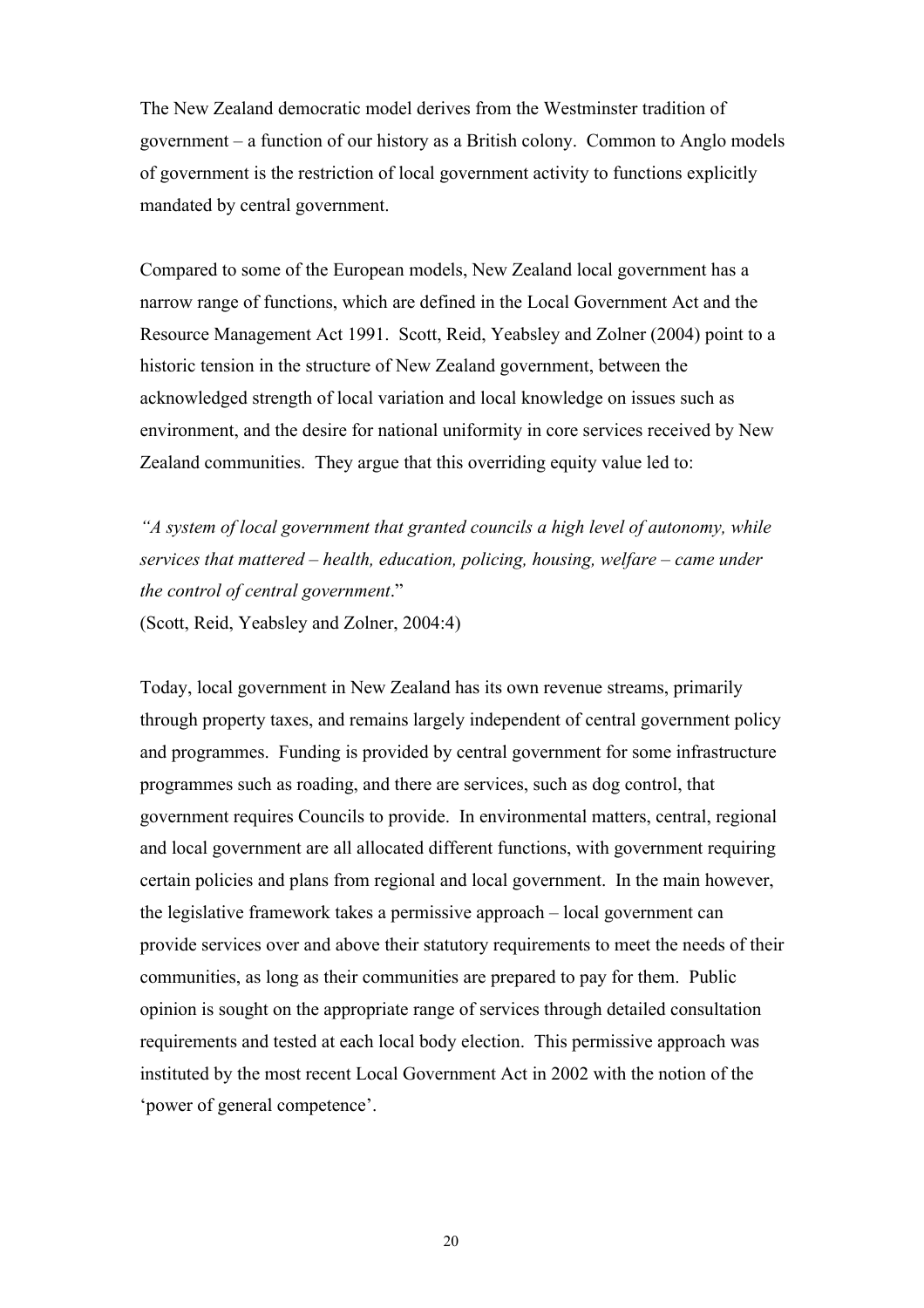The New Zealand democratic model derives from the Westminster tradition of government – a function of our history as a British colony. Common to Anglo models of government is the restriction of local government activity to functions explicitly mandated by central government.

Compared to some of the European models, New Zealand local government has a narrow range of functions, which are defined in the Local Government Act and the Resource Management Act 1991. Scott, Reid, Yeabsley and Zolner (2004) point to a historic tension in the structure of New Zealand government, between the acknowledged strength of local variation and local knowledge on issues such as environment, and the desire for national uniformity in core services received by New Zealand communities. They argue that this overriding equity value led to:

*"A system of local government that granted councils a high level of autonomy, while services that mattered – health, education, policing, housing, welfare – came under the control of central government*." (Scott, Reid, Yeabsley and Zolner, 2004:4)

Today, local government in New Zealand has its own revenue streams, primarily through property taxes, and remains largely independent of central government policy and programmes. Funding is provided by central government for some infrastructure programmes such as roading, and there are services, such as dog control, that government requires Councils to provide. In environmental matters, central, regional and local government are all allocated different functions, with government requiring certain policies and plans from regional and local government. In the main however, the legislative framework takes a permissive approach – local government can provide services over and above their statutory requirements to meet the needs of their communities, as long as their communities are prepared to pay for them. Public opinion is sought on the appropriate range of services through detailed consultation requirements and tested at each local body election. This permissive approach was instituted by the most recent Local Government Act in 2002 with the notion of the 'power of general competence'.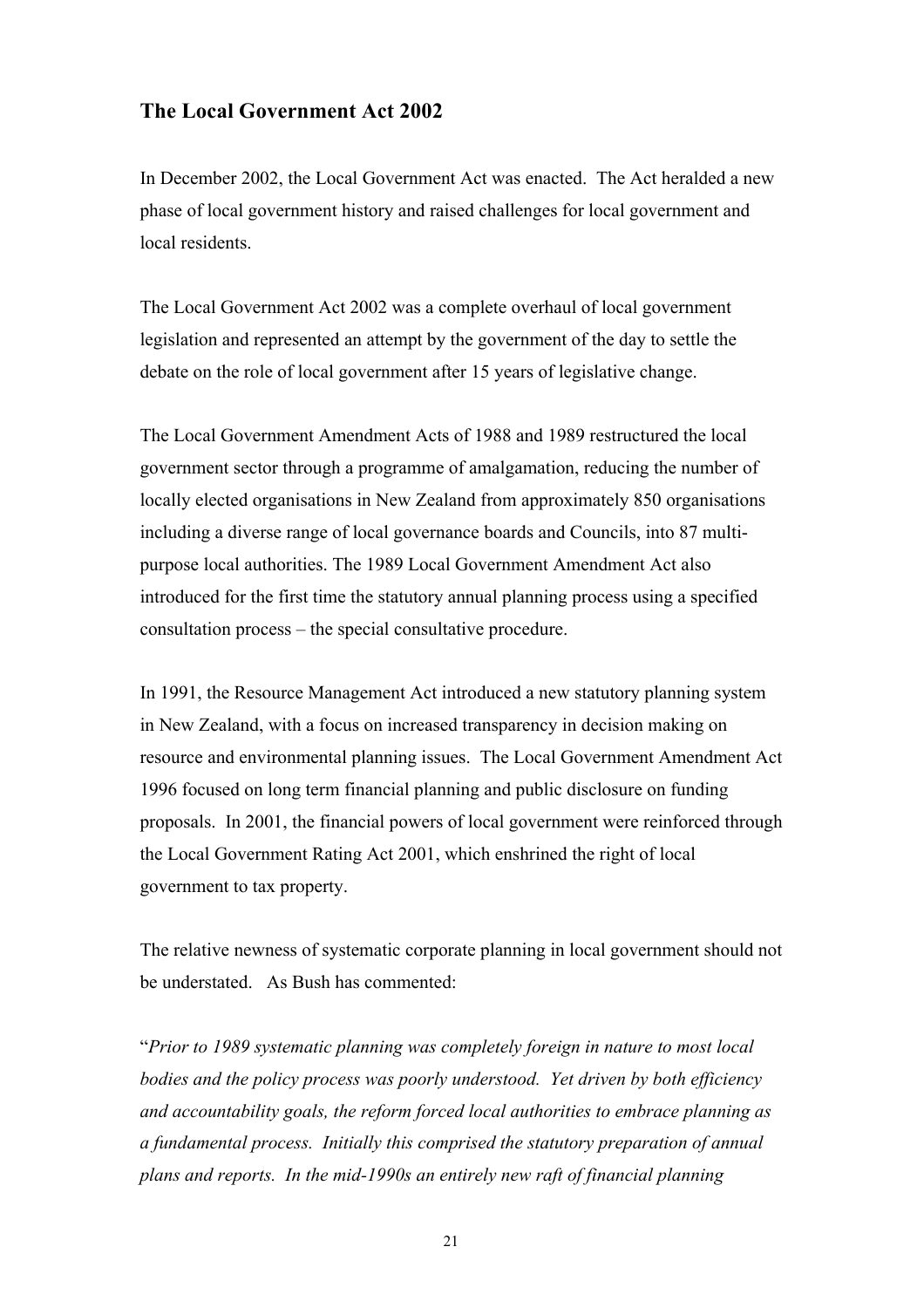#### **The Local Government Act 2002**

In December 2002, the Local Government Act was enacted. The Act heralded a new phase of local government history and raised challenges for local government and local residents.

The Local Government Act 2002 was a complete overhaul of local government legislation and represented an attempt by the government of the day to settle the debate on the role of local government after 15 years of legislative change.

The Local Government Amendment Acts of 1988 and 1989 restructured the local government sector through a programme of amalgamation, reducing the number of locally elected organisations in New Zealand from approximately 850 organisations including a diverse range of local governance boards and Councils, into 87 multipurpose local authorities. The 1989 Local Government Amendment Act also introduced for the first time the statutory annual planning process using a specified consultation process – the special consultative procedure.

In 1991, the Resource Management Act introduced a new statutory planning system in New Zealand, with a focus on increased transparency in decision making on resource and environmental planning issues. The Local Government Amendment Act 1996 focused on long term financial planning and public disclosure on funding proposals. In 2001, the financial powers of local government were reinforced through the Local Government Rating Act 2001, which enshrined the right of local government to tax property.

The relative newness of systematic corporate planning in local government should not be understated. As Bush has commented:

"*Prior to 1989 systematic planning was completely foreign in nature to most local bodies and the policy process was poorly understood. Yet driven by both efficiency and accountability goals, the reform forced local authorities to embrace planning as a fundamental process. Initially this comprised the statutory preparation of annual plans and reports. In the mid-1990s an entirely new raft of financial planning*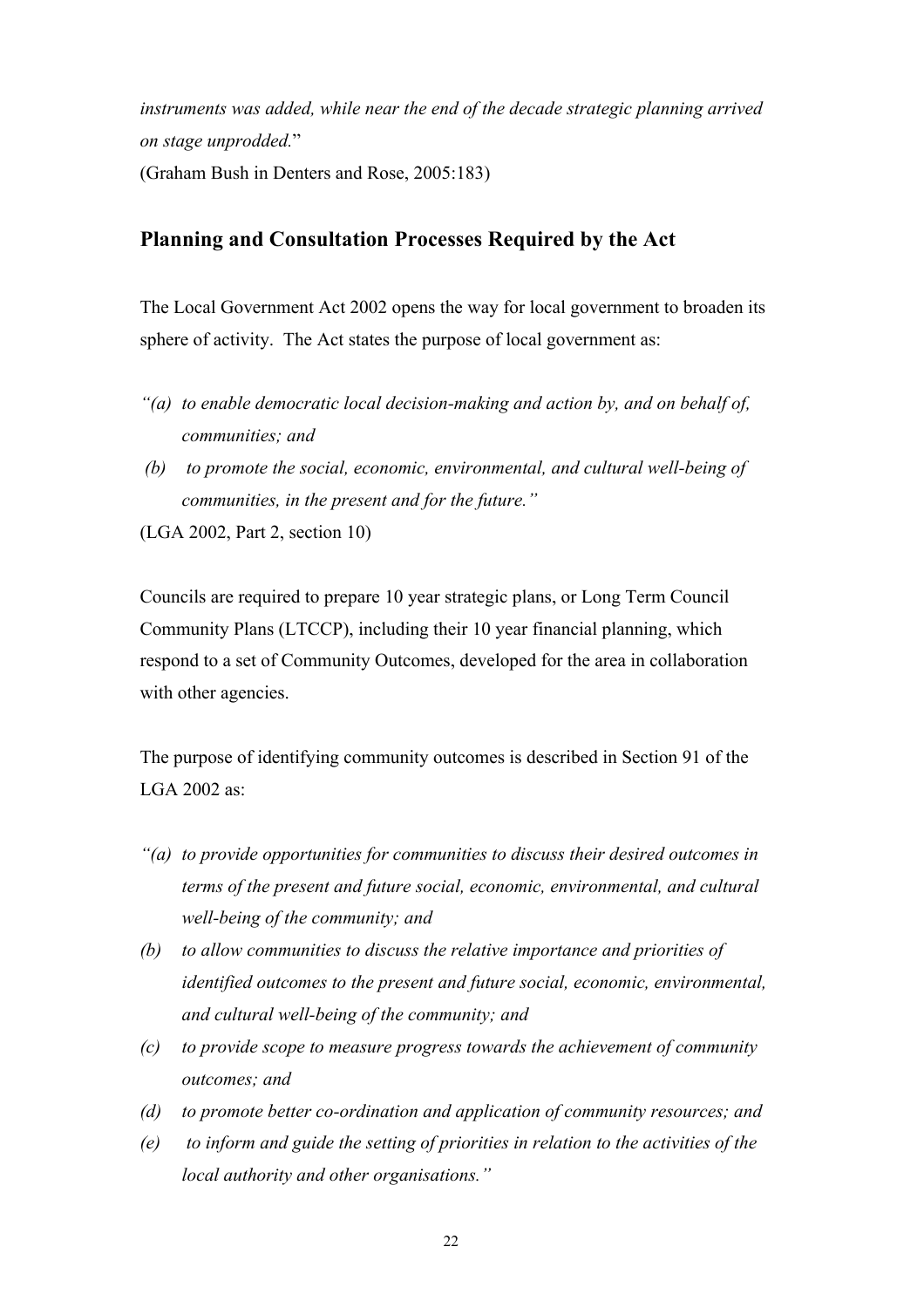*instruments was added, while near the end of the decade strategic planning arrived on stage unprodded.*"

(Graham Bush in Denters and Rose, 2005:183)

#### **Planning and Consultation Processes Required by the Act**

The Local Government Act 2002 opens the way for local government to broaden its sphere of activity. The Act states the purpose of local government as:

- *"(a) to enable democratic local decision-making and action by, and on behalf of, communities; and*
- *(b) to promote the social, economic, environmental, and cultural well-being of communities, in the present and for the future."*

(LGA 2002, Part 2, section 10)

Councils are required to prepare 10 year strategic plans, or Long Term Council Community Plans (LTCCP), including their 10 year financial planning, which respond to a set of Community Outcomes, developed for the area in collaboration with other agencies.

The purpose of identifying community outcomes is described in Section 91 of the LGA 2002 as:

- *"(a) to provide opportunities for communities to discuss their desired outcomes in terms of the present and future social, economic, environmental, and cultural well-being of the community; and*
- *(b) to allow communities to discuss the relative importance and priorities of identified outcomes to the present and future social, economic, environmental, and cultural well-being of the community; and*
- *(c) to provide scope to measure progress towards the achievement of community outcomes; and*
- *(d) to promote better co-ordination and application of community resources; and*
- *(e) to inform and guide the setting of priorities in relation to the activities of the local authority and other organisations."*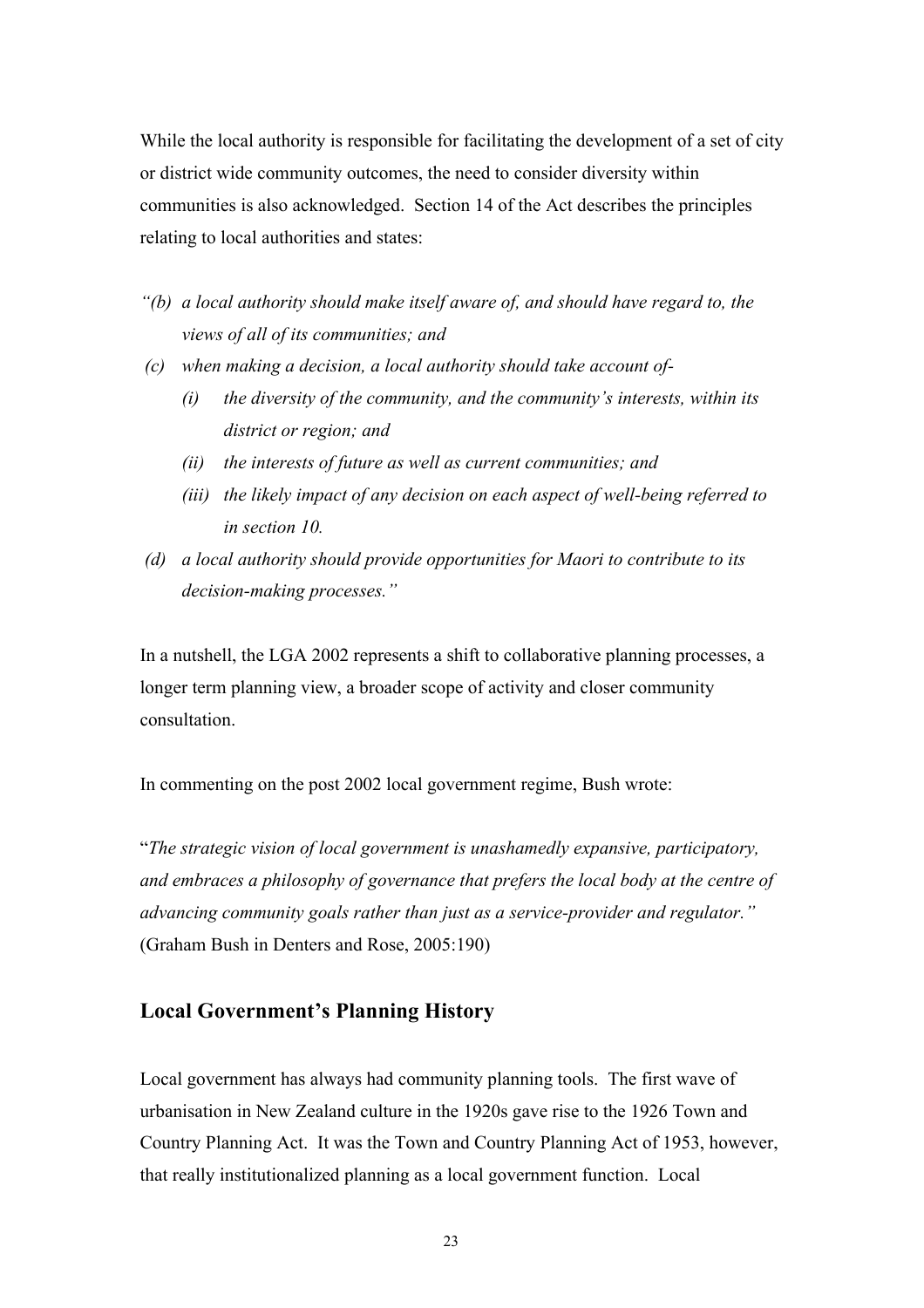While the local authority is responsible for facilitating the development of a set of city or district wide community outcomes, the need to consider diversity within communities is also acknowledged. Section 14 of the Act describes the principles relating to local authorities and states:

- *"(b) a local authority should make itself aware of, and should have regard to, the views of all of its communities; and*
- *(c) when making a decision, a local authority should take account of-*
	- *(i) the diversity of the community, and the community's interests, within its district or region; and*
	- *(ii) the interests of future as well as current communities; and*
	- *(iii) the likely impact of any decision on each aspect of well-being referred to in section 10.*
- *(d) a local authority should provide opportunities for Maori to contribute to its decision-making processes."*

In a nutshell, the LGA 2002 represents a shift to collaborative planning processes, a longer term planning view, a broader scope of activity and closer community consultation.

In commenting on the post 2002 local government regime, Bush wrote:

"*The strategic vision of local government is unashamedly expansive, participatory, and embraces a philosophy of governance that prefers the local body at the centre of advancing community goals rather than just as a service-provider and regulator."* (Graham Bush in Denters and Rose, 2005:190)

#### **Local Government's Planning History**

Local government has always had community planning tools. The first wave of urbanisation in New Zealand culture in the 1920s gave rise to the 1926 Town and Country Planning Act. It was the Town and Country Planning Act of 1953, however, that really institutionalized planning as a local government function. Local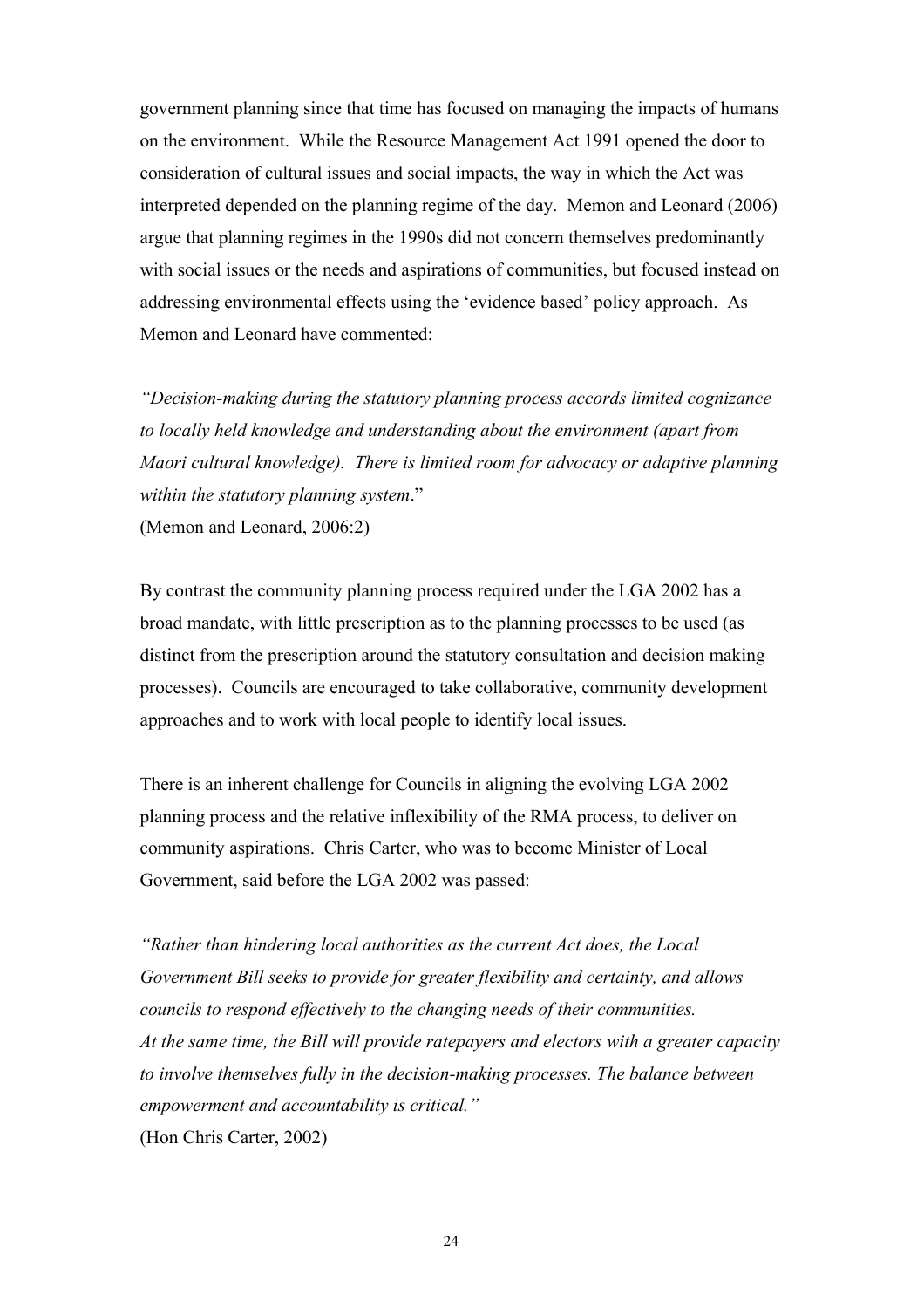government planning since that time has focused on managing the impacts of humans on the environment. While the Resource Management Act 1991 opened the door to consideration of cultural issues and social impacts, the way in which the Act was interpreted depended on the planning regime of the day. Memon and Leonard (2006) argue that planning regimes in the 1990s did not concern themselves predominantly with social issues or the needs and aspirations of communities, but focused instead on addressing environmental effects using the 'evidence based' policy approach. As Memon and Leonard have commented:

*"Decision-making during the statutory planning process accords limited cognizance to locally held knowledge and understanding about the environment (apart from Maori cultural knowledge). There is limited room for advocacy or adaptive planning within the statutory planning system*." (Memon and Leonard, 2006:2)

By contrast the community planning process required under the LGA 2002 has a broad mandate, with little prescription as to the planning processes to be used (as distinct from the prescription around the statutory consultation and decision making processes). Councils are encouraged to take collaborative, community development approaches and to work with local people to identify local issues.

There is an inherent challenge for Councils in aligning the evolving LGA 2002 planning process and the relative inflexibility of the RMA process, to deliver on community aspirations. Chris Carter, who was to become Minister of Local Government, said before the LGA 2002 was passed:

*"Rather than hindering local authorities as the current Act does, the Local Government Bill seeks to provide for greater flexibility and certainty, and allows councils to respond effectively to the changing needs of their communities. At the same time, the Bill will provide ratepayers and electors with a greater capacity to involve themselves fully in the decision-making processes. The balance between empowerment and accountability is critical."*  (Hon Chris Carter, 2002)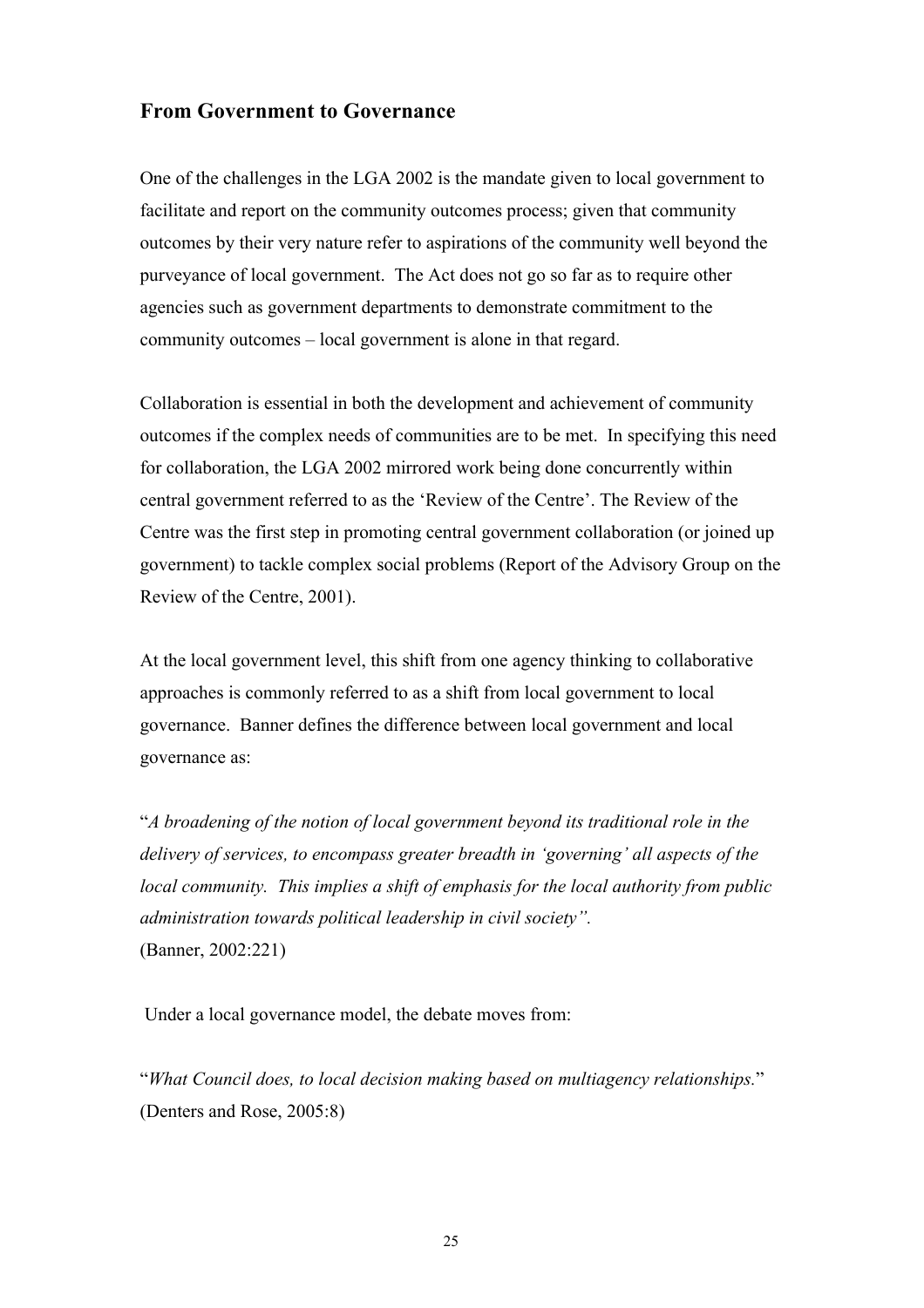#### **From Government to Governance**

One of the challenges in the LGA 2002 is the mandate given to local government to facilitate and report on the community outcomes process; given that community outcomes by their very nature refer to aspirations of the community well beyond the purveyance of local government. The Act does not go so far as to require other agencies such as government departments to demonstrate commitment to the community outcomes – local government is alone in that regard.

Collaboration is essential in both the development and achievement of community outcomes if the complex needs of communities are to be met. In specifying this need for collaboration, the LGA 2002 mirrored work being done concurrently within central government referred to as the 'Review of the Centre'. The Review of the Centre was the first step in promoting central government collaboration (or joined up government) to tackle complex social problems (Report of the Advisory Group on the Review of the Centre, 2001).

At the local government level, this shift from one agency thinking to collaborative approaches is commonly referred to as a shift from local government to local governance. Banner defines the difference between local government and local governance as:

"*A broadening of the notion of local government beyond its traditional role in the delivery of services, to encompass greater breadth in 'governing' all aspects of the local community. This implies a shift of emphasis for the local authority from public administration towards political leadership in civil society".* (Banner, 2002:221)

Under a local governance model, the debate moves from:

"*What Council does, to local decision making based on multiagency relationships.*" (Denters and Rose, 2005:8)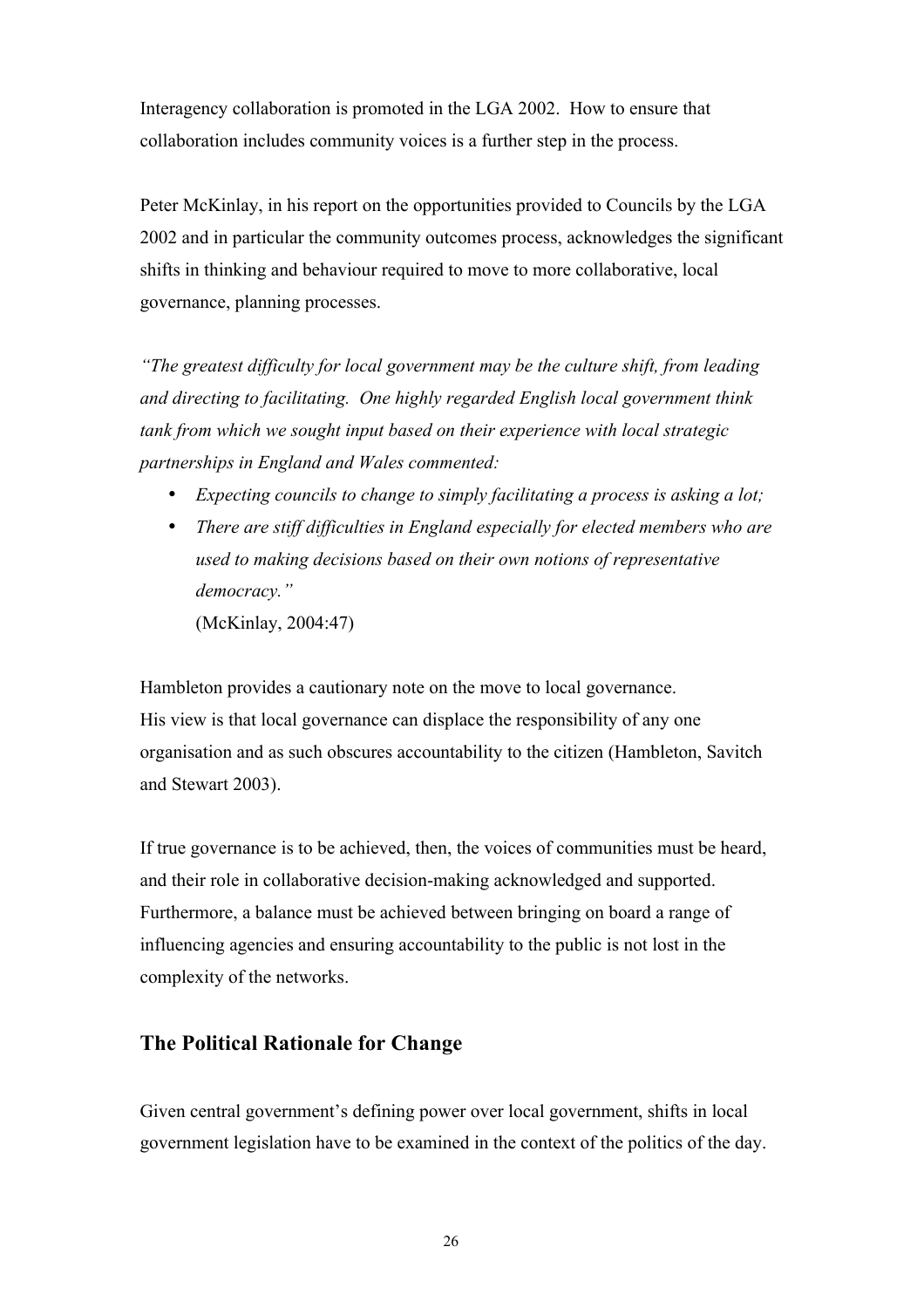Interagency collaboration is promoted in the LGA 2002. How to ensure that collaboration includes community voices is a further step in the process.

Peter McKinlay, in his report on the opportunities provided to Councils by the LGA 2002 and in particular the community outcomes process, acknowledges the significant shifts in thinking and behaviour required to move to more collaborative, local governance, planning processes.

*"The greatest difficulty for local government may be the culture shift, from leading and directing to facilitating. One highly regarded English local government think tank from which we sought input based on their experience with local strategic partnerships in England and Wales commented:*

- *Expecting councils to change to simply facilitating a process is asking a lot;*
- *There are stiff difficulties in England especially for elected members who are used to making decisions based on their own notions of representative democracy."*  (McKinlay, 2004:47)

Hambleton provides a cautionary note on the move to local governance. His view is that local governance can displace the responsibility of any one organisation and as such obscures accountability to the citizen (Hambleton, Savitch and Stewart 2003).

If true governance is to be achieved, then, the voices of communities must be heard, and their role in collaborative decision-making acknowledged and supported. Furthermore, a balance must be achieved between bringing on board a range of influencing agencies and ensuring accountability to the public is not lost in the complexity of the networks.

#### **The Political Rationale for Change**

Given central government's defining power over local government, shifts in local government legislation have to be examined in the context of the politics of the day.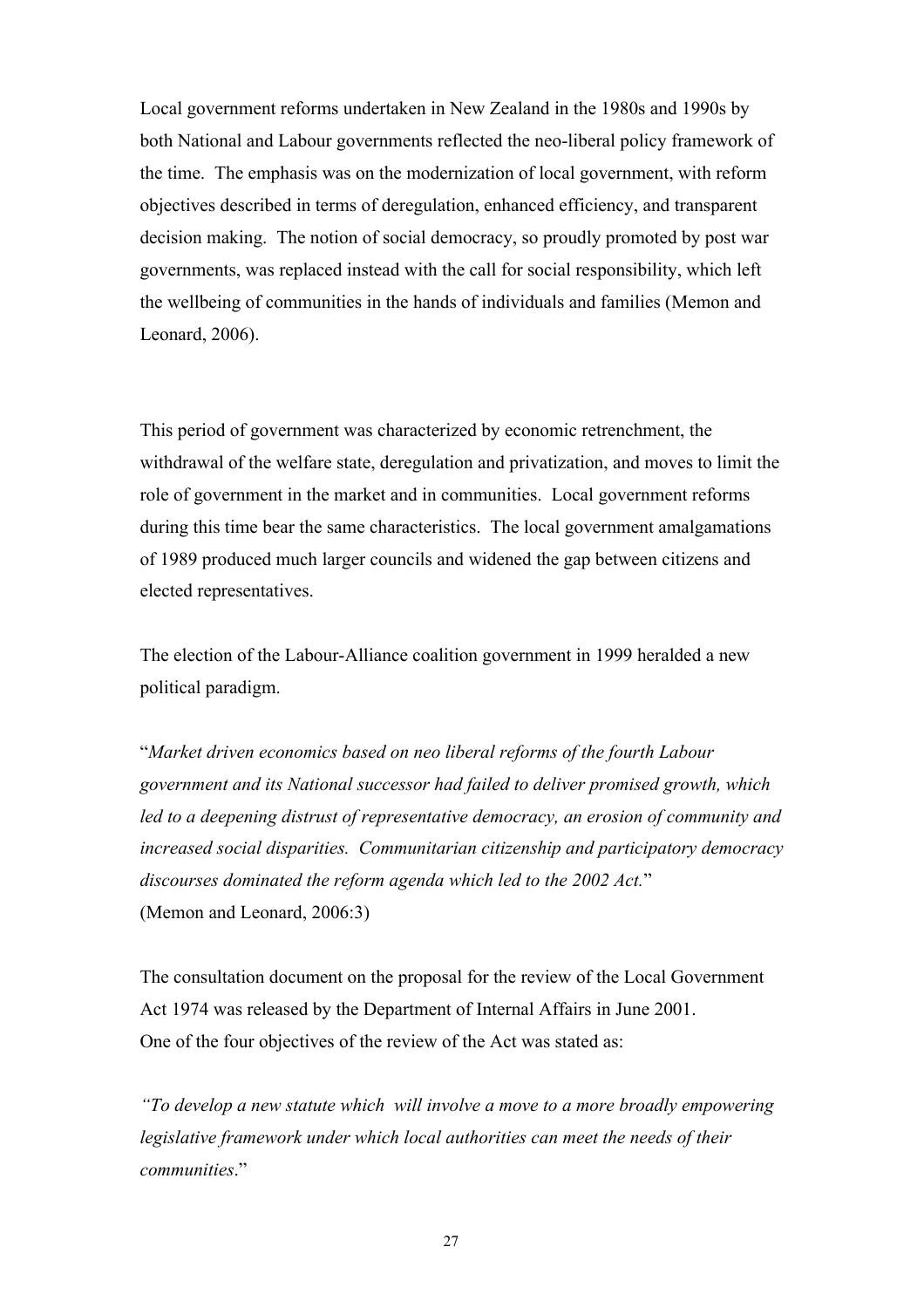Local government reforms undertaken in New Zealand in the 1980s and 1990s by both National and Labour governments reflected the neo-liberal policy framework of the time. The emphasis was on the modernization of local government, with reform objectives described in terms of deregulation, enhanced efficiency, and transparent decision making. The notion of social democracy, so proudly promoted by post war governments, was replaced instead with the call for social responsibility, which left the wellbeing of communities in the hands of individuals and families (Memon and Leonard, 2006).

This period of government was characterized by economic retrenchment, the withdrawal of the welfare state, deregulation and privatization, and moves to limit the role of government in the market and in communities. Local government reforms during this time bear the same characteristics. The local government amalgamations of 1989 produced much larger councils and widened the gap between citizens and elected representatives.

The election of the Labour-Alliance coalition government in 1999 heralded a new political paradigm.

"*Market driven economics based on neo liberal reforms of the fourth Labour government and its National successor had failed to deliver promised growth, which led to a deepening distrust of representative democracy, an erosion of community and increased social disparities. Communitarian citizenship and participatory democracy discourses dominated the reform agenda which led to the 2002 Act.*" (Memon and Leonard, 2006:3)

The consultation document on the proposal for the review of the Local Government Act 1974 was released by the Department of Internal Affairs in June 2001. One of the four objectives of the review of the Act was stated as:

*"To develop a new statute which will involve a move to a more broadly empowering legislative framework under which local authorities can meet the needs of their communities*."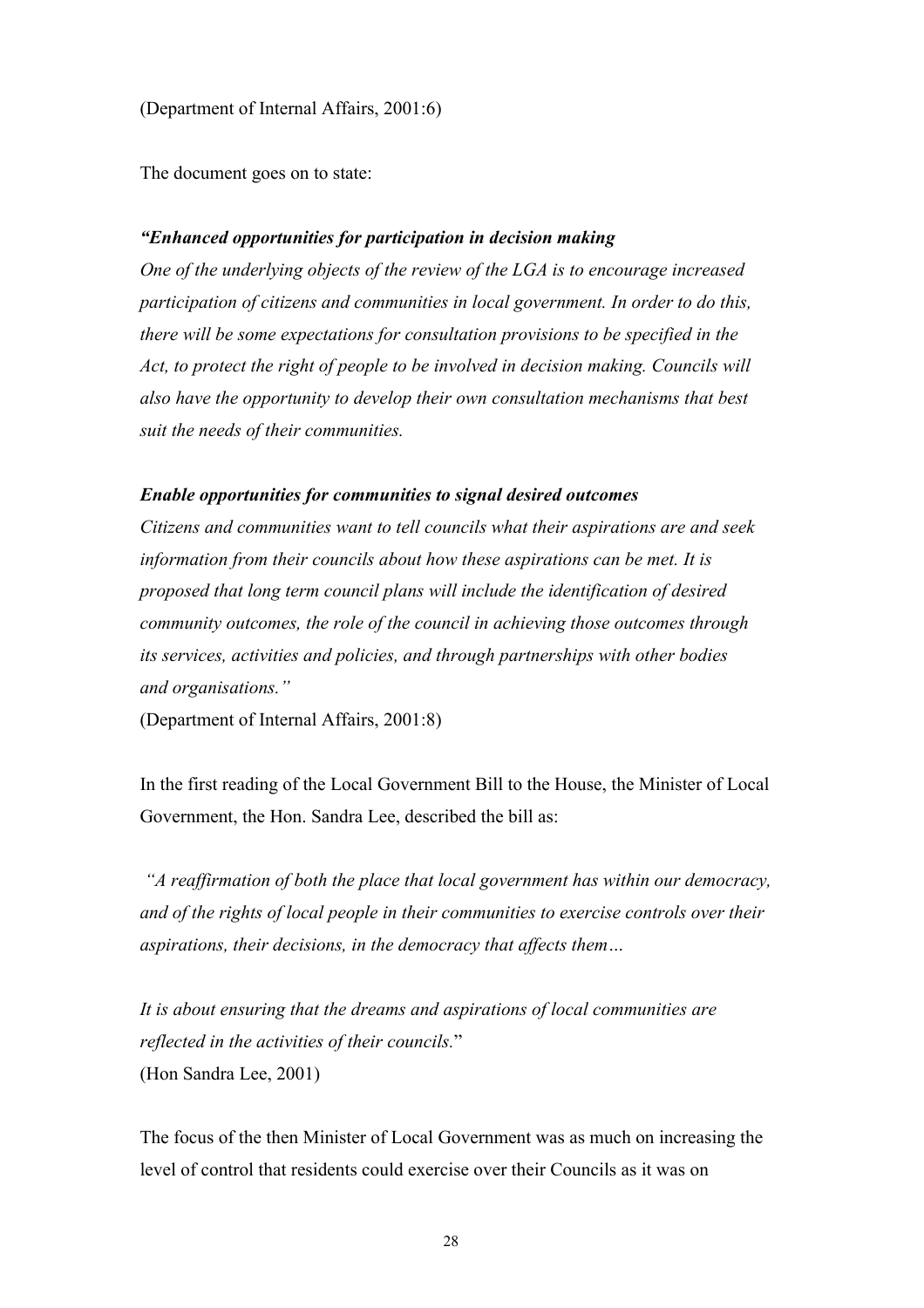(Department of Internal Affairs, 2001:6)

The document goes on to state:

#### *"Enhanced opportunities for participation in decision making*

*One of the underlying objects of the review of the LGA is to encourage increased participation of citizens and communities in local government. In order to do this, there will be some expectations for consultation provisions to be specified in the Act, to protect the right of people to be involved in decision making. Councils will also have the opportunity to develop their own consultation mechanisms that best suit the needs of their communities.*

#### *Enable opportunities for communities to signal desired outcomes*

*Citizens and communities want to tell councils what their aspirations are and seek information from their councils about how these aspirations can be met. It is proposed that long term council plans will include the identification of desired community outcomes, the role of the council in achieving those outcomes through its services, activities and policies, and through partnerships with other bodies and organisations."*

(Department of Internal Affairs, 2001:8)

In the first reading of the Local Government Bill to the House, the Minister of Local Government, the Hon. Sandra Lee, described the bill as:

 *"A reaffirmation of both the place that local government has within our democracy, and of the rights of local people in their communities to exercise controls over their aspirations, their decisions, in the democracy that affects them…*

*It is about ensuring that the dreams and aspirations of local communities are reflected in the activities of their councils.*" (Hon Sandra Lee, 2001)

The focus of the then Minister of Local Government was as much on increasing the level of control that residents could exercise over their Councils as it was on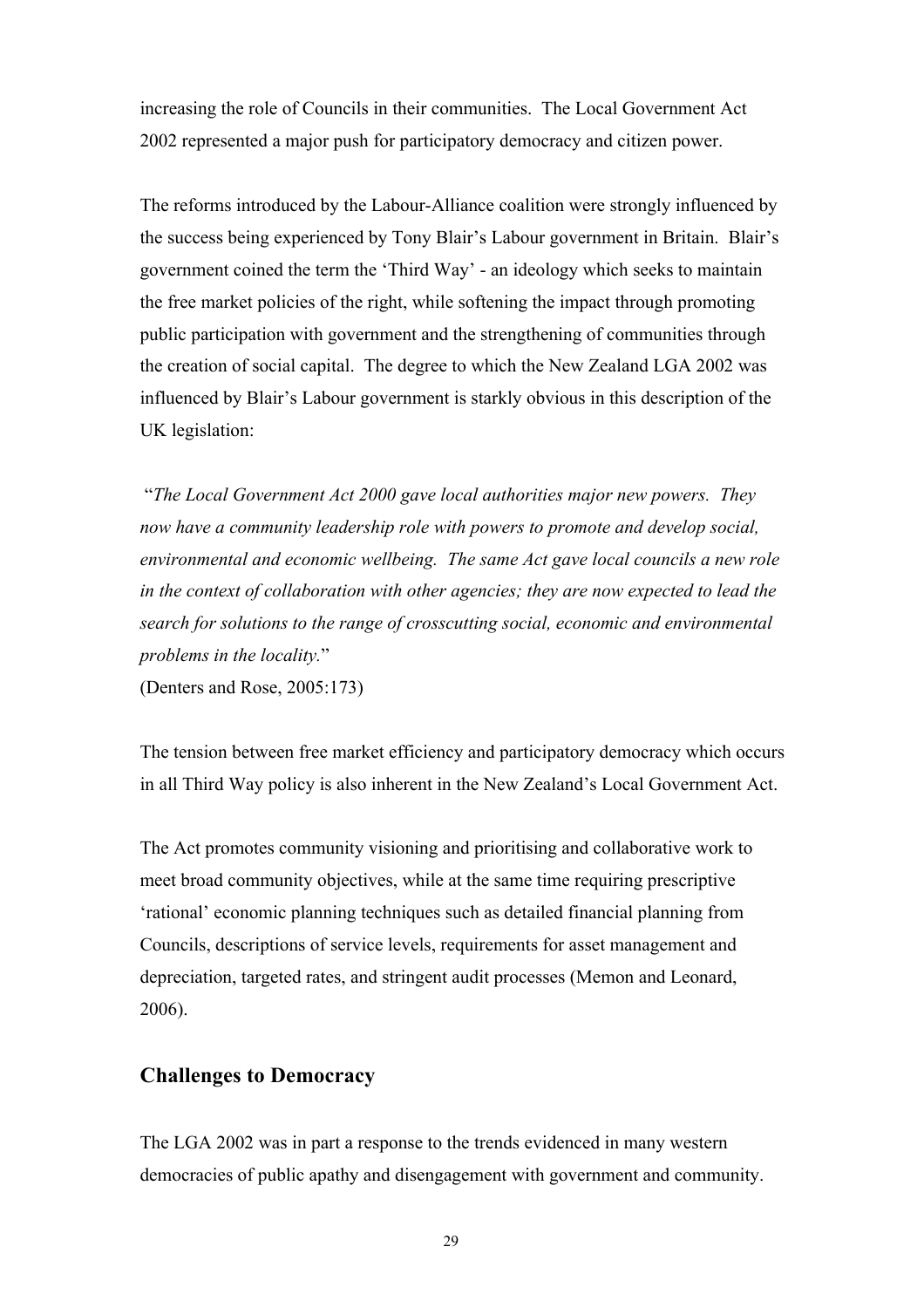increasing the role of Councils in their communities. The Local Government Act 2002 represented a major push for participatory democracy and citizen power.

The reforms introduced by the Labour-Alliance coalition were strongly influenced by the success being experienced by Tony Blair's Labour government in Britain. Blair's government coined the term the 'Third Way' - an ideology which seeks to maintain the free market policies of the right, while softening the impact through promoting public participation with government and the strengthening of communities through the creation of social capital. The degree to which the New Zealand LGA 2002 was influenced by Blair's Labour government is starkly obvious in this description of the UK legislation:

 "*The Local Government Act 2000 gave local authorities major new powers. They now have a community leadership role with powers to promote and develop social, environmental and economic wellbeing. The same Act gave local councils a new role in the context of collaboration with other agencies; they are now expected to lead the search for solutions to the range of crosscutting social, economic and environmental problems in the locality.*"

(Denters and Rose, 2005:173)

The tension between free market efficiency and participatory democracy which occurs in all Third Way policy is also inherent in the New Zealand's Local Government Act.

The Act promotes community visioning and prioritising and collaborative work to meet broad community objectives, while at the same time requiring prescriptive 'rational' economic planning techniques such as detailed financial planning from Councils, descriptions of service levels, requirements for asset management and depreciation, targeted rates, and stringent audit processes (Memon and Leonard, 2006).

#### **Challenges to Democracy**

The LGA 2002 was in part a response to the trends evidenced in many western democracies of public apathy and disengagement with government and community.

29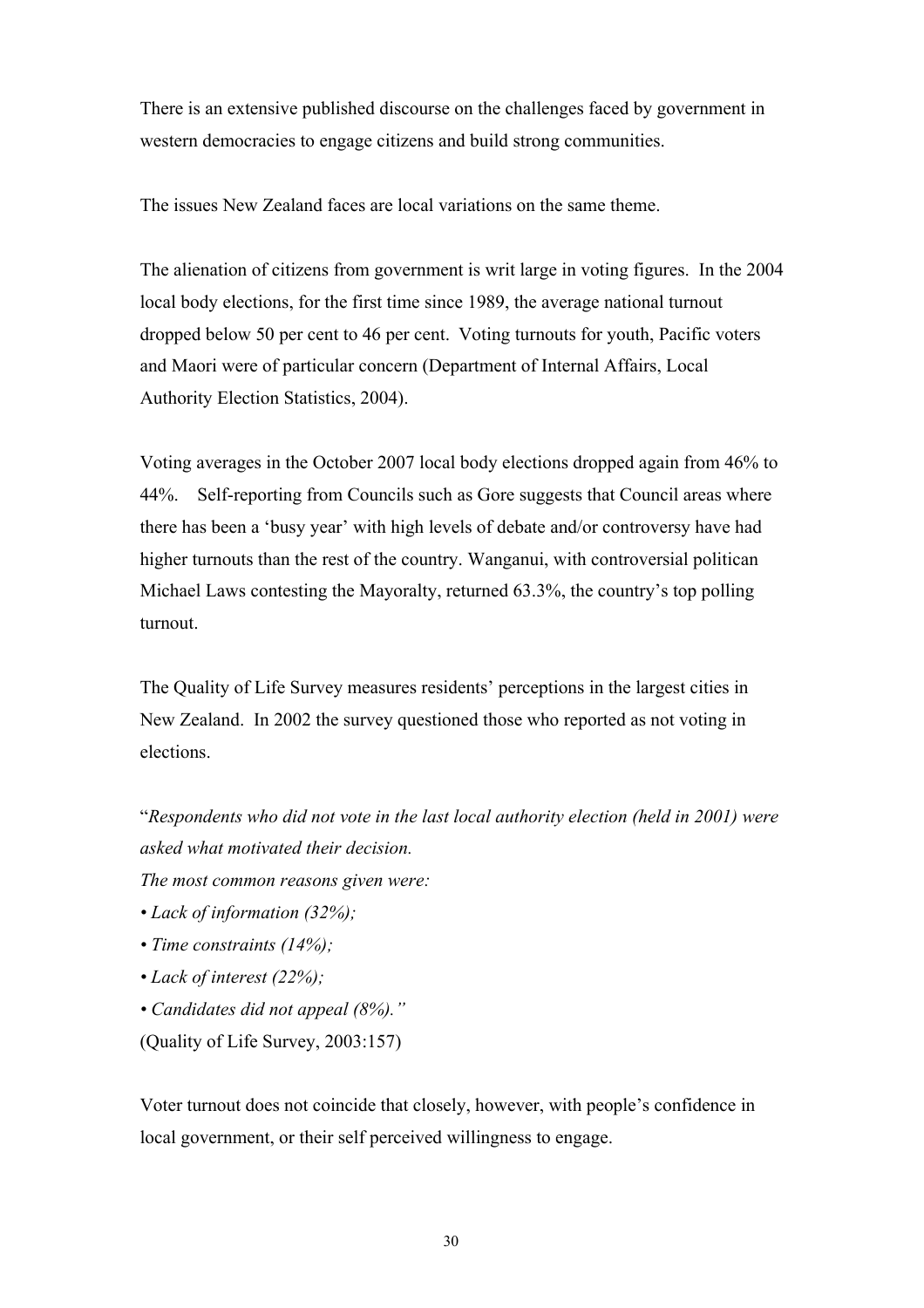There is an extensive published discourse on the challenges faced by government in western democracies to engage citizens and build strong communities.

The issues New Zealand faces are local variations on the same theme.

The alienation of citizens from government is writ large in voting figures. In the 2004 local body elections, for the first time since 1989, the average national turnout dropped below 50 per cent to 46 per cent. Voting turnouts for youth, Pacific voters and Maori were of particular concern (Department of Internal Affairs, Local Authority Election Statistics, 2004).

Voting averages in the October 2007 local body elections dropped again from 46% to 44%. Self-reporting from Councils such as Gore suggests that Council areas where there has been a 'busy year' with high levels of debate and/or controversy have had higher turnouts than the rest of the country. Wanganui, with controversial politican Michael Laws contesting the Mayoralty, returned 63.3%, the country's top polling turnout.

The Quality of Life Survey measures residents' perceptions in the largest cities in New Zealand. In 2002 the survey questioned those who reported as not voting in elections.

"*Respondents who did not vote in the last local authority election (held in 2001) were asked what motivated their decision. The most common reasons given were:* 

- *Lack of information (32%);*
- *Time constraints (14%);*
- *Lack of interest (22%);*
- *Candidates did not appeal (8%)."* (Quality of Life Survey, 2003:157)

Voter turnout does not coincide that closely, however, with people's confidence in local government, or their self perceived willingness to engage.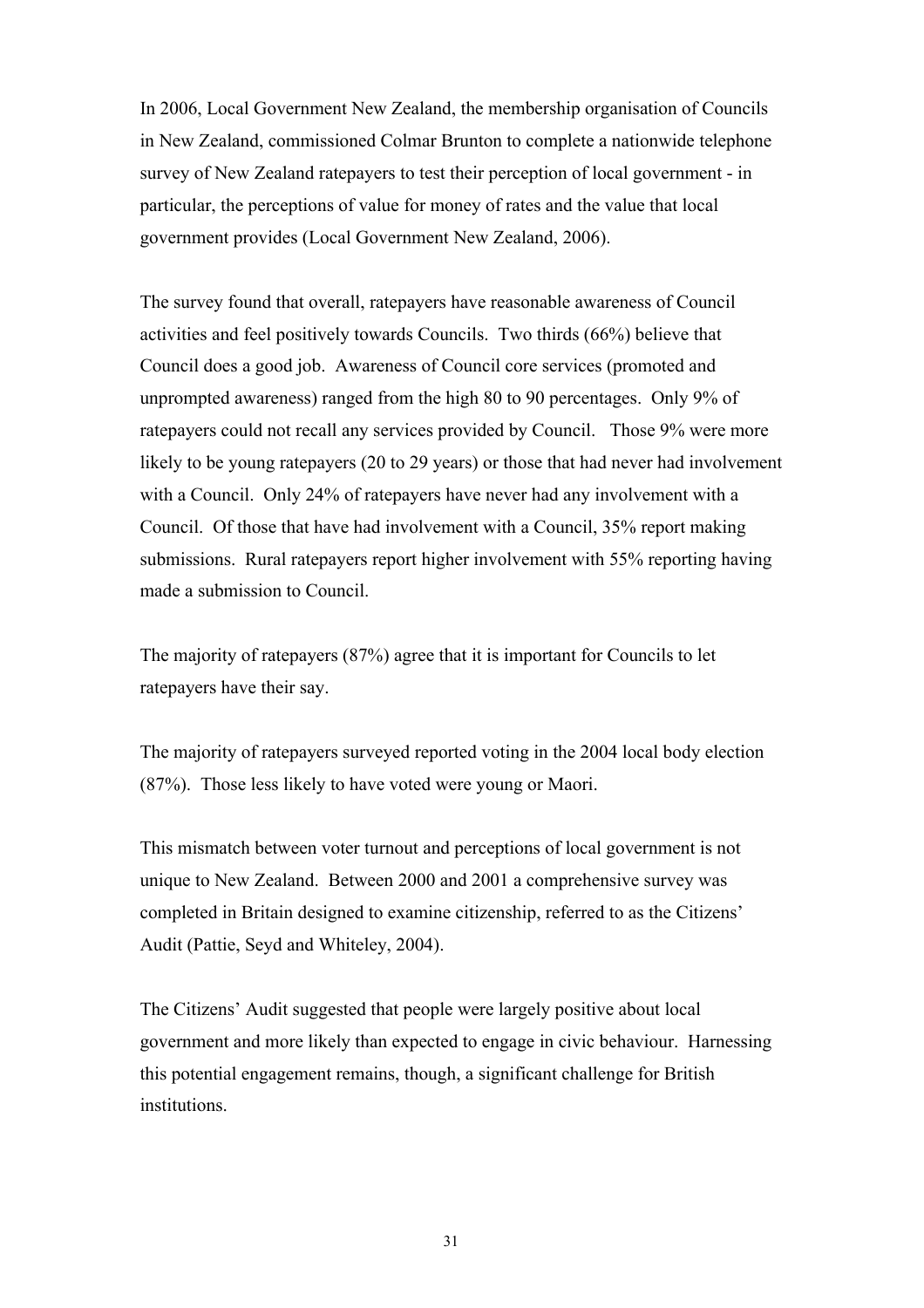In 2006, Local Government New Zealand, the membership organisation of Councils in New Zealand, commissioned Colmar Brunton to complete a nationwide telephone survey of New Zealand ratepayers to test their perception of local government - in particular, the perceptions of value for money of rates and the value that local government provides (Local Government New Zealand, 2006).

The survey found that overall, ratepayers have reasonable awareness of Council activities and feel positively towards Councils. Two thirds (66%) believe that Council does a good job. Awareness of Council core services (promoted and unprompted awareness) ranged from the high 80 to 90 percentages. Only 9% of ratepayers could not recall any services provided by Council. Those 9% were more likely to be young ratepayers (20 to 29 years) or those that had never had involvement with a Council. Only 24% of ratepayers have never had any involvement with a Council. Of those that have had involvement with a Council, 35% report making submissions. Rural ratepayers report higher involvement with 55% reporting having made a submission to Council.

The majority of ratepayers (87%) agree that it is important for Councils to let ratepayers have their say.

The majority of ratepayers surveyed reported voting in the 2004 local body election (87%). Those less likely to have voted were young or Maori.

This mismatch between voter turnout and perceptions of local government is not unique to New Zealand. Between 2000 and 2001 a comprehensive survey was completed in Britain designed to examine citizenship, referred to as the Citizens' Audit (Pattie, Seyd and Whiteley, 2004).

The Citizens' Audit suggested that people were largely positive about local government and more likely than expected to engage in civic behaviour. Harnessing this potential engagement remains, though, a significant challenge for British institutions.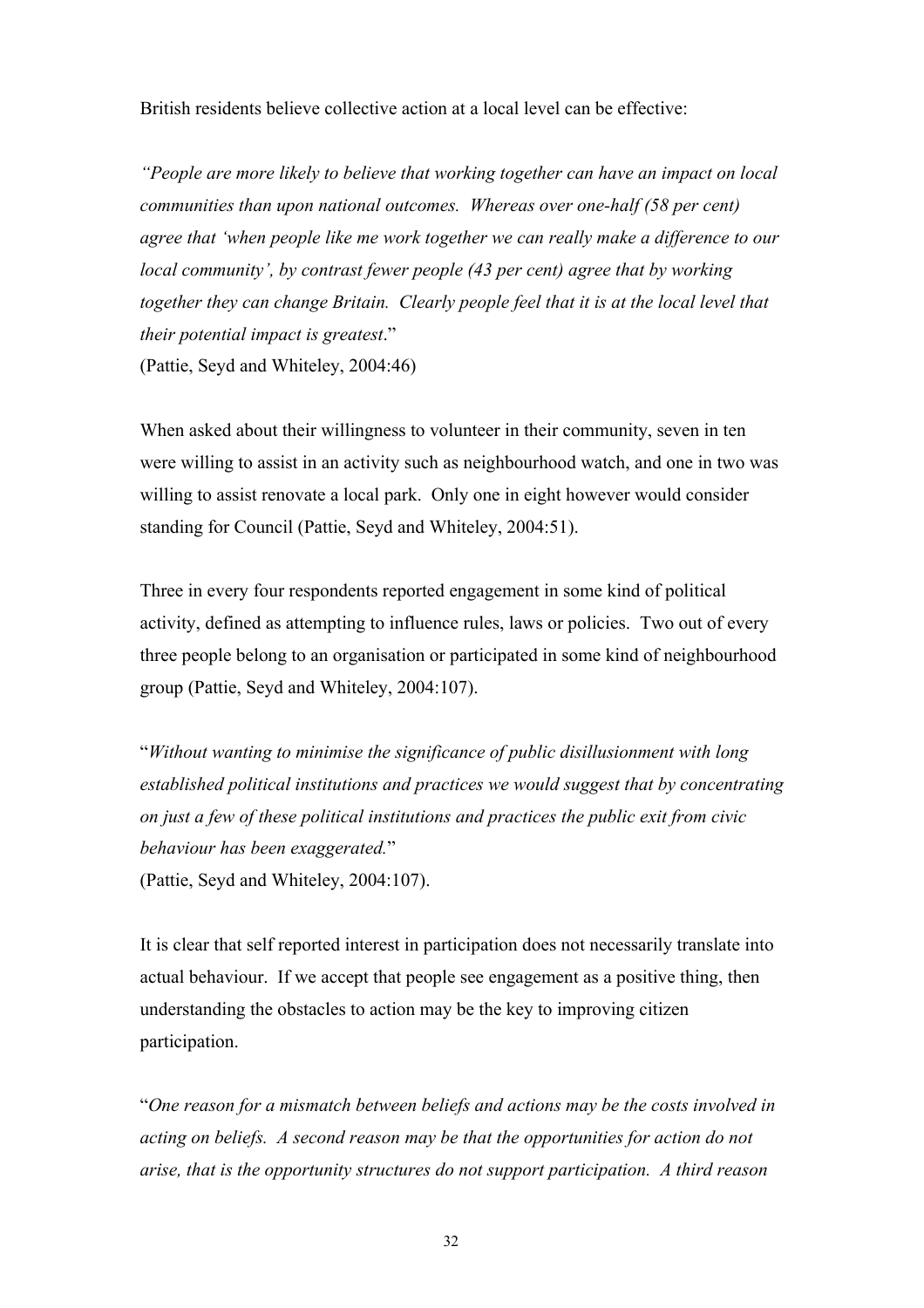British residents believe collective action at a local level can be effective:

*"People are more likely to believe that working together can have an impact on local communities than upon national outcomes. Whereas over one-half (58 per cent) agree that 'when people like me work together we can really make a difference to our local community', by contrast fewer people (43 per cent) agree that by working together they can change Britain. Clearly people feel that it is at the local level that their potential impact is greatest*." (Pattie, Seyd and Whiteley, 2004:46)

When asked about their willingness to volunteer in their community, seven in ten were willing to assist in an activity such as neighbourhood watch, and one in two was willing to assist renovate a local park. Only one in eight however would consider standing for Council (Pattie, Seyd and Whiteley, 2004:51).

Three in every four respondents reported engagement in some kind of political activity, defined as attempting to influence rules, laws or policies. Two out of every three people belong to an organisation or participated in some kind of neighbourhood group (Pattie, Seyd and Whiteley, 2004:107).

"*Without wanting to minimise the significance of public disillusionment with long established political institutions and practices we would suggest that by concentrating on just a few of these political institutions and practices the public exit from civic behaviour has been exaggerated.*" (Pattie, Seyd and Whiteley, 2004:107).

It is clear that self reported interest in participation does not necessarily translate into actual behaviour. If we accept that people see engagement as a positive thing, then understanding the obstacles to action may be the key to improving citizen participation.

"*One reason for a mismatch between beliefs and actions may be the costs involved in acting on beliefs. A second reason may be that the opportunities for action do not arise, that is the opportunity structures do not support participation. A third reason*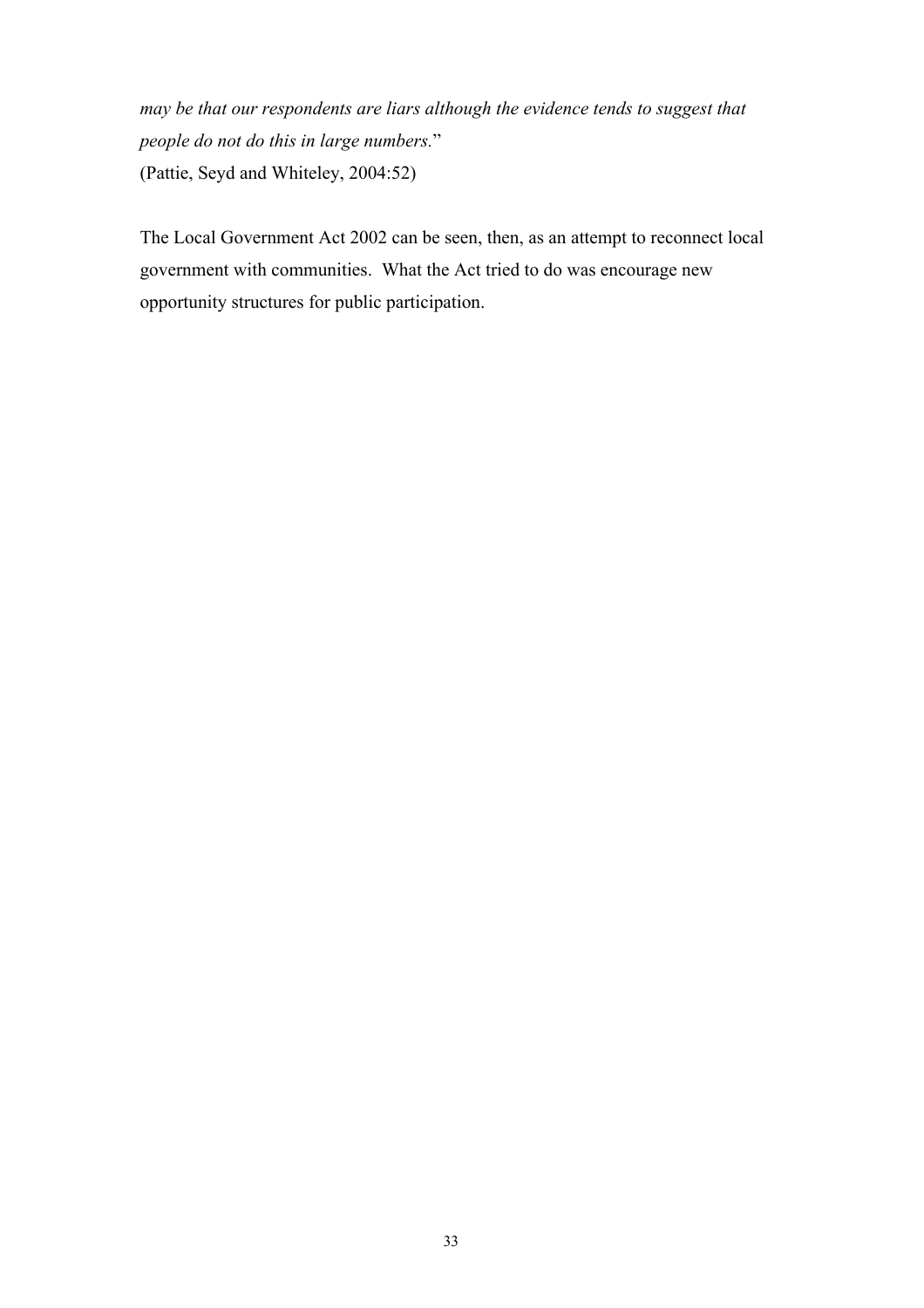*may be that our respondents are liars although the evidence tends to suggest that people do not do this in large numbers.*" (Pattie, Seyd and Whiteley, 2004:52)

The Local Government Act 2002 can be seen, then, as an attempt to reconnect local government with communities. What the Act tried to do was encourage new opportunity structures for public participation.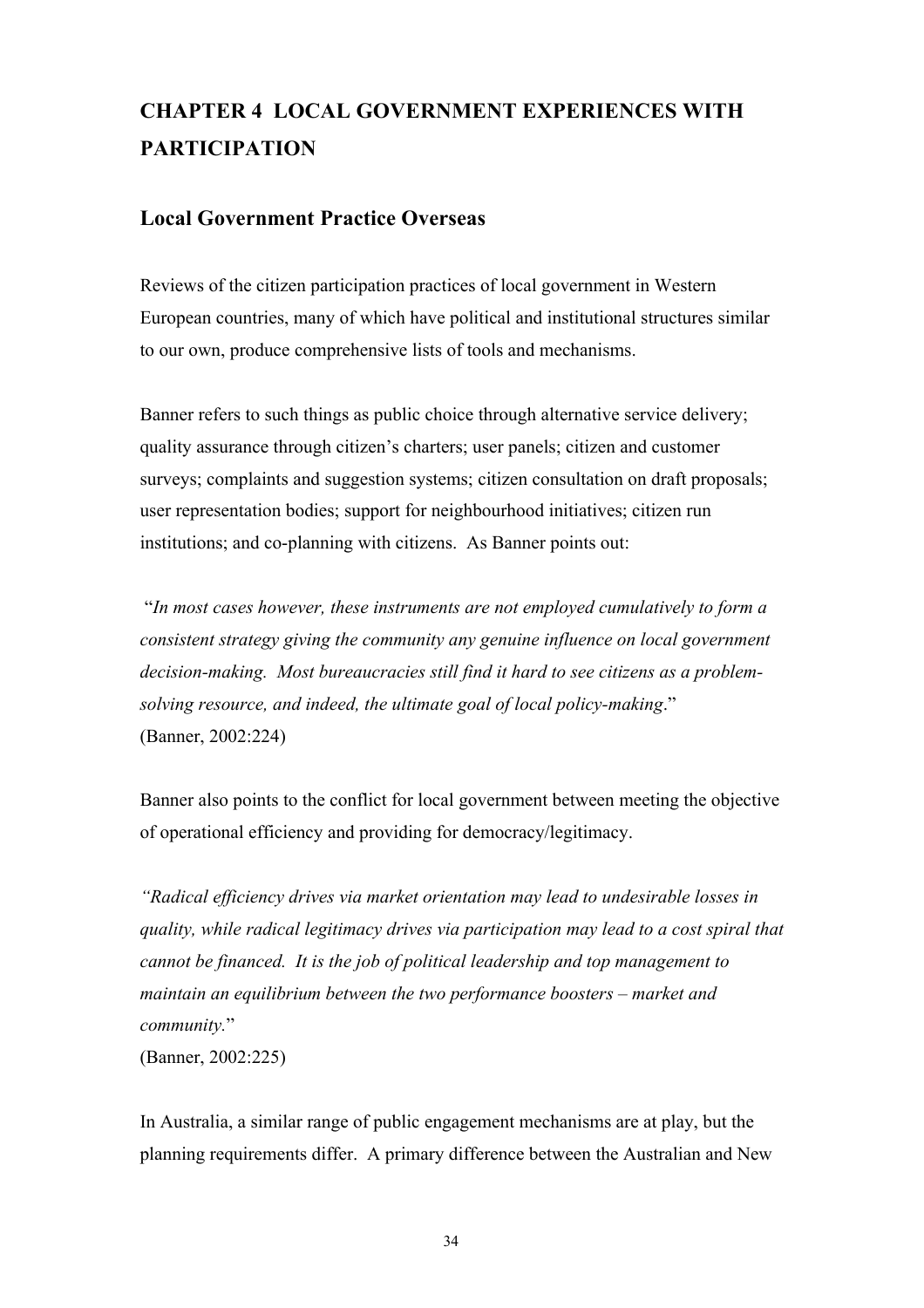# **CHAPTER 4 LOCAL GOVERNMENT EXPERIENCES WITH PARTICIPATION**

## **Local Government Practice Overseas**

Reviews of the citizen participation practices of local government in Western European countries, many of which have political and institutional structures similar to our own, produce comprehensive lists of tools and mechanisms.

Banner refers to such things as public choice through alternative service delivery; quality assurance through citizen's charters; user panels; citizen and customer surveys; complaints and suggestion systems; citizen consultation on draft proposals; user representation bodies; support for neighbourhood initiatives; citizen run institutions; and co-planning with citizens. As Banner points out:

 "*In most cases however, these instruments are not employed cumulatively to form a consistent strategy giving the community any genuine influence on local government decision-making. Most bureaucracies still find it hard to see citizens as a problemsolving resource, and indeed, the ultimate goal of local policy-making*." (Banner, 2002:224)

Banner also points to the conflict for local government between meeting the objective of operational efficiency and providing for democracy/legitimacy.

*"Radical efficiency drives via market orientation may lead to undesirable losses in quality, while radical legitimacy drives via participation may lead to a cost spiral that cannot be financed. It is the job of political leadership and top management to maintain an equilibrium between the two performance boosters – market and community.*"

(Banner, 2002:225)

In Australia, a similar range of public engagement mechanisms are at play, but the planning requirements differ. A primary difference between the Australian and New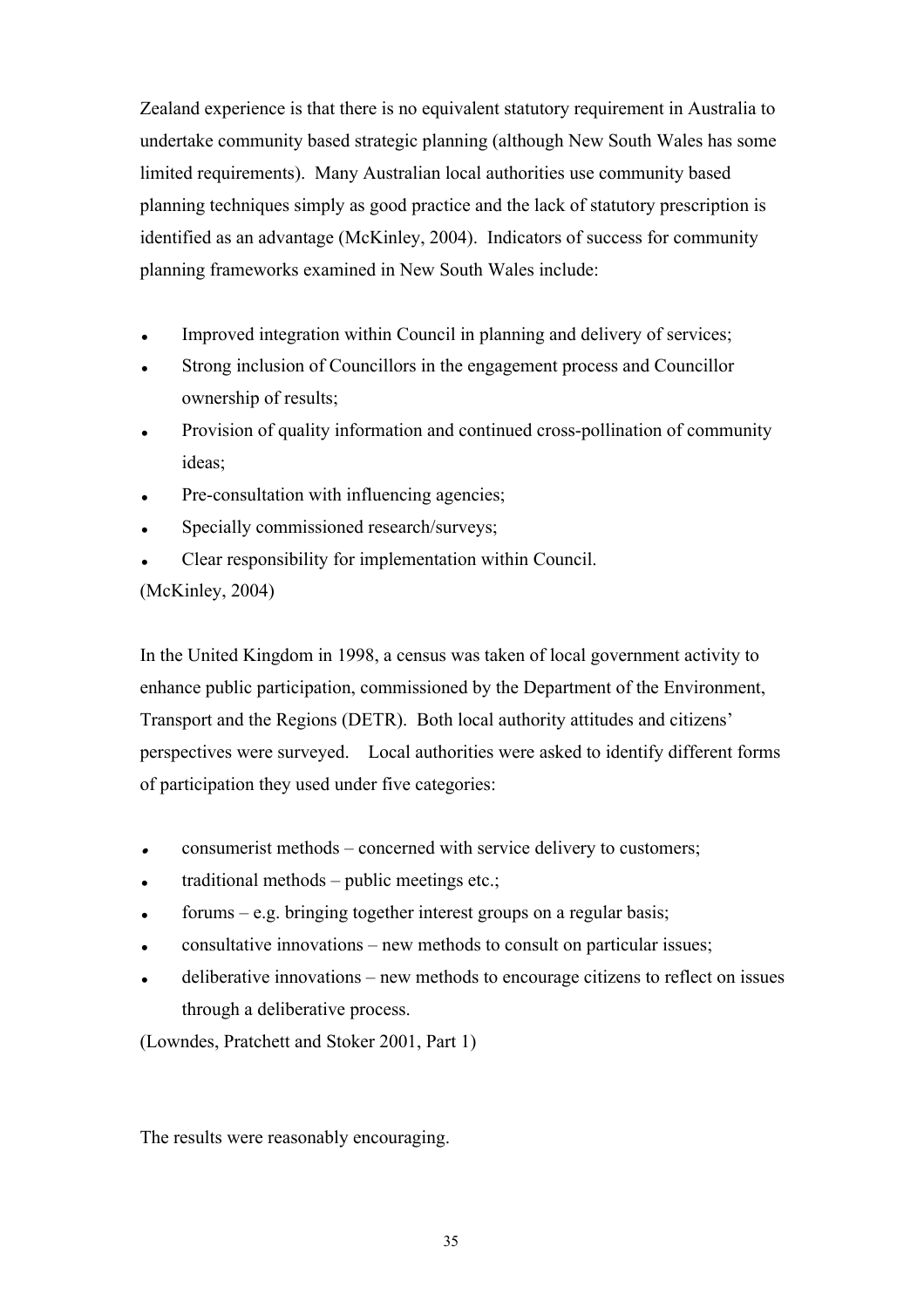Zealand experience is that there is no equivalent statutory requirement in Australia to undertake community based strategic planning (although New South Wales has some limited requirements). Many Australian local authorities use community based planning techniques simply as good practice and the lack of statutory prescription is identified as an advantage (McKinley, 2004). Indicators of success for community planning frameworks examined in New South Wales include:

- Improved integration within Council in planning and delivery of services;
- Strong inclusion of Councillors in the engagement process and Councillor ownership of results;
- Provision of quality information and continued cross-pollination of community ideas;
- Pre-consultation with influencing agencies;
- Specially commissioned research/surveys;
- Clear responsibility for implementation within Council.

#### (McKinley, 2004)

In the United Kingdom in 1998, a census was taken of local government activity to enhance public participation, commissioned by the Department of the Environment, Transport and the Regions (DETR). Both local authority attitudes and citizens' perspectives were surveyed. Local authorities were asked to identify different forms of participation they used under five categories:

- consumerist methods concerned with service delivery to customers;
- $\bullet$  traditional methods public meetings etc.;
- $\epsilon$  forums e.g. bringing together interest groups on a regular basis;
- consultative innovations new methods to consult on particular issues;
- deliberative innovations new methods to encourage citizens to reflect on issues through a deliberative process.

(Lowndes, Pratchett and Stoker 2001, Part 1)

The results were reasonably encouraging.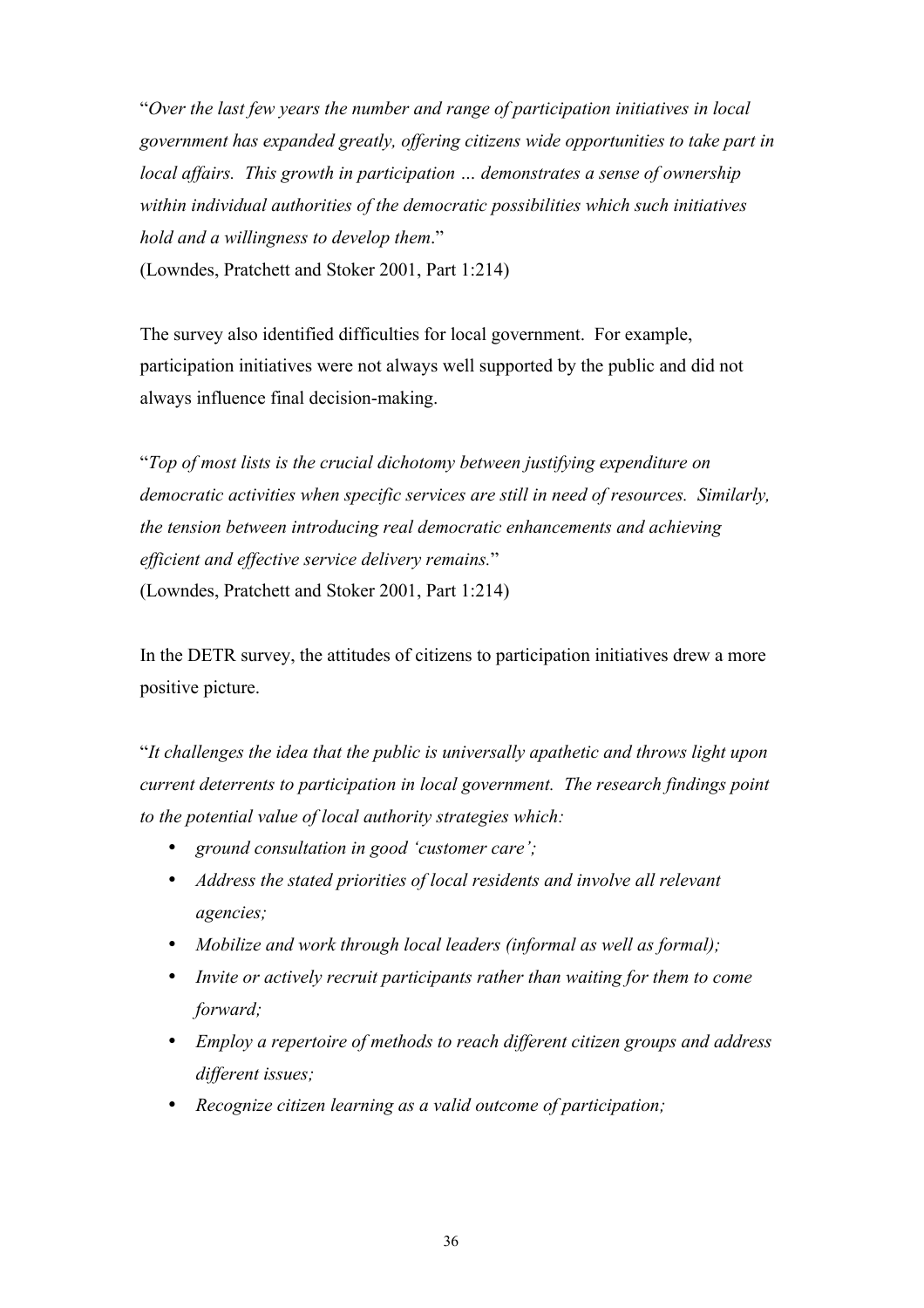"*Over the last few years the number and range of participation initiatives in local government has expanded greatly, offering citizens wide opportunities to take part in local affairs. This growth in participation … demonstrates a sense of ownership within individual authorities of the democratic possibilities which such initiatives hold and a willingness to develop them*." (Lowndes, Pratchett and Stoker 2001, Part 1:214)

The survey also identified difficulties for local government. For example, participation initiatives were not always well supported by the public and did not always influence final decision-making.

"*Top of most lists is the crucial dichotomy between justifying expenditure on democratic activities when specific services are still in need of resources. Similarly, the tension between introducing real democratic enhancements and achieving efficient and effective service delivery remains.*" (Lowndes, Pratchett and Stoker 2001, Part 1:214)

In the DETR survey, the attitudes of citizens to participation initiatives drew a more positive picture.

"*It challenges the idea that the public is universally apathetic and throws light upon current deterrents to participation in local government. The research findings point to the potential value of local authority strategies which:*

- *ground consultation in good 'customer care';*
- *Address the stated priorities of local residents and involve all relevant agencies;*
- *Mobilize and work through local leaders (informal as well as formal);*
- *Invite or actively recruit participants rather than waiting for them to come forward;*
- *Employ a repertoire of methods to reach different citizen groups and address different issues;*
- *Recognize citizen learning as a valid outcome of participation;*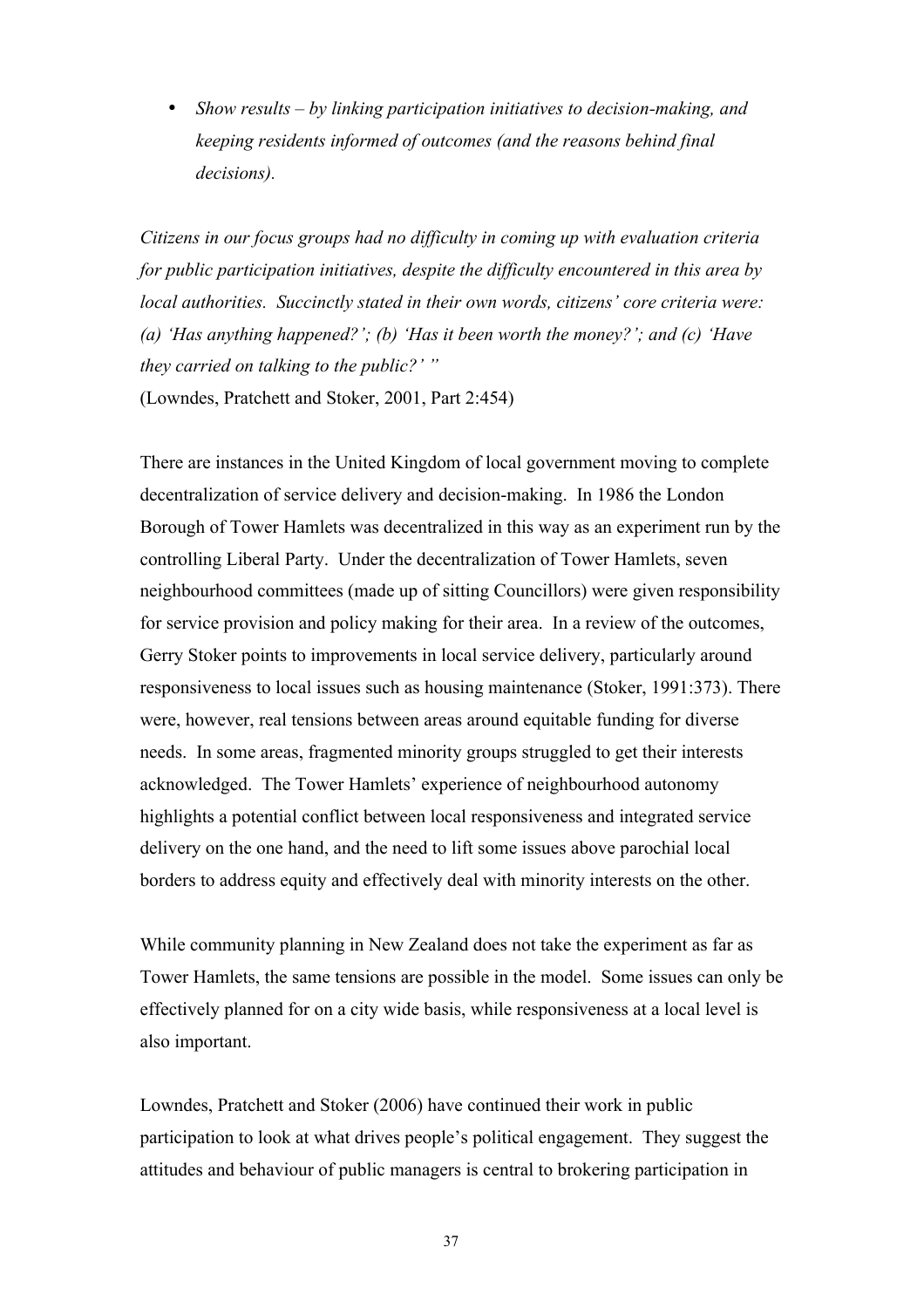• *Show results – by linking participation initiatives to decision-making, and keeping residents informed of outcomes (and the reasons behind final decisions).*

*Citizens in our focus groups had no difficulty in coming up with evaluation criteria for public participation initiatives, despite the difficulty encountered in this area by local authorities. Succinctly stated in their own words, citizens' core criteria were: (a) 'Has anything happened?'; (b) 'Has it been worth the money?'; and (c) 'Have they carried on talking to the public?' "* (Lowndes, Pratchett and Stoker, 2001, Part 2:454)

There are instances in the United Kingdom of local government moving to complete decentralization of service delivery and decision-making. In 1986 the London Borough of Tower Hamlets was decentralized in this way as an experiment run by the controlling Liberal Party. Under the decentralization of Tower Hamlets, seven neighbourhood committees (made up of sitting Councillors) were given responsibility for service provision and policy making for their area. In a review of the outcomes, Gerry Stoker points to improvements in local service delivery, particularly around responsiveness to local issues such as housing maintenance (Stoker, 1991:373). There were, however, real tensions between areas around equitable funding for diverse needs. In some areas, fragmented minority groups struggled to get their interests acknowledged. The Tower Hamlets' experience of neighbourhood autonomy highlights a potential conflict between local responsiveness and integrated service delivery on the one hand, and the need to lift some issues above parochial local borders to address equity and effectively deal with minority interests on the other.

While community planning in New Zealand does not take the experiment as far as Tower Hamlets, the same tensions are possible in the model. Some issues can only be effectively planned for on a city wide basis, while responsiveness at a local level is also important.

Lowndes, Pratchett and Stoker (2006) have continued their work in public participation to look at what drives people's political engagement. They suggest the attitudes and behaviour of public managers is central to brokering participation in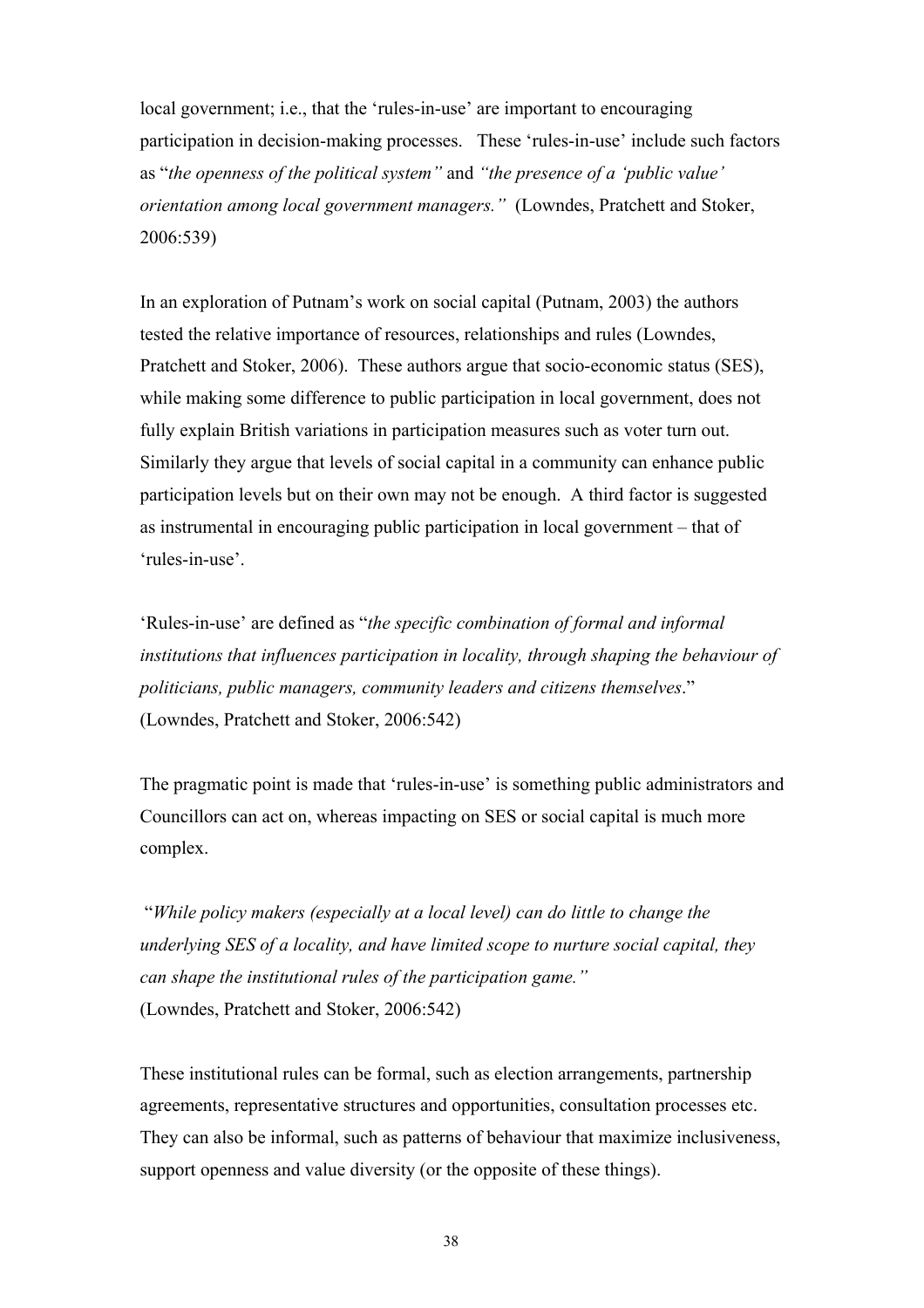local government; i.e., that the 'rules-in-use' are important to encouraging participation in decision-making processes. These 'rules-in-use' include such factors as "*the openness of the political system"* and *"the presence of a 'public value' orientation among local government managers."* (Lowndes, Pratchett and Stoker, 2006:539)

In an exploration of Putnam's work on social capital (Putnam, 2003) the authors tested the relative importance of resources, relationships and rules (Lowndes, Pratchett and Stoker, 2006). These authors argue that socio-economic status (SES), while making some difference to public participation in local government, does not fully explain British variations in participation measures such as voter turn out. Similarly they argue that levels of social capital in a community can enhance public participation levels but on their own may not be enough. A third factor is suggested as instrumental in encouraging public participation in local government – that of 'rules-in-use'.

'Rules-in-use' are defined as "*the specific combination of formal and informal institutions that influences participation in locality, through shaping the behaviour of politicians, public managers, community leaders and citizens themselves*." (Lowndes, Pratchett and Stoker, 2006:542)

The pragmatic point is made that 'rules-in-use' is something public administrators and Councillors can act on, whereas impacting on SES or social capital is much more complex.

 "*While policy makers (especially at a local level) can do little to change the underlying SES of a locality, and have limited scope to nurture social capital, they can shape the institutional rules of the participation game."*  (Lowndes, Pratchett and Stoker, 2006:542)

These institutional rules can be formal, such as election arrangements, partnership agreements, representative structures and opportunities, consultation processes etc. They can also be informal, such as patterns of behaviour that maximize inclusiveness, support openness and value diversity (or the opposite of these things).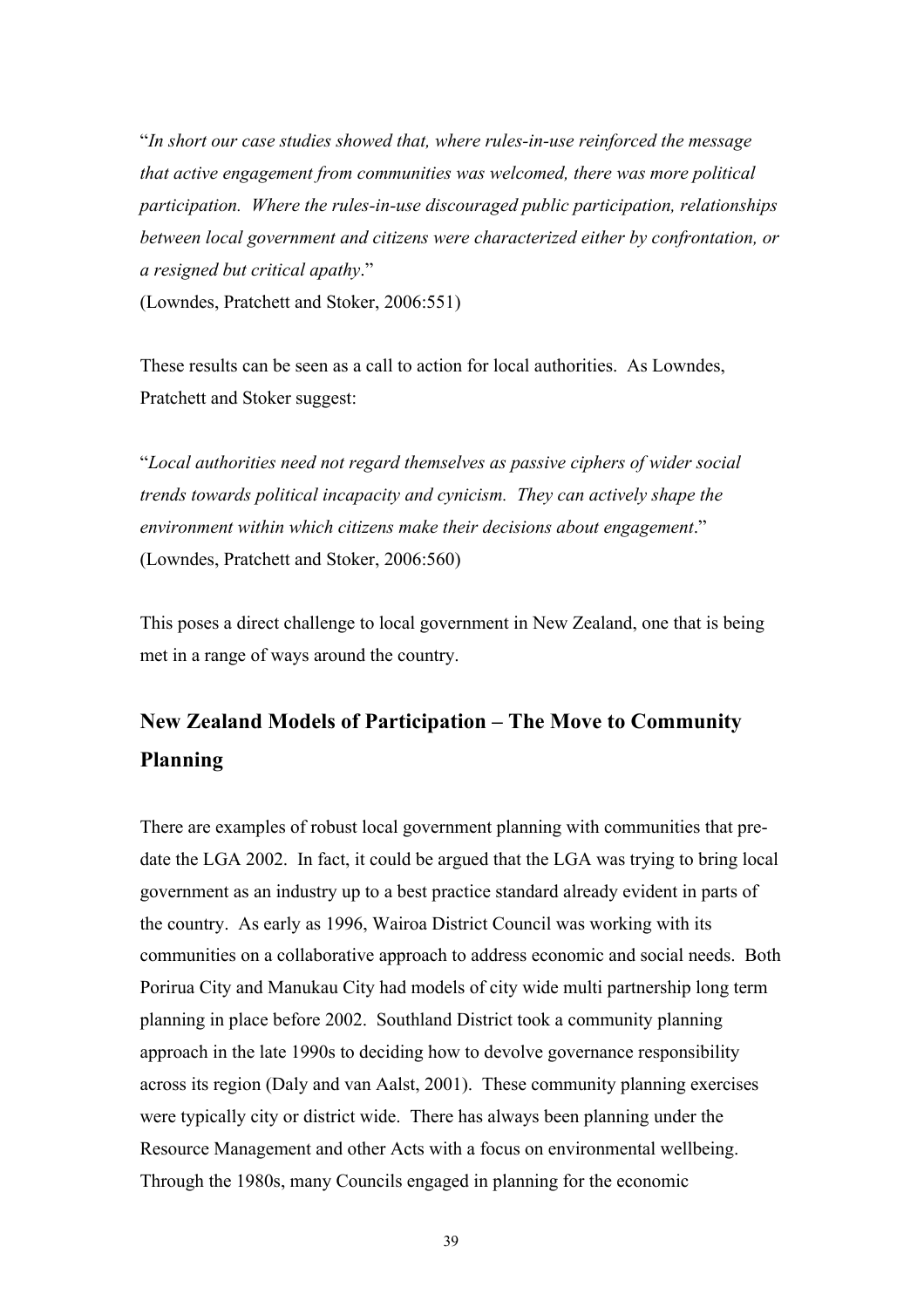"*In short our case studies showed that, where rules-in-use reinforced the message that active engagement from communities was welcomed, there was more political participation. Where the rules-in-use discouraged public participation, relationships between local government and citizens were characterized either by confrontation, or a resigned but critical apathy*." (Lowndes, Pratchett and Stoker, 2006:551)

These results can be seen as a call to action for local authorities. As Lowndes, Pratchett and Stoker suggest:

"*Local authorities need not regard themselves as passive ciphers of wider social trends towards political incapacity and cynicism. They can actively shape the environment within which citizens make their decisions about engagement*." (Lowndes, Pratchett and Stoker, 2006:560)

This poses a direct challenge to local government in New Zealand, one that is being met in a range of ways around the country.

# **New Zealand Models of Participation – The Move to Community Planning**

There are examples of robust local government planning with communities that predate the LGA 2002. In fact, it could be argued that the LGA was trying to bring local government as an industry up to a best practice standard already evident in parts of the country. As early as 1996, Wairoa District Council was working with its communities on a collaborative approach to address economic and social needs. Both Porirua City and Manukau City had models of city wide multi partnership long term planning in place before 2002. Southland District took a community planning approach in the late 1990s to deciding how to devolve governance responsibility across its region (Daly and van Aalst, 2001). These community planning exercises were typically city or district wide. There has always been planning under the Resource Management and other Acts with a focus on environmental wellbeing. Through the 1980s, many Councils engaged in planning for the economic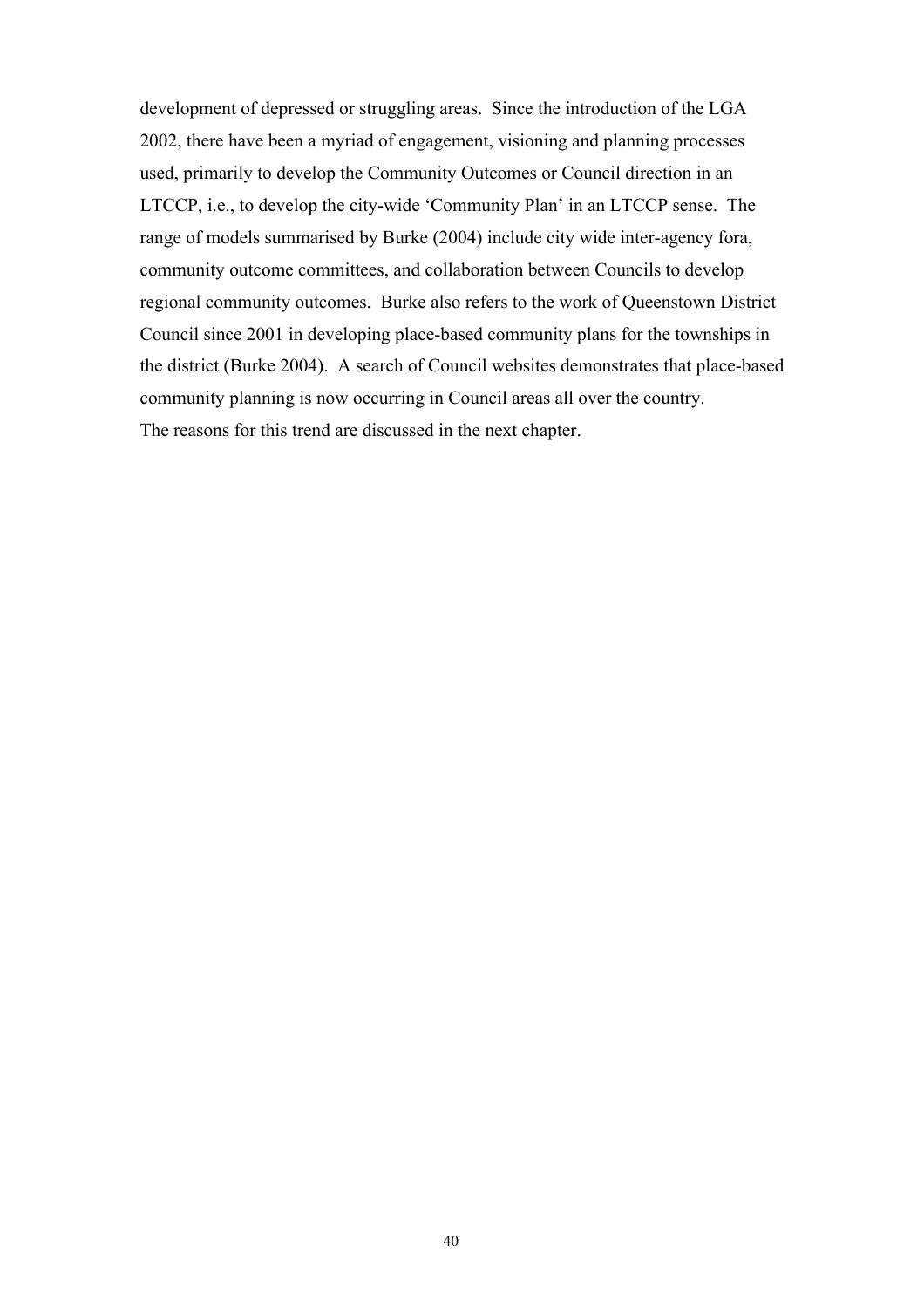development of depressed or struggling areas. Since the introduction of the LGA 2002, there have been a myriad of engagement, visioning and planning processes used, primarily to develop the Community Outcomes or Council direction in an LTCCP, i.e., to develop the city-wide 'Community Plan' in an LTCCP sense. The range of models summarised by Burke (2004) include city wide inter-agency fora, community outcome committees, and collaboration between Councils to develop regional community outcomes. Burke also refers to the work of Queenstown District Council since 2001 in developing place-based community plans for the townships in the district (Burke 2004). A search of Council websites demonstrates that place-based community planning is now occurring in Council areas all over the country. The reasons for this trend are discussed in the next chapter.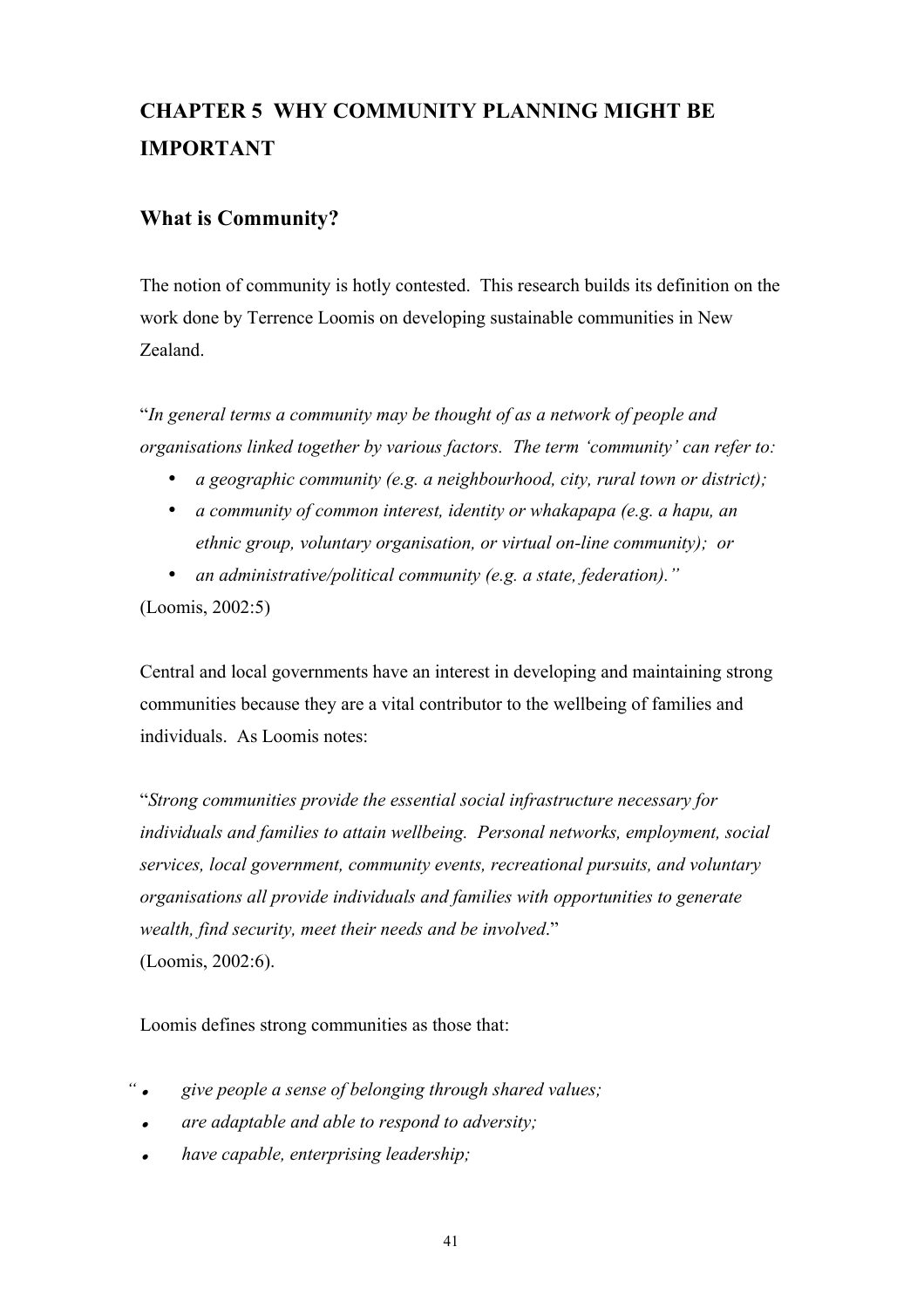# **CHAPTER 5 WHY COMMUNITY PLANNING MIGHT BE IMPORTANT**

# **What is Community?**

The notion of community is hotly contested. This research builds its definition on the work done by Terrence Loomis on developing sustainable communities in New Zealand.

"*In general terms a community may be thought of as a network of people and organisations linked together by various factors. The term 'community' can refer to:*

- *a geographic community (e.g. a neighbourhood, city, rural town or district);*
- *a community of common interest, identity or whakapapa (e.g. a hapu, an ethnic group, voluntary organisation, or virtual on-line community); or*
- *an administrative/political community (e.g. a state, federation)."*

(Loomis, 2002:5)

Central and local governments have an interest in developing and maintaining strong communities because they are a vital contributor to the wellbeing of families and individuals. As Loomis notes:

"*Strong communities provide the essential social infrastructure necessary for individuals and families to attain wellbeing. Personal networks, employment, social services, local government, community events, recreational pursuits, and voluntary organisations all provide individuals and families with opportunities to generate wealth, find security, meet their needs and be involved*." (Loomis, 2002:6).

Loomis defines strong communities as those that:

- *" give people a sense of belonging through shared values;*
	- $\bullet$ *are adaptable and able to respond to adversity;*
	- . *have capable, enterprising leadership;*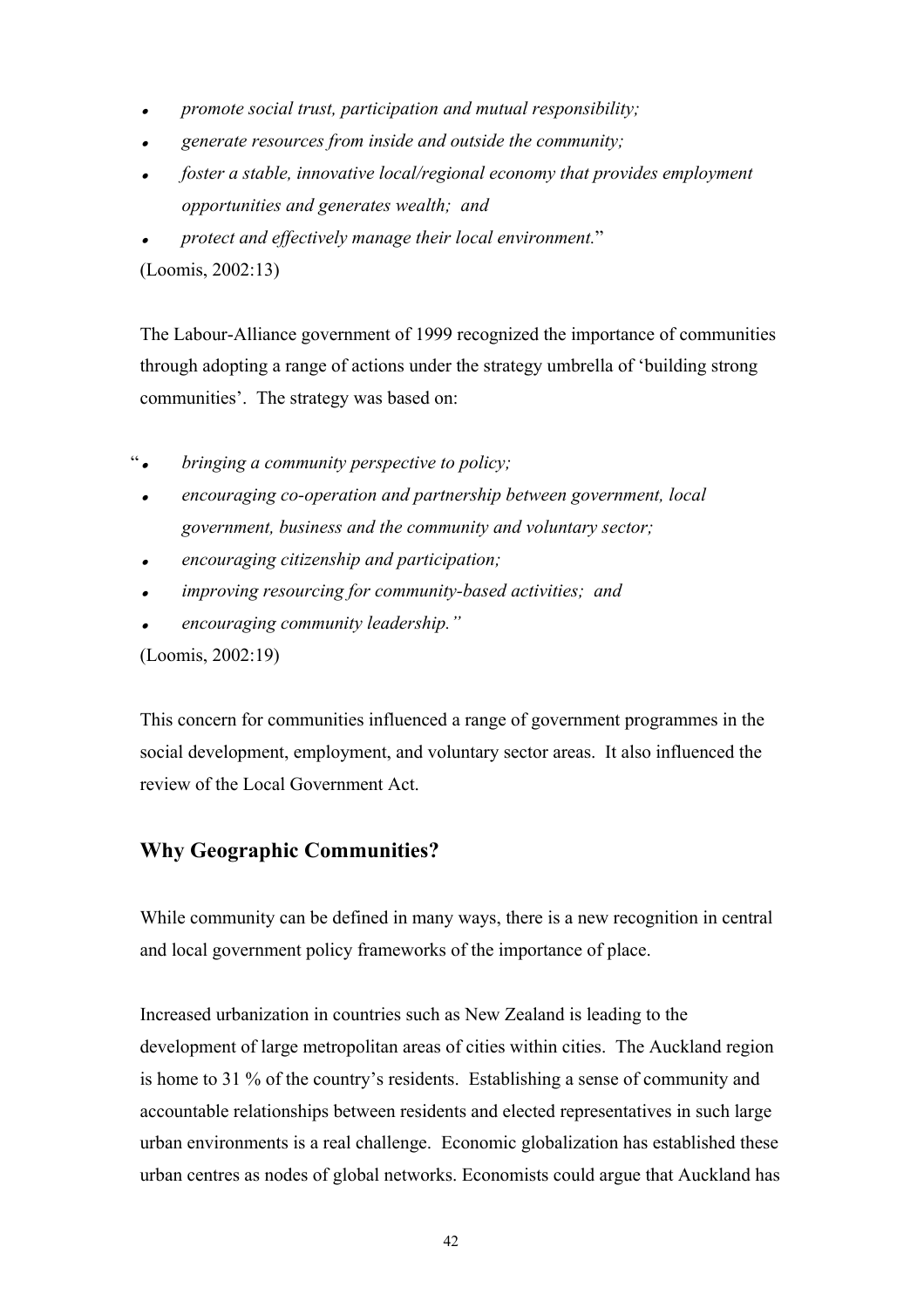- $\bullet$ *promote social trust, participation and mutual responsibility;*
- . *generate resources from inside and outside the community;*
- . *foster a stable, innovative local/regional economy that provides employment opportunities and generates wealth; and*
- . *protect and effectively manage their local environment.*"

(Loomis, 2002:13)

The Labour-Alliance government of 1999 recognized the importance of communities through adopting a range of actions under the strategy umbrella of 'building strong communities'. The strategy was based on:

- " *bringing a community perspective to policy;*
	- $\bullet$  *encouraging co-operation and partnership between government, local government, business and the community and voluntary sector;*
	- . *encouraging citizenship and participation;*
	- . *improving resourcing for community-based activities; and*
	- . *encouraging community leadership."*

(Loomis, 2002:19)

This concern for communities influenced a range of government programmes in the social development, employment, and voluntary sector areas. It also influenced the review of the Local Government Act.

# **Why Geographic Communities?**

While community can be defined in many ways, there is a new recognition in central and local government policy frameworks of the importance of place.

Increased urbanization in countries such as New Zealand is leading to the development of large metropolitan areas of cities within cities. The Auckland region is home to 31 % of the country's residents. Establishing a sense of community and accountable relationships between residents and elected representatives in such large urban environments is a real challenge. Economic globalization has established these urban centres as nodes of global networks. Economists could argue that Auckland has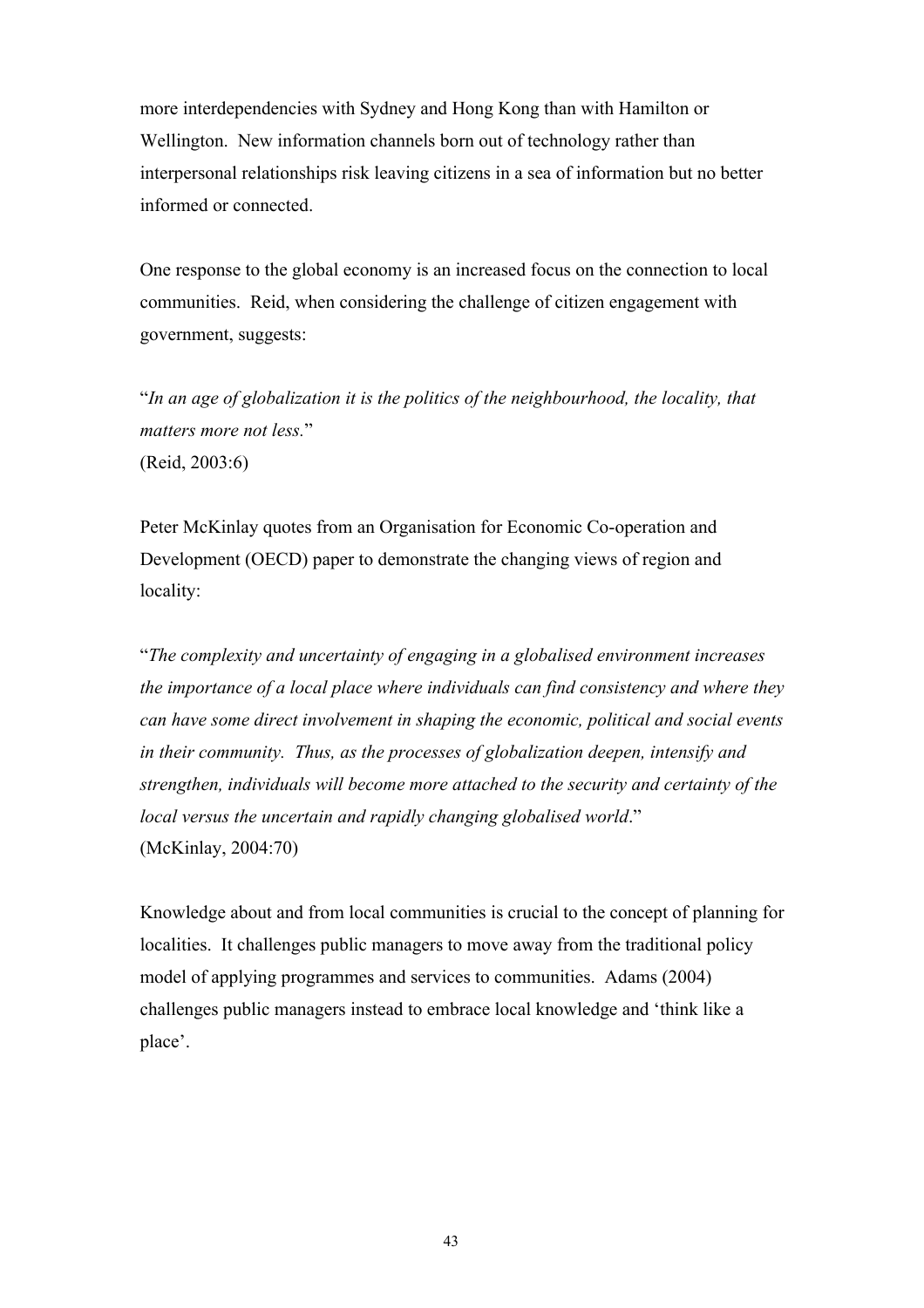more interdependencies with Sydney and Hong Kong than with Hamilton or Wellington. New information channels born out of technology rather than interpersonal relationships risk leaving citizens in a sea of information but no better informed or connected.

One response to the global economy is an increased focus on the connection to local communities. Reid, when considering the challenge of citizen engagement with government, suggests:

"*In an age of globalization it is the politics of the neighbourhood, the locality, that matters more not less.*" (Reid, 2003:6)

Peter McKinlay quotes from an Organisation for Economic Co-operation and Development (OECD) paper to demonstrate the changing views of region and locality:

"*The complexity and uncertainty of engaging in a globalised environment increases the importance of a local place where individuals can find consistency and where they can have some direct involvement in shaping the economic, political and social events in their community. Thus, as the processes of globalization deepen, intensify and strengthen, individuals will become more attached to the security and certainty of the local versus the uncertain and rapidly changing globalised world*." (McKinlay, 2004:70)

Knowledge about and from local communities is crucial to the concept of planning for localities. It challenges public managers to move away from the traditional policy model of applying programmes and services to communities. Adams (2004) challenges public managers instead to embrace local knowledge and 'think like a place'.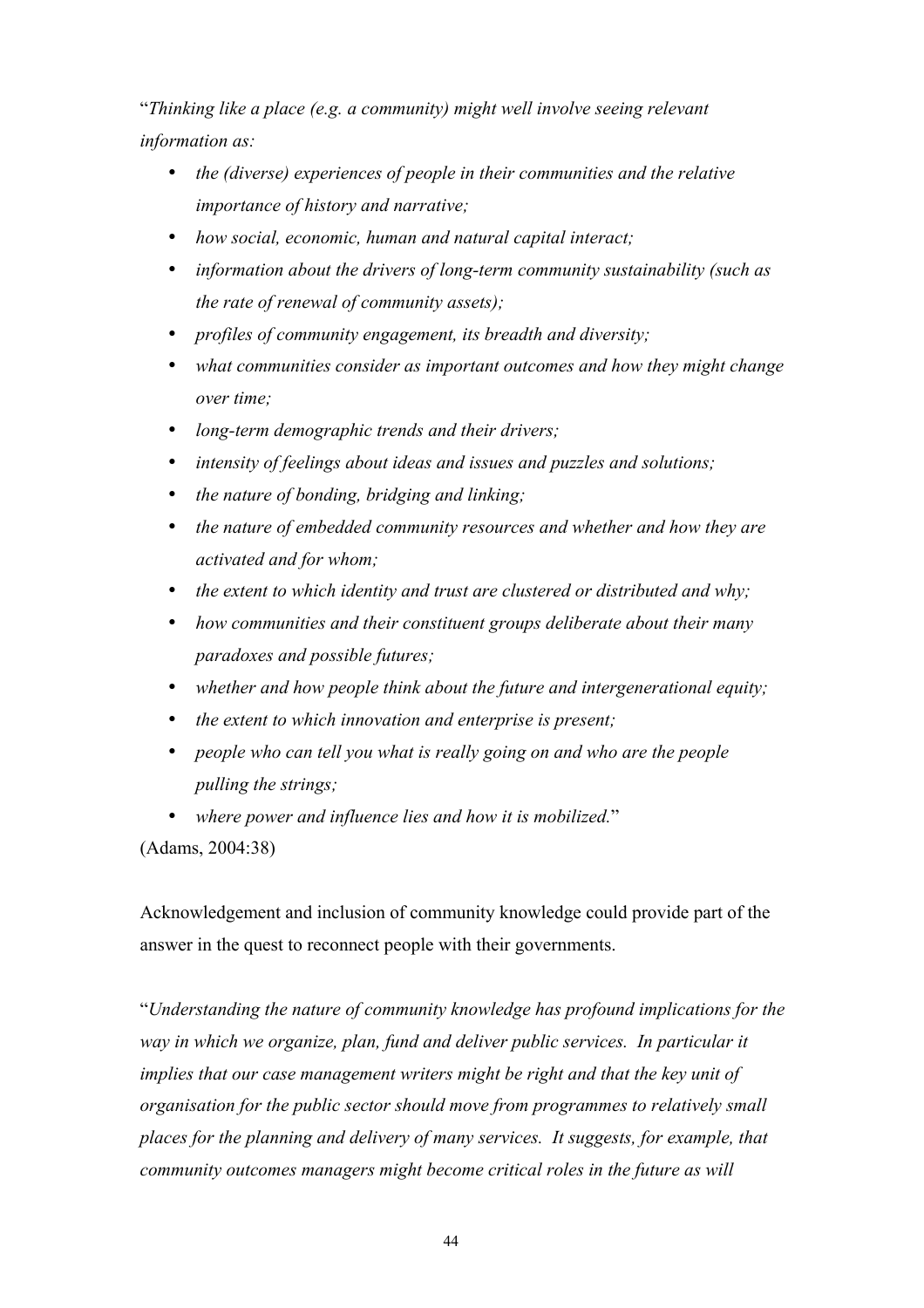"*Thinking like a place (e.g. a community) might well involve seeing relevant information as:*

- *the (diverse) experiences of people in their communities and the relative importance of history and narrative;*
- *how social, economic, human and natural capital interact;*
- *information about the drivers of long-term community sustainability (such as the rate of renewal of community assets);*
- *profiles of community engagement, its breadth and diversity;*
- *what communities consider as important outcomes and how they might change over time;*
- *long-term demographic trends and their drivers;*
- *intensity of feelings about ideas and issues and puzzles and solutions;*
- *the nature of bonding, bridging and linking;*
- *the nature of embedded community resources and whether and how they are activated and for whom;*
- *the extent to which identity and trust are clustered or distributed and why;*
- *how communities and their constituent groups deliberate about their many paradoxes and possible futures;*
- *whether and how people think about the future and intergenerational equity;*
- *the extent to which innovation and enterprise is present;*
- *people who can tell you what is really going on and who are the people pulling the strings;*
- *where power and influence lies and how it is mobilized.*"

(Adams, 2004:38)

Acknowledgement and inclusion of community knowledge could provide part of the answer in the quest to reconnect people with their governments.

"*Understanding the nature of community knowledge has profound implications for the way in which we organize, plan, fund and deliver public services. In particular it implies that our case management writers might be right and that the key unit of organisation for the public sector should move from programmes to relatively small places for the planning and delivery of many services. It suggests, for example, that community outcomes managers might become critical roles in the future as will*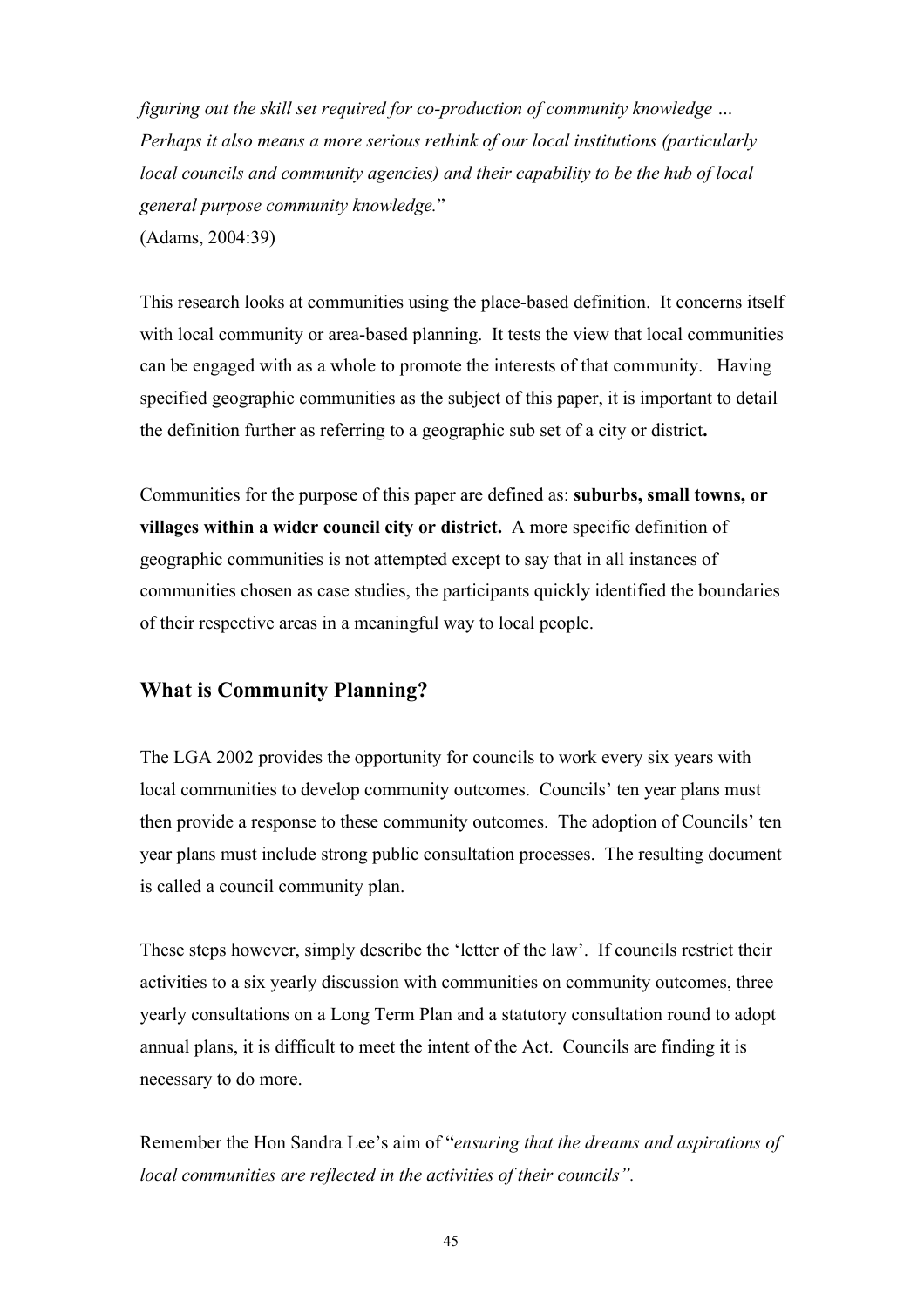*figuring out the skill set required for co-production of community knowledge … Perhaps it also means a more serious rethink of our local institutions (particularly local councils and community agencies) and their capability to be the hub of local general purpose community knowledge.*" (Adams, 2004:39)

This research looks at communities using the place-based definition. It concerns itself with local community or area-based planning. It tests the view that local communities can be engaged with as a whole to promote the interests of that community. Having specified geographic communities as the subject of this paper, it is important to detail the definition further as referring to a geographic sub set of a city or district**.** 

Communities for the purpose of this paper are defined as: **suburbs, small towns, or villages within a wider council city or district.** A more specific definition of geographic communities is not attempted except to say that in all instances of communities chosen as case studies, the participants quickly identified the boundaries of their respective areas in a meaningful way to local people.

## **What is Community Planning?**

The LGA 2002 provides the opportunity for councils to work every six years with local communities to develop community outcomes. Councils' ten year plans must then provide a response to these community outcomes. The adoption of Councils' ten year plans must include strong public consultation processes. The resulting document is called a council community plan.

These steps however, simply describe the 'letter of the law'. If councils restrict their activities to a six yearly discussion with communities on community outcomes, three yearly consultations on a Long Term Plan and a statutory consultation round to adopt annual plans, it is difficult to meet the intent of the Act. Councils are finding it is necessary to do more.

Remember the Hon Sandra Lee's aim of "*ensuring that the dreams and aspirations of local communities are reflected in the activities of their councils".*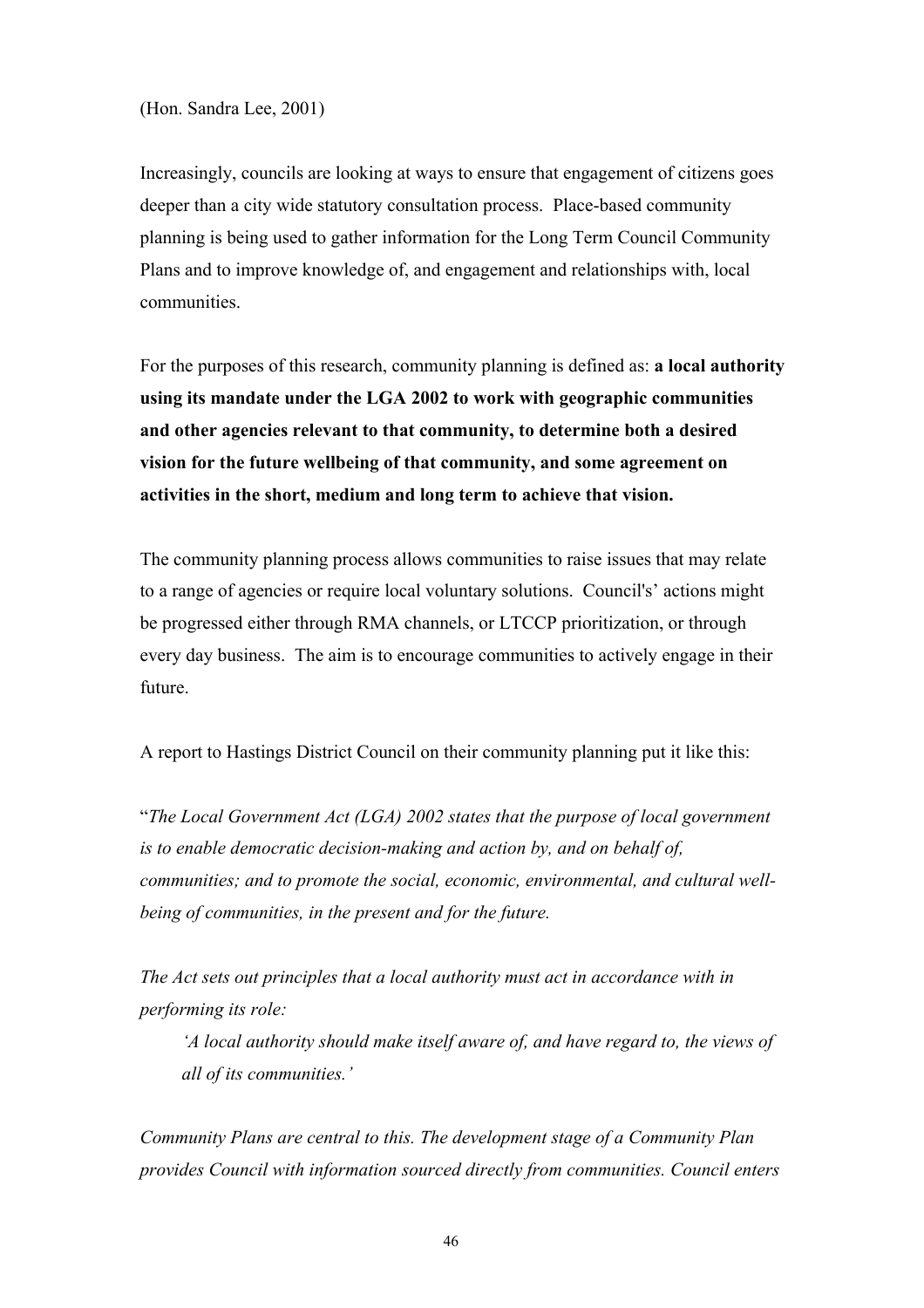(Hon. Sandra Lee, 2001)

Increasingly, councils are looking at ways to ensure that engagement of citizens goes deeper than a city wide statutory consultation process. Place-based community planning is being used to gather information for the Long Term Council Community Plans and to improve knowledge of, and engagement and relationships with, local communities.

For the purposes of this research, community planning is defined as: **a local authority using its mandate under the LGA 2002 to work with geographic communities and other agencies relevant to that community, to determine both a desired vision for the future wellbeing of that community, and some agreement on activities in the short, medium and long term to achieve that vision.** 

The community planning process allows communities to raise issues that may relate to a range of agencies or require local voluntary solutions. Council's' actions might be progressed either through RMA channels, or LTCCP prioritization, or through every day business. The aim is to encourage communities to actively engage in their future.

A report to Hastings District Council on their community planning put it like this:

"*The Local Government Act (LGA) 2002 states that the purpose of local government is to enable democratic decision-making and action by, and on behalf of, communities; and to promote the social, economic, environmental, and cultural wellbeing of communities, in the present and for the future.* 

*The Act sets out principles that a local authority must act in accordance with in performing its role:*

*'A local authority should make itself aware of, and have regard to, the views of all of its communities.'*

*Community Plans are central to this. The development stage of a Community Plan provides Council with information sourced directly from communities. Council enters*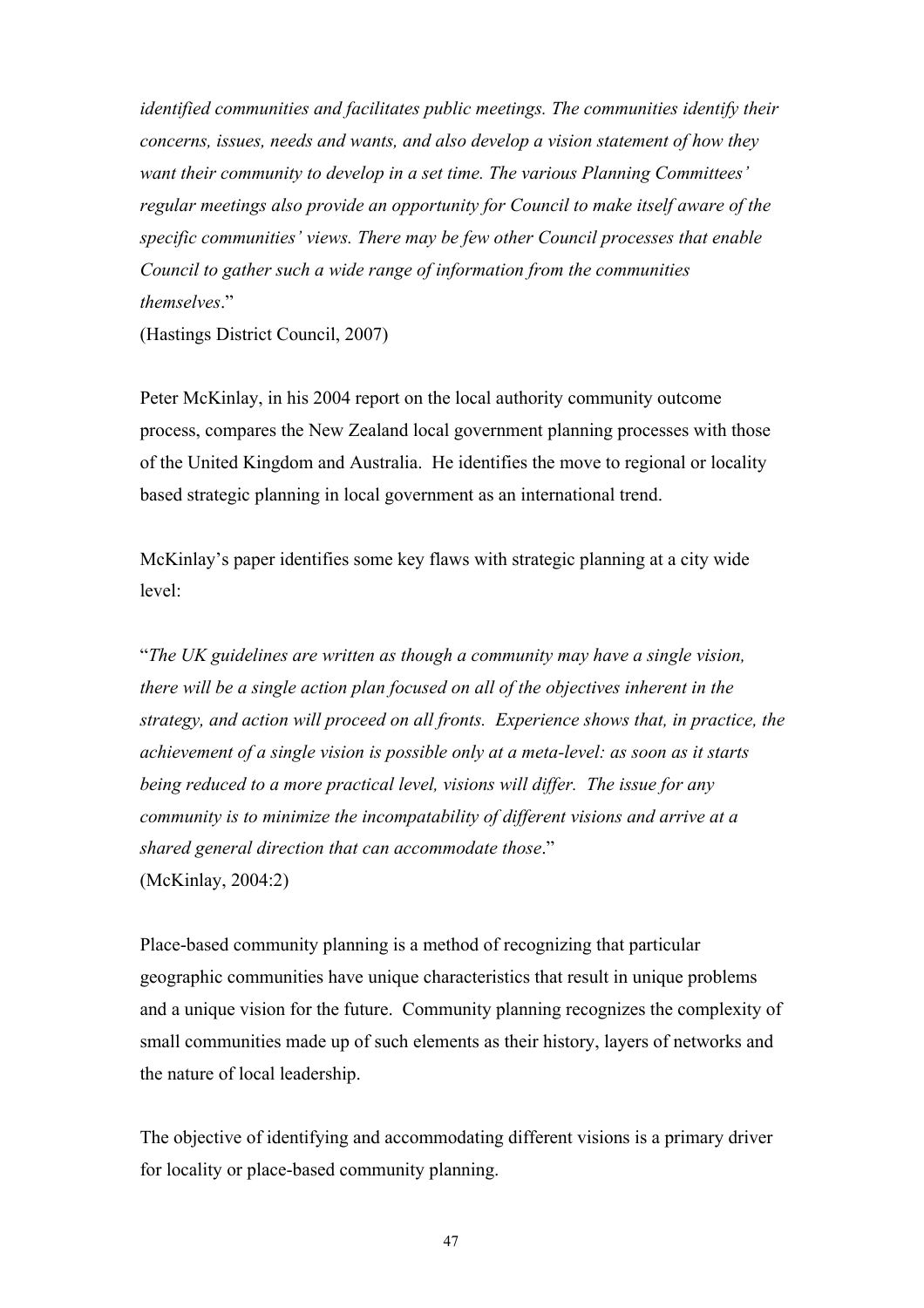*identified communities and facilitates public meetings. The communities identify their concerns, issues, needs and wants, and also develop a vision statement of how they want their community to develop in a set time. The various Planning Committees' regular meetings also provide an opportunity for Council to make itself aware of the specific communities' views. There may be few other Council processes that enable Council to gather such a wide range of information from the communities themselves*."

(Hastings District Council, 2007)

Peter McKinlay, in his 2004 report on the local authority community outcome process, compares the New Zealand local government planning processes with those of the United Kingdom and Australia. He identifies the move to regional or locality based strategic planning in local government as an international trend.

McKinlay's paper identifies some key flaws with strategic planning at a city wide level:

"*The UK guidelines are written as though a community may have a single vision, there will be a single action plan focused on all of the objectives inherent in the strategy, and action will proceed on all fronts. Experience shows that, in practice, the achievement of a single vision is possible only at a meta-level: as soon as it starts being reduced to a more practical level, visions will differ. The issue for any community is to minimize the incompatability of different visions and arrive at a shared general direction that can accommodate those*." (McKinlay, 2004:2)

Place-based community planning is a method of recognizing that particular geographic communities have unique characteristics that result in unique problems and a unique vision for the future. Community planning recognizes the complexity of small communities made up of such elements as their history, layers of networks and the nature of local leadership.

The objective of identifying and accommodating different visions is a primary driver for locality or place-based community planning.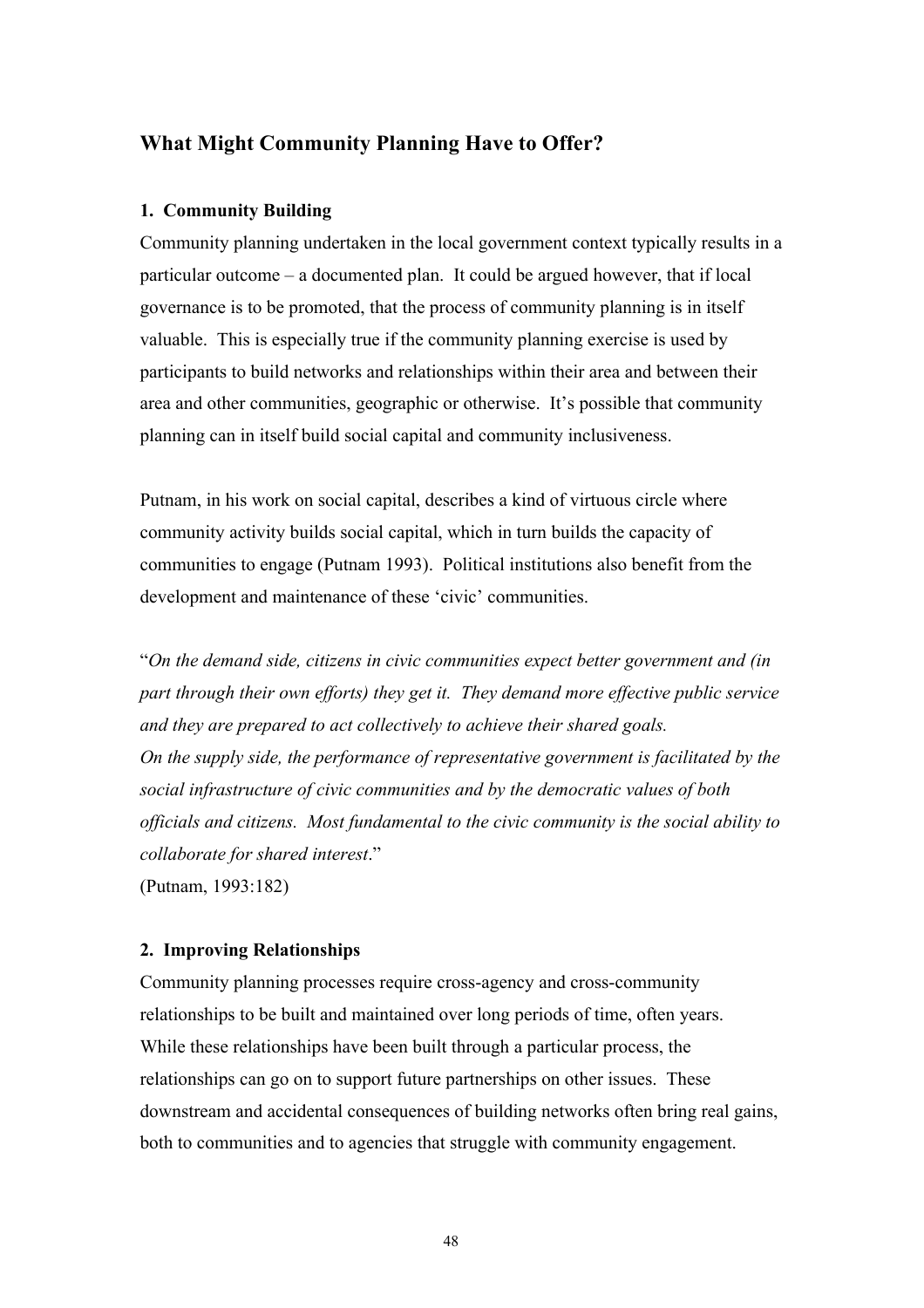# **What Might Community Planning Have to Offer?**

## **1. Community Building**

Community planning undertaken in the local government context typically results in a particular outcome – a documented plan. It could be argued however, that if local governance is to be promoted, that the process of community planning is in itself valuable. This is especially true if the community planning exercise is used by participants to build networks and relationships within their area and between their area and other communities, geographic or otherwise. It's possible that community planning can in itself build social capital and community inclusiveness.

Putnam, in his work on social capital, describes a kind of virtuous circle where community activity builds social capital, which in turn builds the capacity of communities to engage (Putnam 1993). Political institutions also benefit from the development and maintenance of these 'civic' communities.

"*On the demand side, citizens in civic communities expect better government and (in part through their own efforts) they get it. They demand more effective public service and they are prepared to act collectively to achieve their shared goals. On the supply side, the performance of representative government is facilitated by the social infrastructure of civic communities and by the democratic values of both officials and citizens. Most fundamental to the civic community is the social ability to collaborate for shared interest*." (Putnam, 1993:182)

## **2. Improving Relationships**

Community planning processes require cross-agency and cross-community relationships to be built and maintained over long periods of time, often years. While these relationships have been built through a particular process, the relationships can go on to support future partnerships on other issues. These downstream and accidental consequences of building networks often bring real gains, both to communities and to agencies that struggle with community engagement.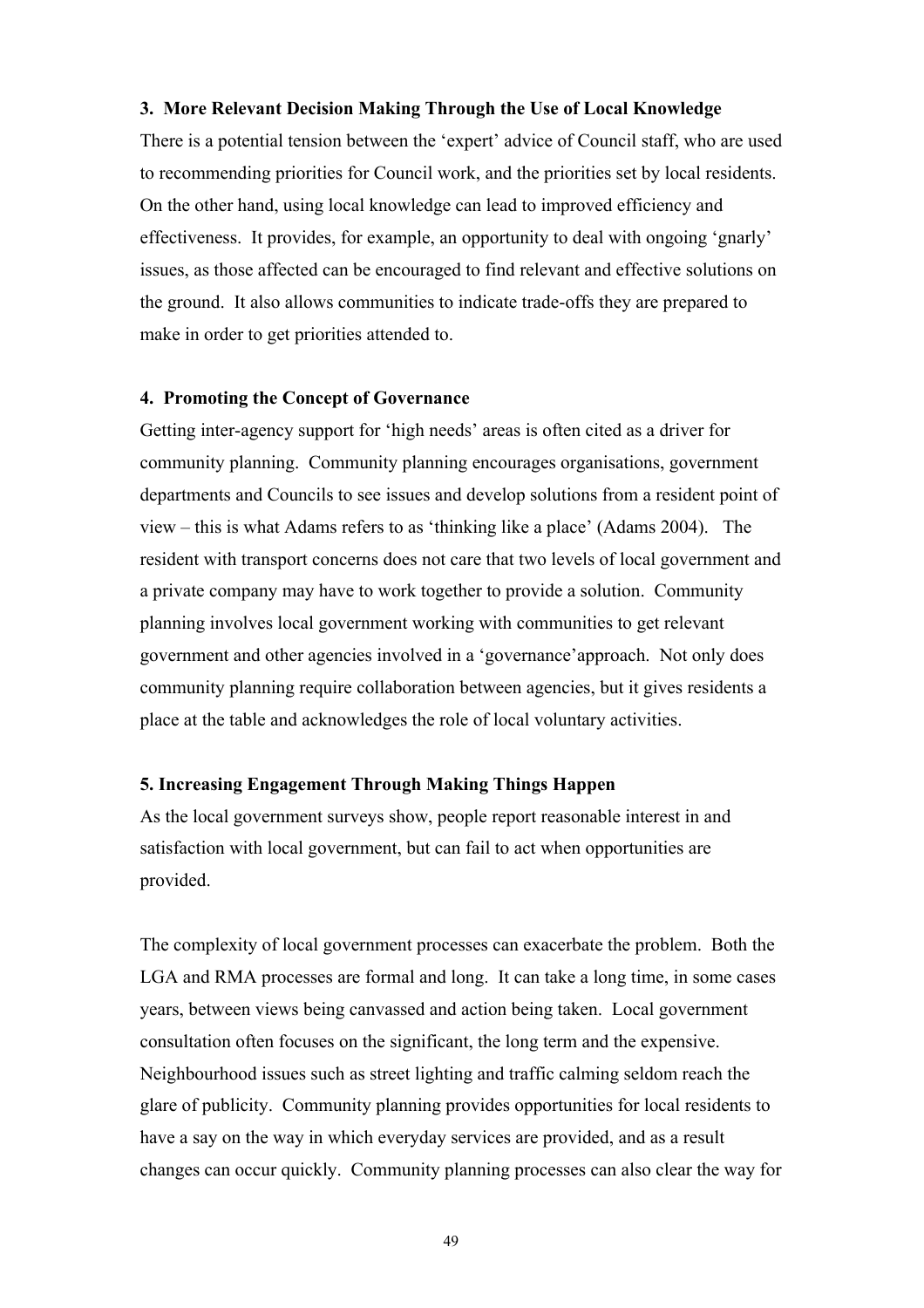### **3. More Relevant Decision Making Through the Use of Local Knowledge**

There is a potential tension between the 'expert' advice of Council staff, who are used to recommending priorities for Council work, and the priorities set by local residents. On the other hand, using local knowledge can lead to improved efficiency and effectiveness. It provides, for example, an opportunity to deal with ongoing 'gnarly' issues, as those affected can be encouraged to find relevant and effective solutions on the ground. It also allows communities to indicate trade-offs they are prepared to make in order to get priorities attended to.

### **4. Promoting the Concept of Governance**

Getting inter-agency support for 'high needs' areas is often cited as a driver for community planning. Community planning encourages organisations, government departments and Councils to see issues and develop solutions from a resident point of view – this is what Adams refers to as 'thinking like a place' (Adams 2004). The resident with transport concerns does not care that two levels of local government and a private company may have to work together to provide a solution. Community planning involves local government working with communities to get relevant government and other agencies involved in a 'governance'approach. Not only does community planning require collaboration between agencies, but it gives residents a place at the table and acknowledges the role of local voluntary activities.

### **5. Increasing Engagement Through Making Things Happen**

As the local government surveys show, people report reasonable interest in and satisfaction with local government, but can fail to act when opportunities are provided.

The complexity of local government processes can exacerbate the problem. Both the LGA and RMA processes are formal and long. It can take a long time, in some cases years, between views being canvassed and action being taken. Local government consultation often focuses on the significant, the long term and the expensive. Neighbourhood issues such as street lighting and traffic calming seldom reach the glare of publicity. Community planning provides opportunities for local residents to have a say on the way in which everyday services are provided, and as a result changes can occur quickly. Community planning processes can also clear the way for

49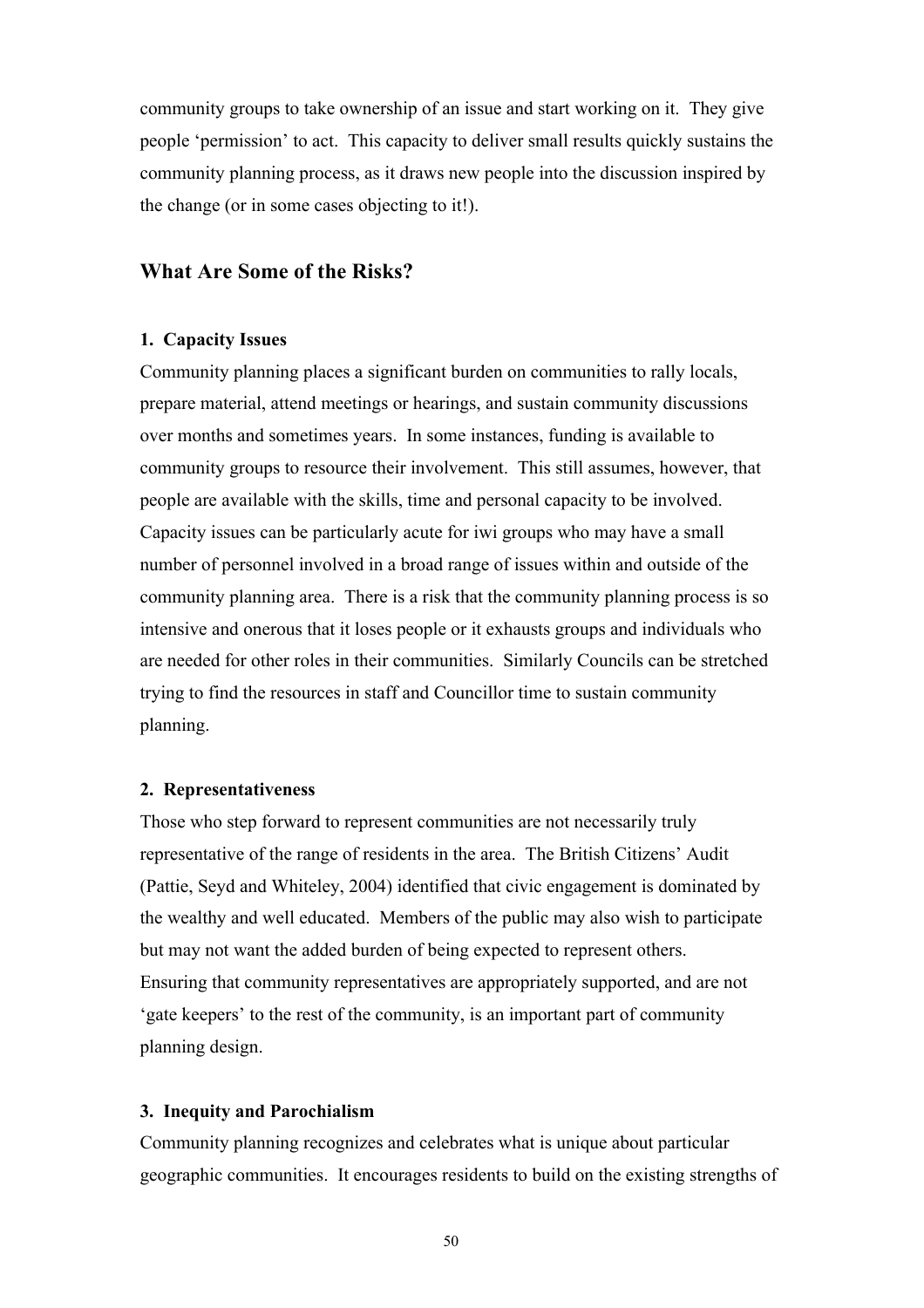community groups to take ownership of an issue and start working on it. They give people 'permission' to act. This capacity to deliver small results quickly sustains the community planning process, as it draws new people into the discussion inspired by the change (or in some cases objecting to it!).

## **What Are Some of the Risks?**

#### **1. Capacity Issues**

Community planning places a significant burden on communities to rally locals, prepare material, attend meetings or hearings, and sustain community discussions over months and sometimes years. In some instances, funding is available to community groups to resource their involvement. This still assumes, however, that people are available with the skills, time and personal capacity to be involved. Capacity issues can be particularly acute for iwi groups who may have a small number of personnel involved in a broad range of issues within and outside of the community planning area. There is a risk that the community planning process is so intensive and onerous that it loses people or it exhausts groups and individuals who are needed for other roles in their communities. Similarly Councils can be stretched trying to find the resources in staff and Councillor time to sustain community planning.

### **2. Representativeness**

Those who step forward to represent communities are not necessarily truly representative of the range of residents in the area. The British Citizens' Audit (Pattie, Seyd and Whiteley, 2004) identified that civic engagement is dominated by the wealthy and well educated. Members of the public may also wish to participate but may not want the added burden of being expected to represent others. Ensuring that community representatives are appropriately supported, and are not 'gate keepers' to the rest of the community, is an important part of community planning design.

### **3. Inequity and Parochialism**

Community planning recognizes and celebrates what is unique about particular geographic communities. It encourages residents to build on the existing strengths of

50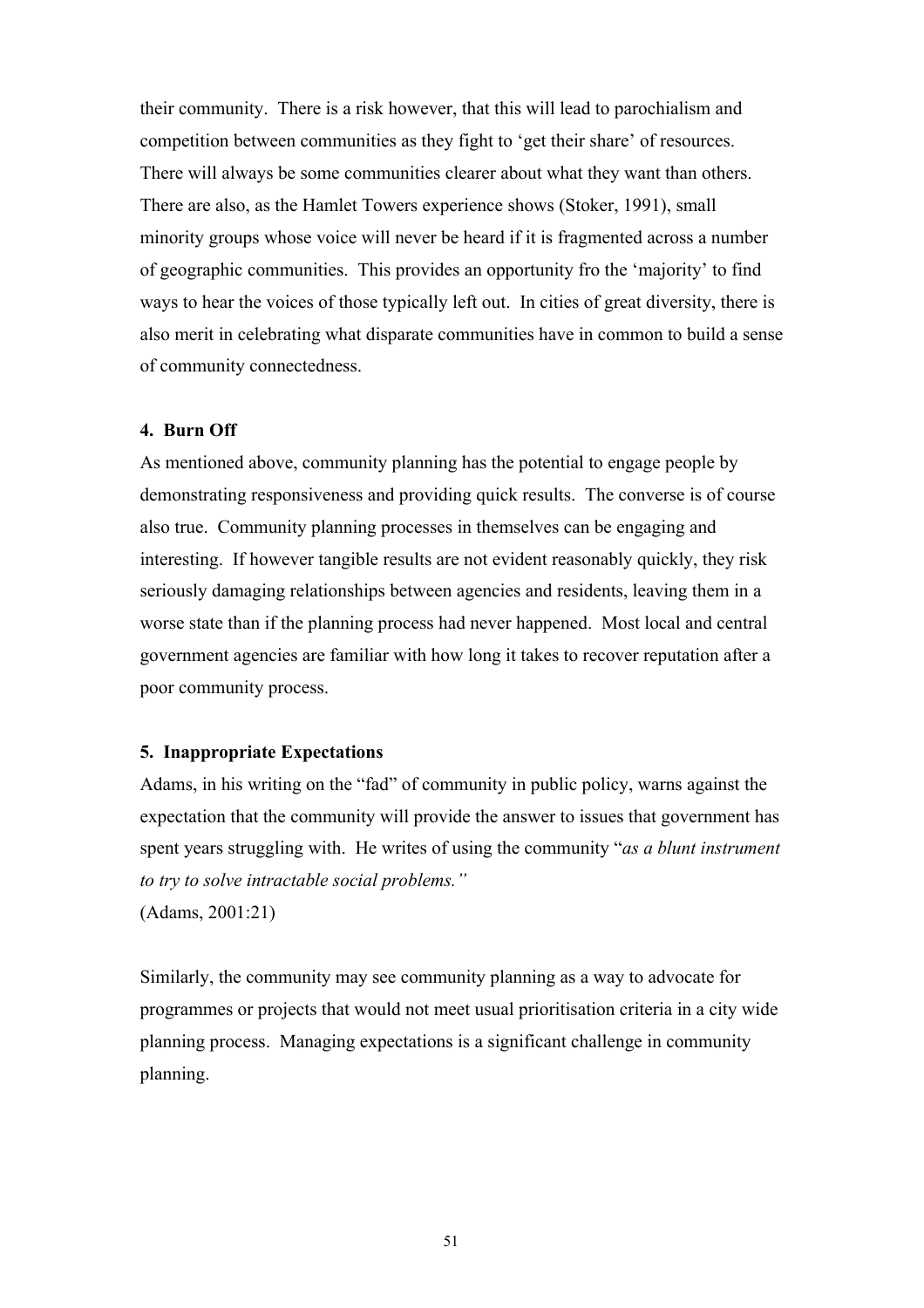their community. There is a risk however, that this will lead to parochialism and competition between communities as they fight to 'get their share' of resources. There will always be some communities clearer about what they want than others. There are also, as the Hamlet Towers experience shows (Stoker, 1991), small minority groups whose voice will never be heard if it is fragmented across a number of geographic communities. This provides an opportunity fro the 'majority' to find ways to hear the voices of those typically left out. In cities of great diversity, there is also merit in celebrating what disparate communities have in common to build a sense of community connectedness.

### **4. Burn Off**

As mentioned above, community planning has the potential to engage people by demonstrating responsiveness and providing quick results. The converse is of course also true. Community planning processes in themselves can be engaging and interesting. If however tangible results are not evident reasonably quickly, they risk seriously damaging relationships between agencies and residents, leaving them in a worse state than if the planning process had never happened. Most local and central government agencies are familiar with how long it takes to recover reputation after a poor community process.

#### **5. Inappropriate Expectations**

Adams, in his writing on the "fad" of community in public policy, warns against the expectation that the community will provide the answer to issues that government has spent years struggling with. He writes of using the community "*as a blunt instrument to try to solve intractable social problems."* 

(Adams, 2001:21)

Similarly, the community may see community planning as a way to advocate for programmes or projects that would not meet usual prioritisation criteria in a city wide planning process. Managing expectations is a significant challenge in community planning.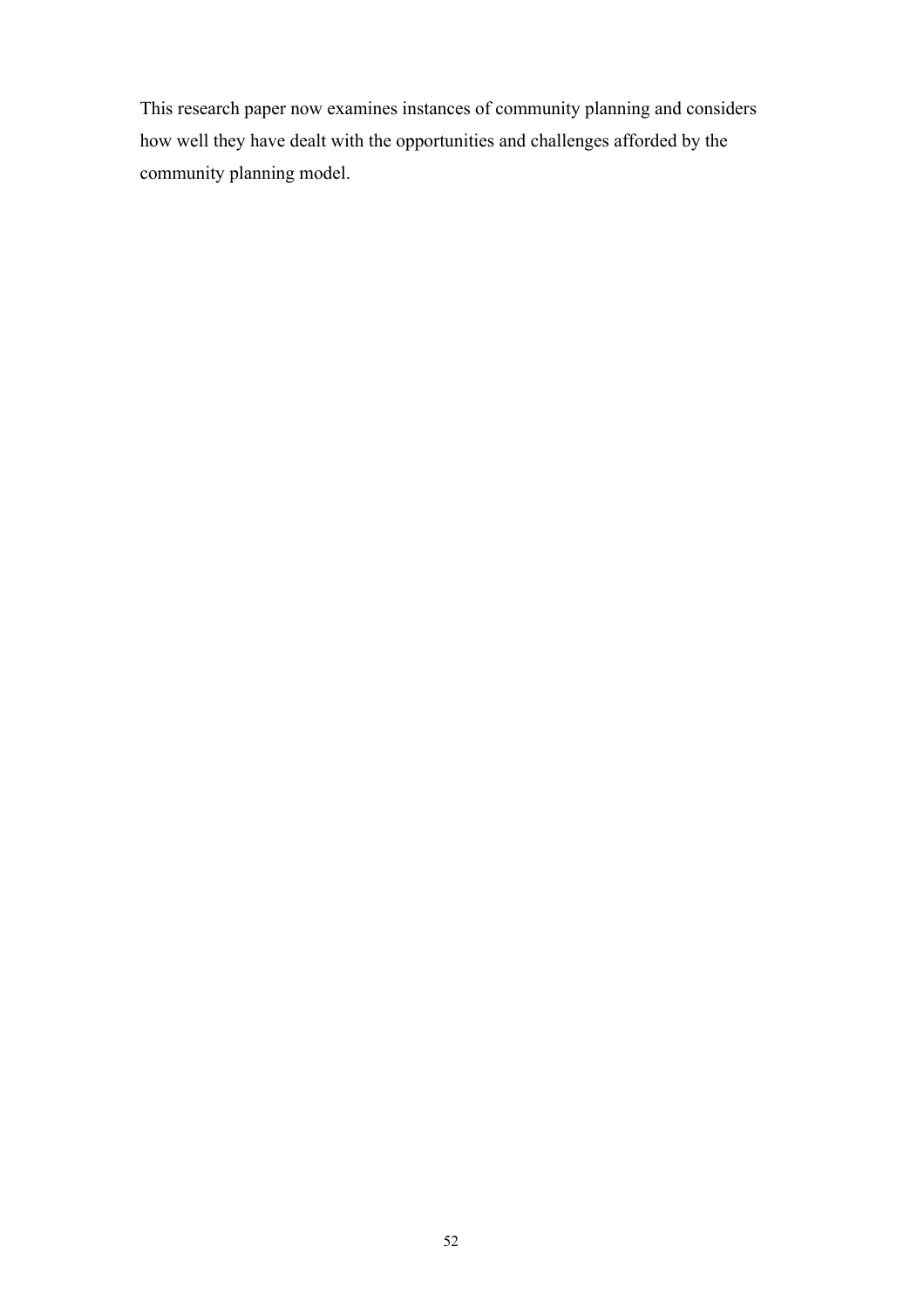This research paper now examines instances of community planning and considers how well they have dealt with the opportunities and challenges afforded by the community planning model.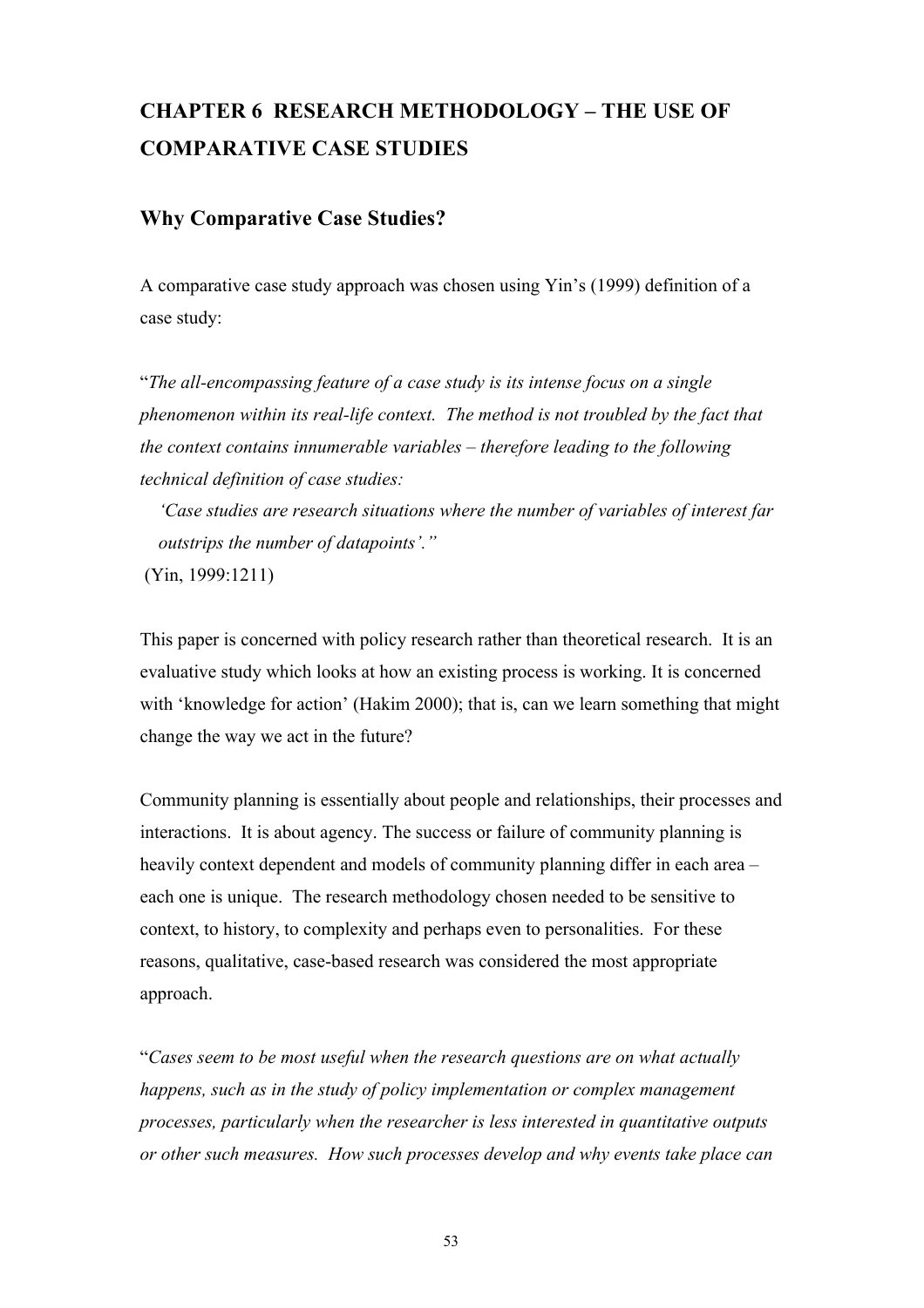# **CHAPTER 6 RESEARCH METHODOLOGY – THE USE OF COMPARATIVE CASE STUDIES**

## **Why Comparative Case Studies?**

A comparative case study approach was chosen using Yin's (1999) definition of a case study:

"*The all-encompassing feature of a case study is its intense focus on a single phenomenon within its real-life context. The method is not troubled by the fact that the context contains innumerable variables – therefore leading to the following technical definition of case studies:*

 *'Case studies are research situations where the number of variables of interest far outstrips the number of datapoints'."*

(Yin, 1999:1211)

This paper is concerned with policy research rather than theoretical research. It is an evaluative study which looks at how an existing process is working. It is concerned with 'knowledge for action' (Hakim 2000); that is, can we learn something that might change the way we act in the future?

Community planning is essentially about people and relationships, their processes and interactions. It is about agency. The success or failure of community planning is heavily context dependent and models of community planning differ in each area – each one is unique. The research methodology chosen needed to be sensitive to context, to history, to complexity and perhaps even to personalities. For these reasons, qualitative, case-based research was considered the most appropriate approach.

"*Cases seem to be most useful when the research questions are on what actually happens, such as in the study of policy implementation or complex management processes, particularly when the researcher is less interested in quantitative outputs or other such measures. How such processes develop and why events take place can* 

53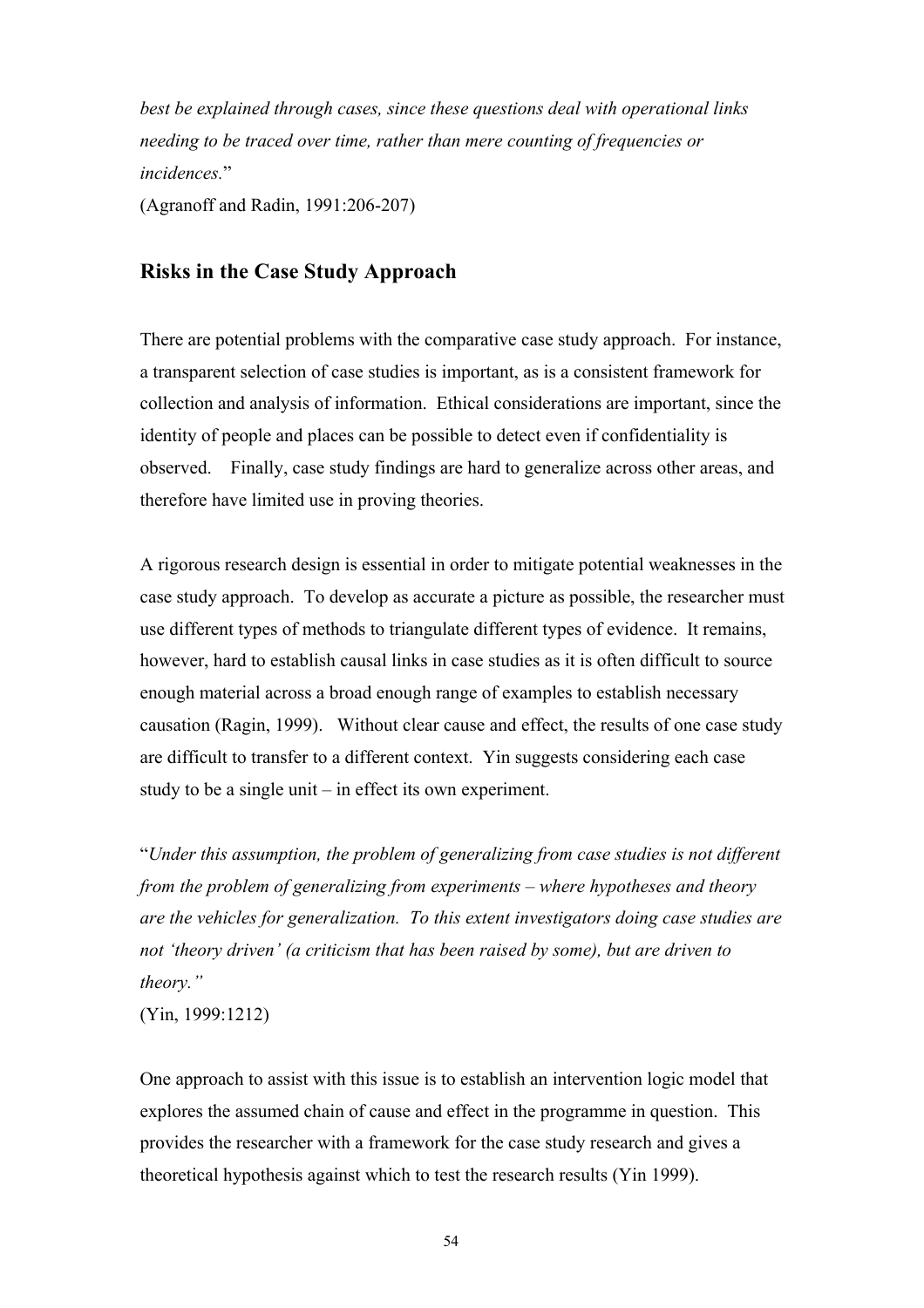*best be explained through cases, since these questions deal with operational links needing to be traced over time, rather than mere counting of frequencies or incidences.*" (Agranoff and Radin, 1991:206-207)

## **Risks in the Case Study Approach**

There are potential problems with the comparative case study approach. For instance, a transparent selection of case studies is important, as is a consistent framework for collection and analysis of information. Ethical considerations are important, since the identity of people and places can be possible to detect even if confidentiality is observed. Finally, case study findings are hard to generalize across other areas, and therefore have limited use in proving theories.

A rigorous research design is essential in order to mitigate potential weaknesses in the case study approach. To develop as accurate a picture as possible, the researcher must use different types of methods to triangulate different types of evidence. It remains, however, hard to establish causal links in case studies as it is often difficult to source enough material across a broad enough range of examples to establish necessary causation (Ragin, 1999). Without clear cause and effect, the results of one case study are difficult to transfer to a different context. Yin suggests considering each case study to be a single unit – in effect its own experiment.

"*Under this assumption, the problem of generalizing from case studies is not different from the problem of generalizing from experiments – where hypotheses and theory are the vehicles for generalization. To this extent investigators doing case studies are not 'theory driven' (a criticism that has been raised by some), but are driven to theory."*

(Yin, 1999:1212)

One approach to assist with this issue is to establish an intervention logic model that explores the assumed chain of cause and effect in the programme in question. This provides the researcher with a framework for the case study research and gives a theoretical hypothesis against which to test the research results (Yin 1999).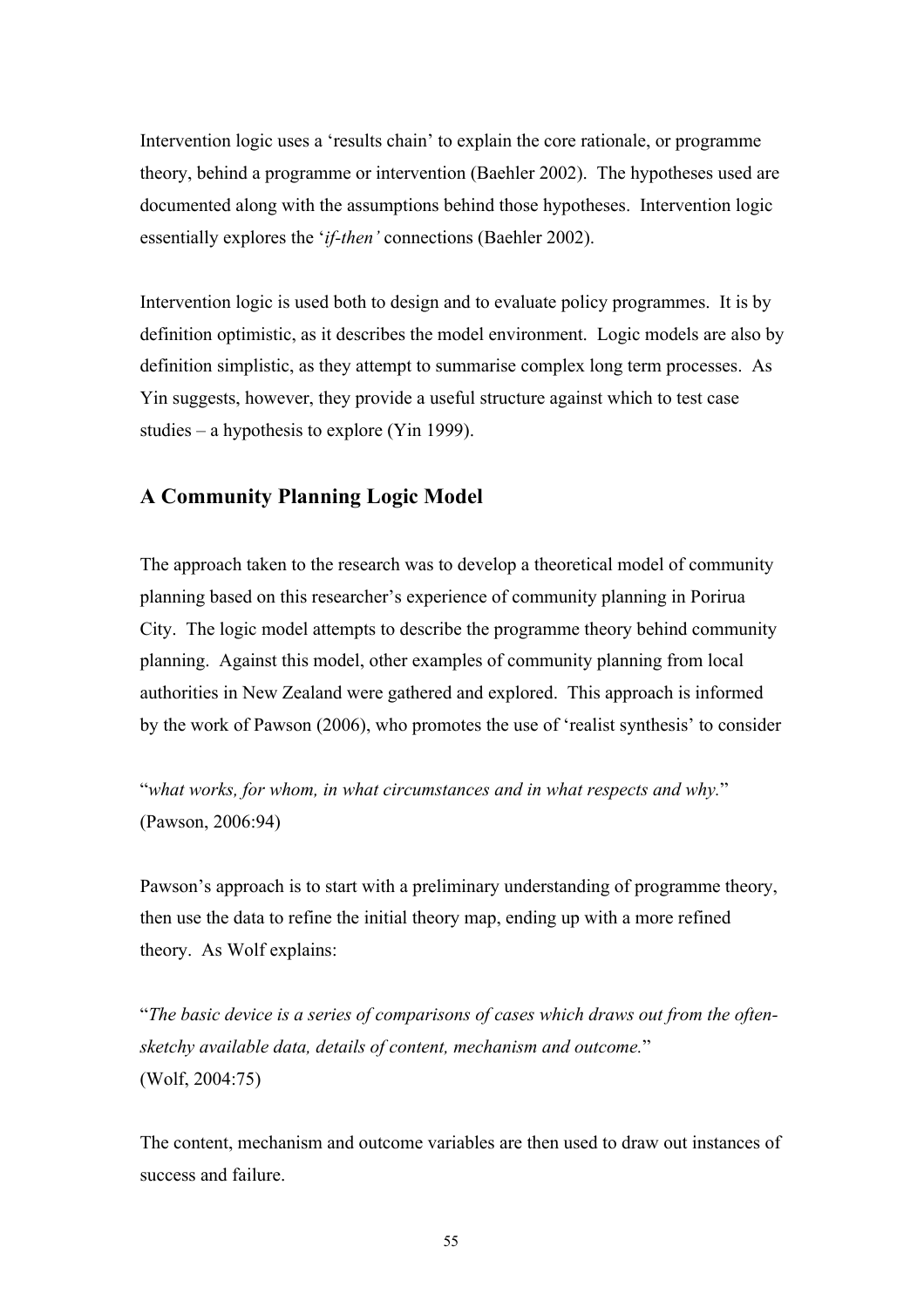Intervention logic uses a 'results chain' to explain the core rationale, or programme theory, behind a programme or intervention (Baehler 2002). The hypotheses used are documented along with the assumptions behind those hypotheses. Intervention logic essentially explores the '*if-then'* connections (Baehler 2002).

Intervention logic is used both to design and to evaluate policy programmes. It is by definition optimistic, as it describes the model environment. Logic models are also by definition simplistic, as they attempt to summarise complex long term processes. As Yin suggests, however, they provide a useful structure against which to test case studies – a hypothesis to explore (Yin 1999).

## **A Community Planning Logic Model**

The approach taken to the research was to develop a theoretical model of community planning based on this researcher's experience of community planning in Porirua City. The logic model attempts to describe the programme theory behind community planning. Against this model, other examples of community planning from local authorities in New Zealand were gathered and explored. This approach is informed by the work of Pawson (2006), who promotes the use of 'realist synthesis' to consider

"*what works, for whom, in what circumstances and in what respects and why.*" (Pawson, 2006:94)

Pawson's approach is to start with a preliminary understanding of programme theory, then use the data to refine the initial theory map, ending up with a more refined theory. As Wolf explains:

"*The basic device is a series of comparisons of cases which draws out from the oftensketchy available data, details of content, mechanism and outcome.*" (Wolf, 2004:75)

The content, mechanism and outcome variables are then used to draw out instances of success and failure.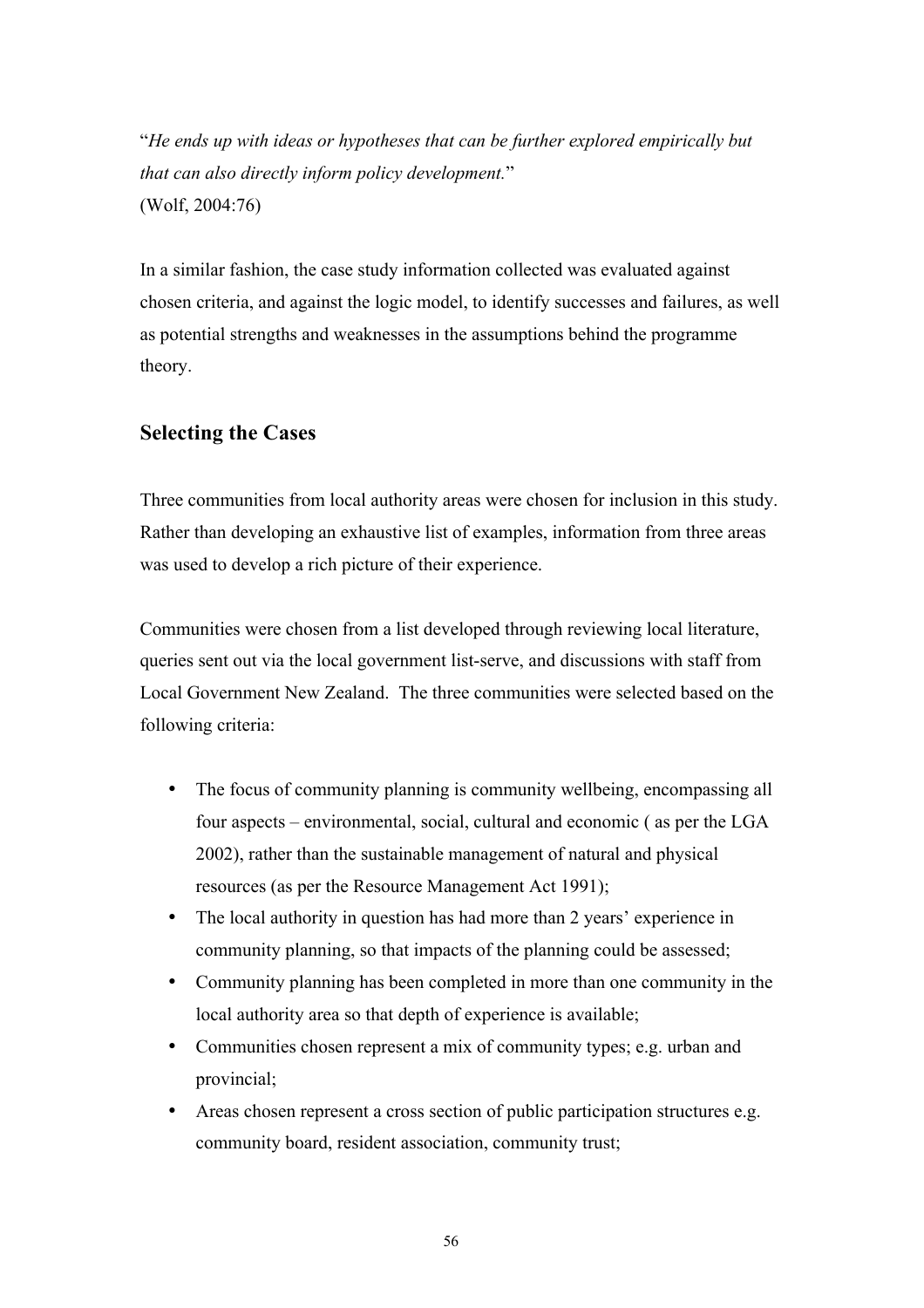"*He ends up with ideas or hypotheses that can be further explored empirically but that can also directly inform policy development.*" (Wolf, 2004:76)

In a similar fashion, the case study information collected was evaluated against chosen criteria, and against the logic model, to identify successes and failures, as well as potential strengths and weaknesses in the assumptions behind the programme theory.

# **Selecting the Cases**

Three communities from local authority areas were chosen for inclusion in this study. Rather than developing an exhaustive list of examples, information from three areas was used to develop a rich picture of their experience.

Communities were chosen from a list developed through reviewing local literature, queries sent out via the local government list-serve, and discussions with staff from Local Government New Zealand. The three communities were selected based on the following criteria:

- The focus of community planning is community wellbeing, encompassing all four aspects – environmental, social, cultural and economic ( as per the LGA 2002), rather than the sustainable management of natural and physical resources (as per the Resource Management Act 1991);
- The local authority in question has had more than 2 years' experience in community planning, so that impacts of the planning could be assessed;
- Community planning has been completed in more than one community in the local authority area so that depth of experience is available;
- Communities chosen represent a mix of community types; e.g. urban and provincial;
- Areas chosen represent a cross section of public participation structures e.g. community board, resident association, community trust;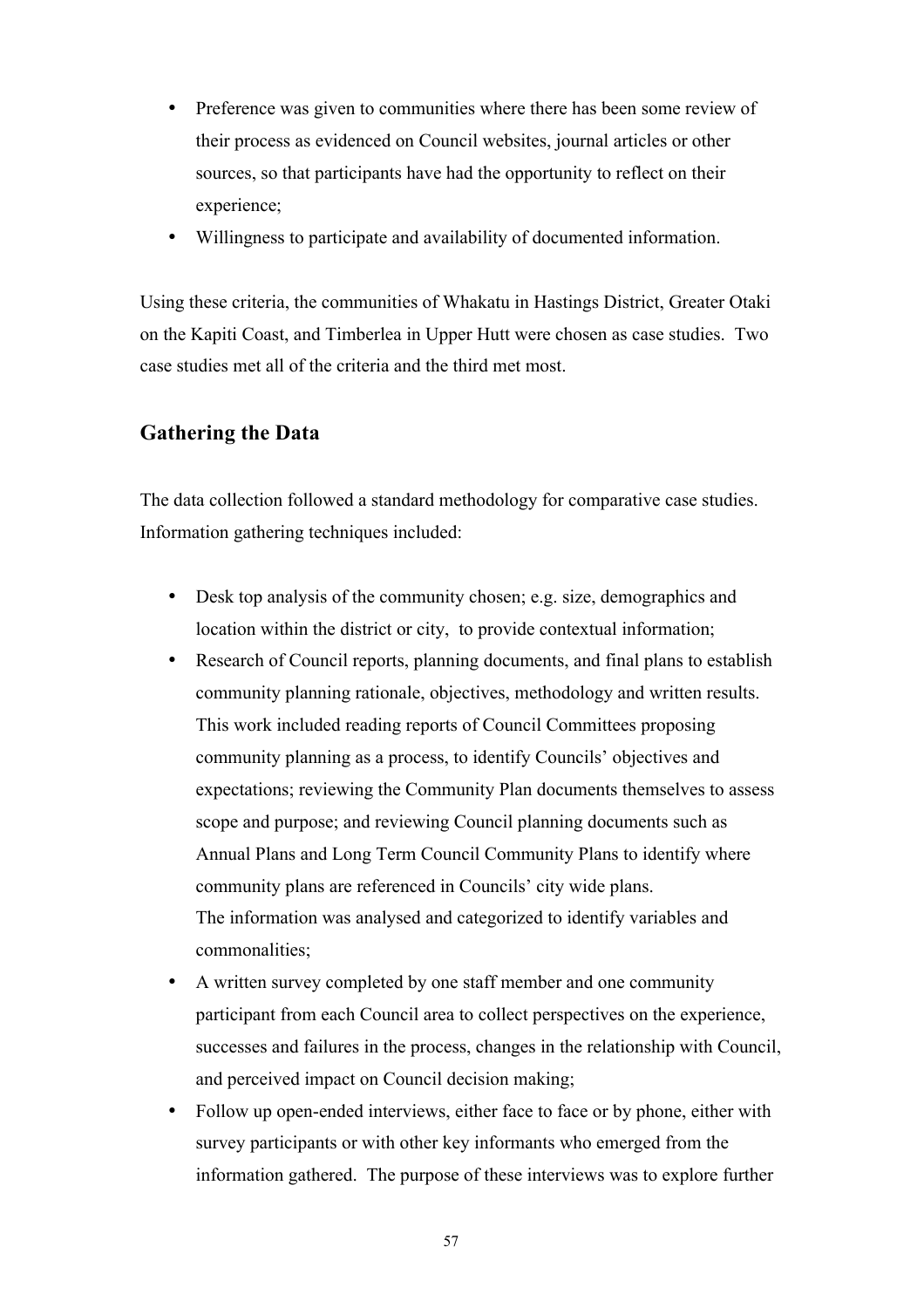- Preference was given to communities where there has been some review of their process as evidenced on Council websites, journal articles or other sources, so that participants have had the opportunity to reflect on their experience;
- Willingness to participate and availability of documented information.

Using these criteria, the communities of Whakatu in Hastings District, Greater Otaki on the Kapiti Coast, and Timberlea in Upper Hutt were chosen as case studies. Two case studies met all of the criteria and the third met most.

# **Gathering the Data**

The data collection followed a standard methodology for comparative case studies. Information gathering techniques included:

- Desk top analysis of the community chosen; e.g. size, demographics and location within the district or city, to provide contextual information;
- Research of Council reports, planning documents, and final plans to establish community planning rationale, objectives, methodology and written results. This work included reading reports of Council Committees proposing community planning as a process, to identify Councils' objectives and expectations; reviewing the Community Plan documents themselves to assess scope and purpose; and reviewing Council planning documents such as Annual Plans and Long Term Council Community Plans to identify where community plans are referenced in Councils' city wide plans. The information was analysed and categorized to identify variables and commonalities;
- A written survey completed by one staff member and one community participant from each Council area to collect perspectives on the experience, successes and failures in the process, changes in the relationship with Council, and perceived impact on Council decision making;
- Follow up open-ended interviews, either face to face or by phone, either with survey participants or with other key informants who emerged from the information gathered. The purpose of these interviews was to explore further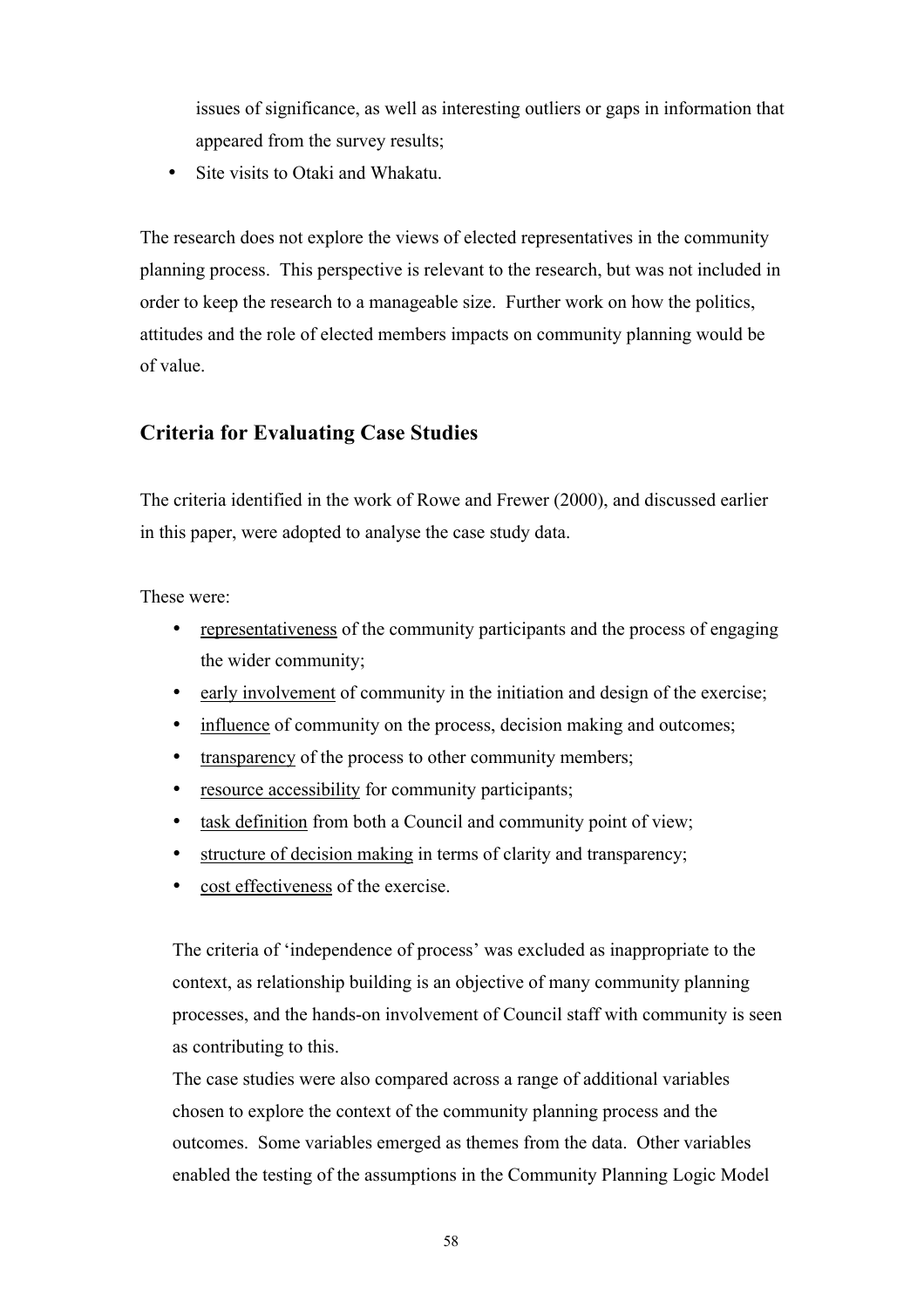issues of significance, as well as interesting outliers or gaps in information that appeared from the survey results;

• Site visits to Otaki and Whakatu.

The research does not explore the views of elected representatives in the community planning process. This perspective is relevant to the research, but was not included in order to keep the research to a manageable size. Further work on how the politics, attitudes and the role of elected members impacts on community planning would be of value.

# **Criteria for Evaluating Case Studies**

The criteria identified in the work of Rowe and Frewer (2000), and discussed earlier in this paper, were adopted to analyse the case study data.

These were:

- representativeness of the community participants and the process of engaging the wider community;
- early involvement of community in the initiation and design of the exercise;
- influence of community on the process, decision making and outcomes;
- transparency of the process to other community members;
- resource accessibility for community participants;
- task definition from both a Council and community point of view;
- structure of decision making in terms of clarity and transparency;
- cost effectiveness of the exercise.

The criteria of 'independence of process' was excluded as inappropriate to the context, as relationship building is an objective of many community planning processes, and the hands-on involvement of Council staff with community is seen as contributing to this.

The case studies were also compared across a range of additional variables chosen to explore the context of the community planning process and the outcomes. Some variables emerged as themes from the data. Other variables enabled the testing of the assumptions in the Community Planning Logic Model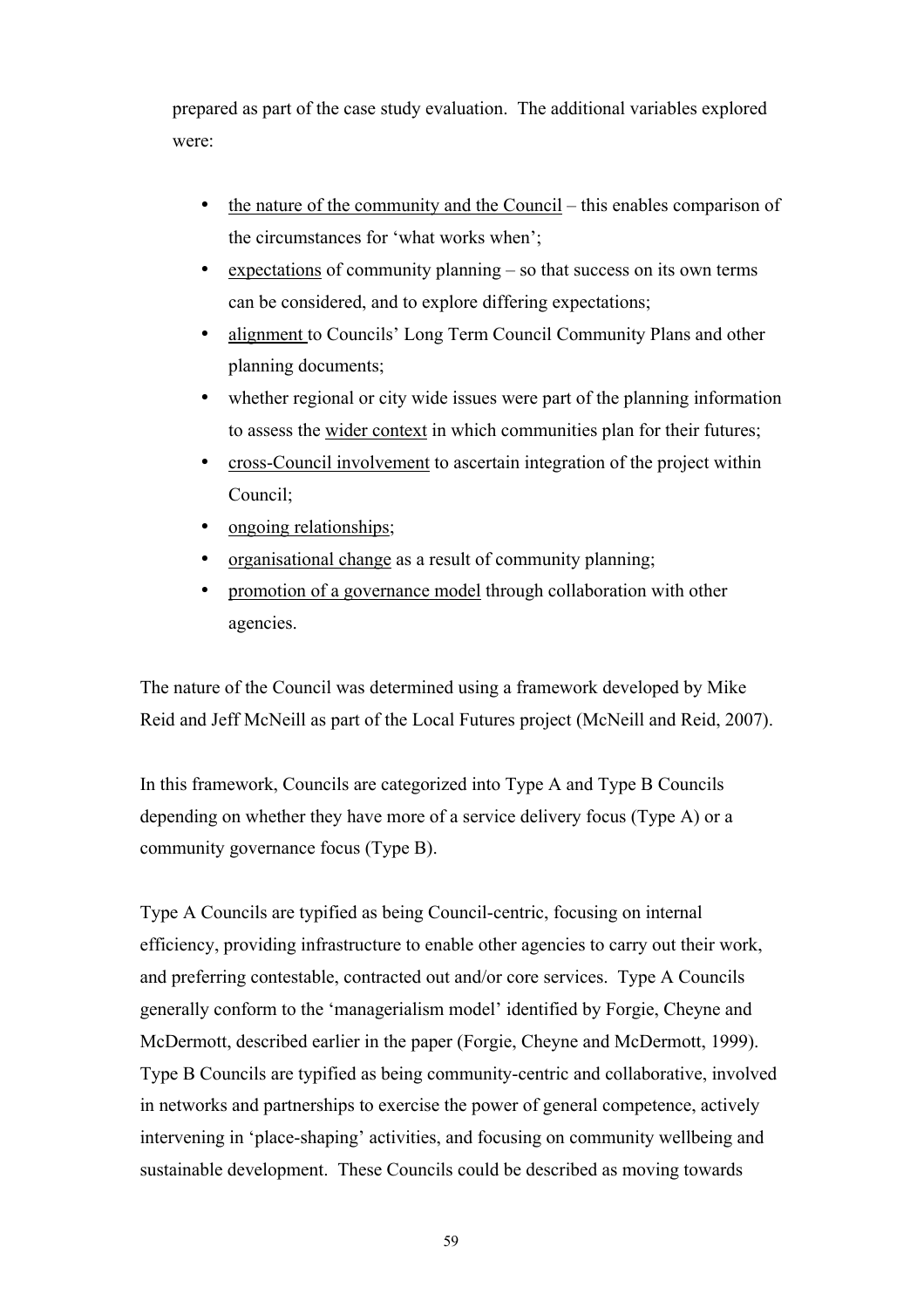prepared as part of the case study evaluation. The additional variables explored were:

- the nature of the community and the Council this enables comparison of the circumstances for 'what works when';
- expectations of community planning so that success on its own terms can be considered, and to explore differing expectations;
- alignment to Councils' Long Term Council Community Plans and other planning documents;
- whether regional or city wide issues were part of the planning information to assess the wider context in which communities plan for their futures;
- cross-Council involvement to ascertain integration of the project within Council;
- ongoing relationships;
- organisational change as a result of community planning;
- promotion of a governance model through collaboration with other agencies.

The nature of the Council was determined using a framework developed by Mike Reid and Jeff McNeill as part of the Local Futures project (McNeill and Reid, 2007).

In this framework, Councils are categorized into Type A and Type B Councils depending on whether they have more of a service delivery focus (Type A) or a community governance focus (Type B).

Type A Councils are typified as being Council-centric, focusing on internal efficiency, providing infrastructure to enable other agencies to carry out their work, and preferring contestable, contracted out and/or core services. Type A Councils generally conform to the 'managerialism model' identified by Forgie, Cheyne and McDermott, described earlier in the paper (Forgie, Cheyne and McDermott, 1999). Type B Councils are typified as being community-centric and collaborative, involved in networks and partnerships to exercise the power of general competence, actively intervening in 'place-shaping' activities, and focusing on community wellbeing and sustainable development. These Councils could be described as moving towards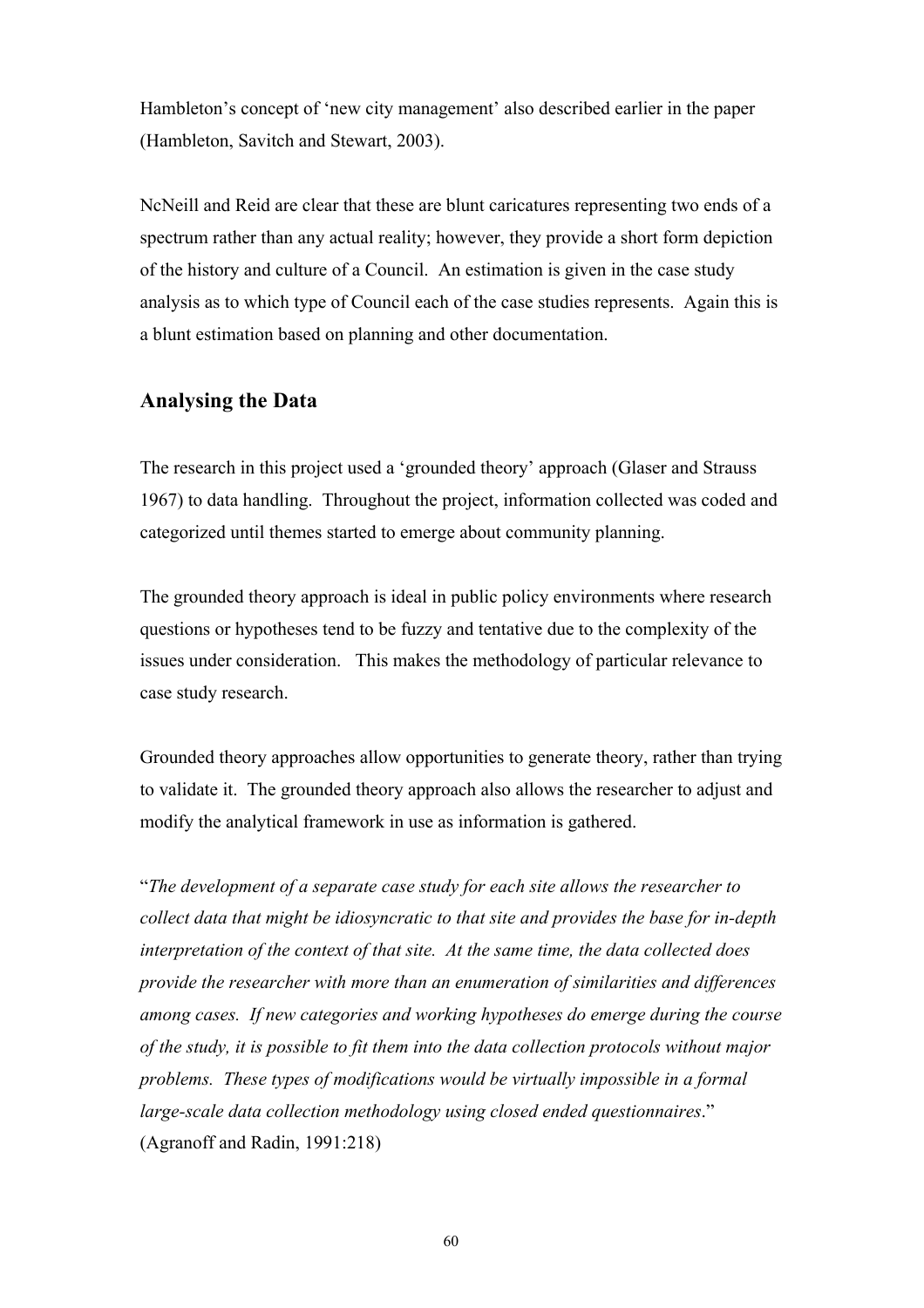Hambleton's concept of 'new city management' also described earlier in the paper (Hambleton, Savitch and Stewart, 2003).

NcNeill and Reid are clear that these are blunt caricatures representing two ends of a spectrum rather than any actual reality; however, they provide a short form depiction of the history and culture of a Council. An estimation is given in the case study analysis as to which type of Council each of the case studies represents. Again this is a blunt estimation based on planning and other documentation.

## **Analysing the Data**

The research in this project used a 'grounded theory' approach (Glaser and Strauss 1967) to data handling. Throughout the project, information collected was coded and categorized until themes started to emerge about community planning.

The grounded theory approach is ideal in public policy environments where research questions or hypotheses tend to be fuzzy and tentative due to the complexity of the issues under consideration. This makes the methodology of particular relevance to case study research.

Grounded theory approaches allow opportunities to generate theory, rather than trying to validate it. The grounded theory approach also allows the researcher to adjust and modify the analytical framework in use as information is gathered.

"*The development of a separate case study for each site allows the researcher to collect data that might be idiosyncratic to that site and provides the base for in-depth interpretation of the context of that site. At the same time, the data collected does provide the researcher with more than an enumeration of similarities and differences among cases. If new categories and working hypotheses do emerge during the course of the study, it is possible to fit them into the data collection protocols without major problems. These types of modifications would be virtually impossible in a formal large-scale data collection methodology using closed ended questionnaires*." (Agranoff and Radin, 1991:218)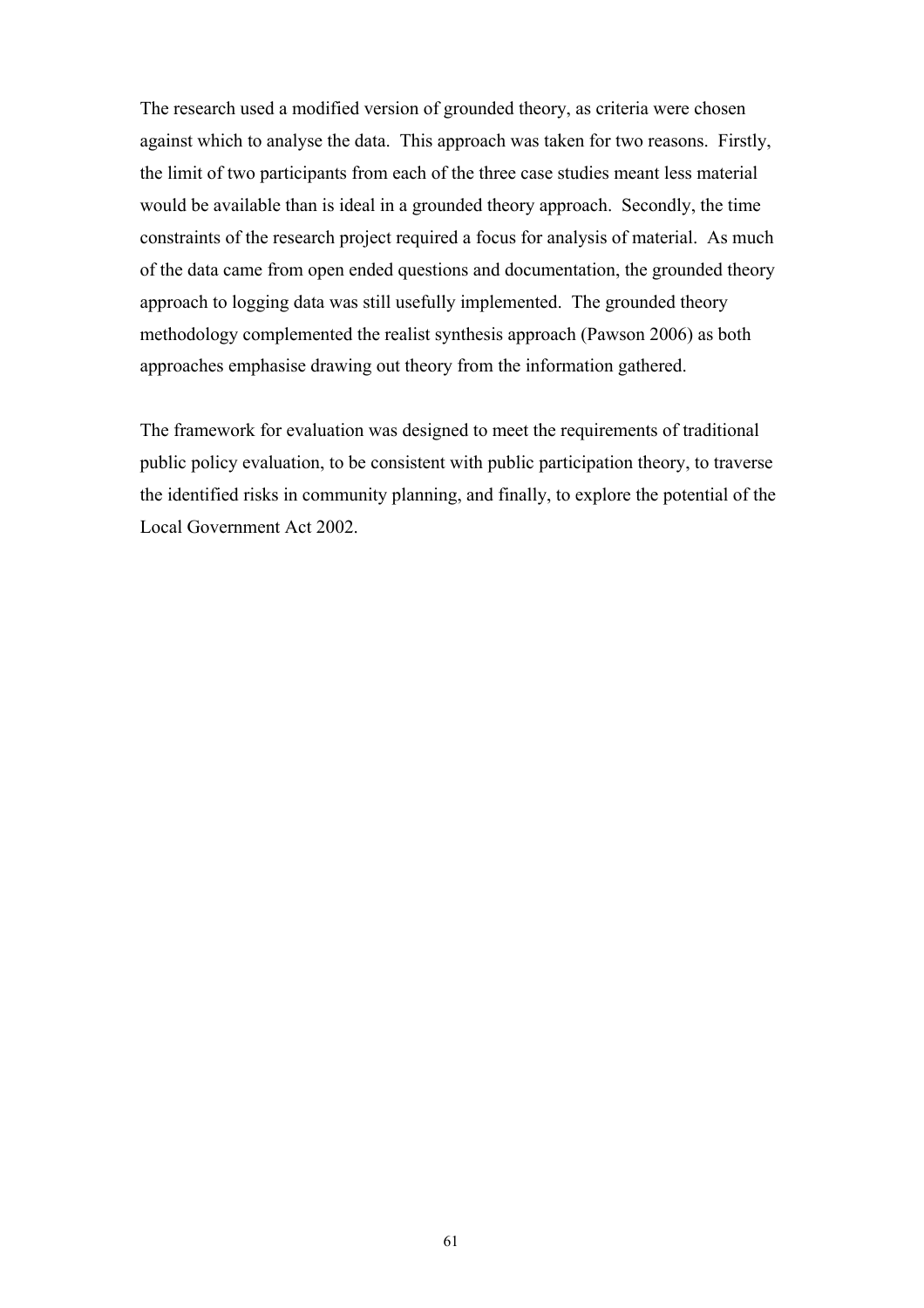The research used a modified version of grounded theory, as criteria were chosen against which to analyse the data. This approach was taken for two reasons. Firstly, the limit of two participants from each of the three case studies meant less material would be available than is ideal in a grounded theory approach. Secondly, the time constraints of the research project required a focus for analysis of material. As much of the data came from open ended questions and documentation, the grounded theory approach to logging data was still usefully implemented. The grounded theory methodology complemented the realist synthesis approach (Pawson 2006) as both approaches emphasise drawing out theory from the information gathered.

The framework for evaluation was designed to meet the requirements of traditional public policy evaluation, to be consistent with public participation theory, to traverse the identified risks in community planning, and finally, to explore the potential of the Local Government Act 2002.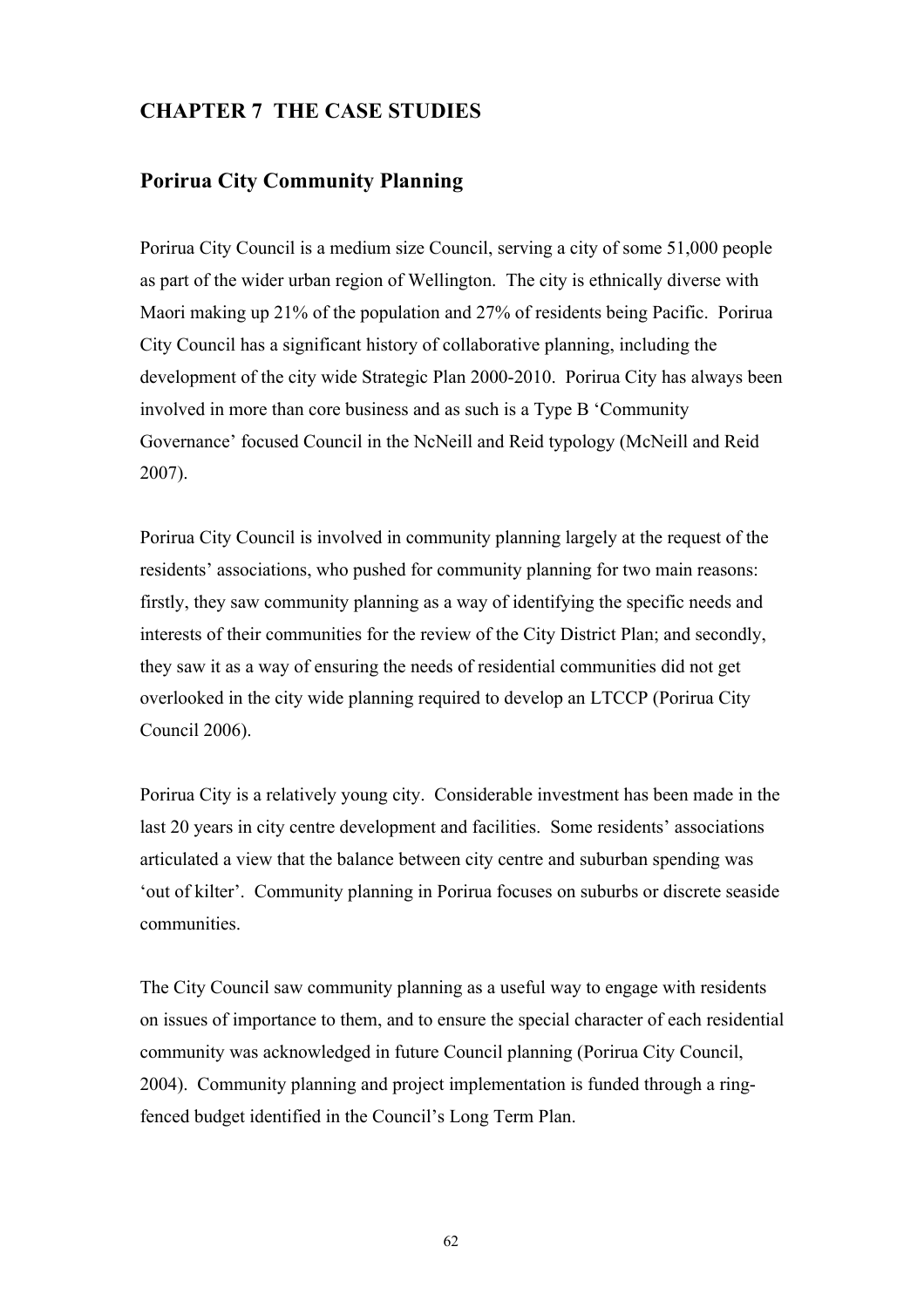# **CHAPTER 7 THE CASE STUDIES**

## **Porirua City Community Planning**

Porirua City Council is a medium size Council, serving a city of some 51,000 people as part of the wider urban region of Wellington. The city is ethnically diverse with Maori making up 21% of the population and 27% of residents being Pacific. Porirua City Council has a significant history of collaborative planning, including the development of the city wide Strategic Plan 2000-2010. Porirua City has always been involved in more than core business and as such is a Type B 'Community Governance' focused Council in the NcNeill and Reid typology (McNeill and Reid 2007).

Porirua City Council is involved in community planning largely at the request of the residents' associations, who pushed for community planning for two main reasons: firstly, they saw community planning as a way of identifying the specific needs and interests of their communities for the review of the City District Plan; and secondly, they saw it as a way of ensuring the needs of residential communities did not get overlooked in the city wide planning required to develop an LTCCP (Porirua City Council 2006).

Porirua City is a relatively young city. Considerable investment has been made in the last 20 years in city centre development and facilities. Some residents' associations articulated a view that the balance between city centre and suburban spending was 'out of kilter'. Community planning in Porirua focuses on suburbs or discrete seaside communities.

The City Council saw community planning as a useful way to engage with residents on issues of importance to them, and to ensure the special character of each residential community was acknowledged in future Council planning (Porirua City Council, 2004). Community planning and project implementation is funded through a ringfenced budget identified in the Council's Long Term Plan.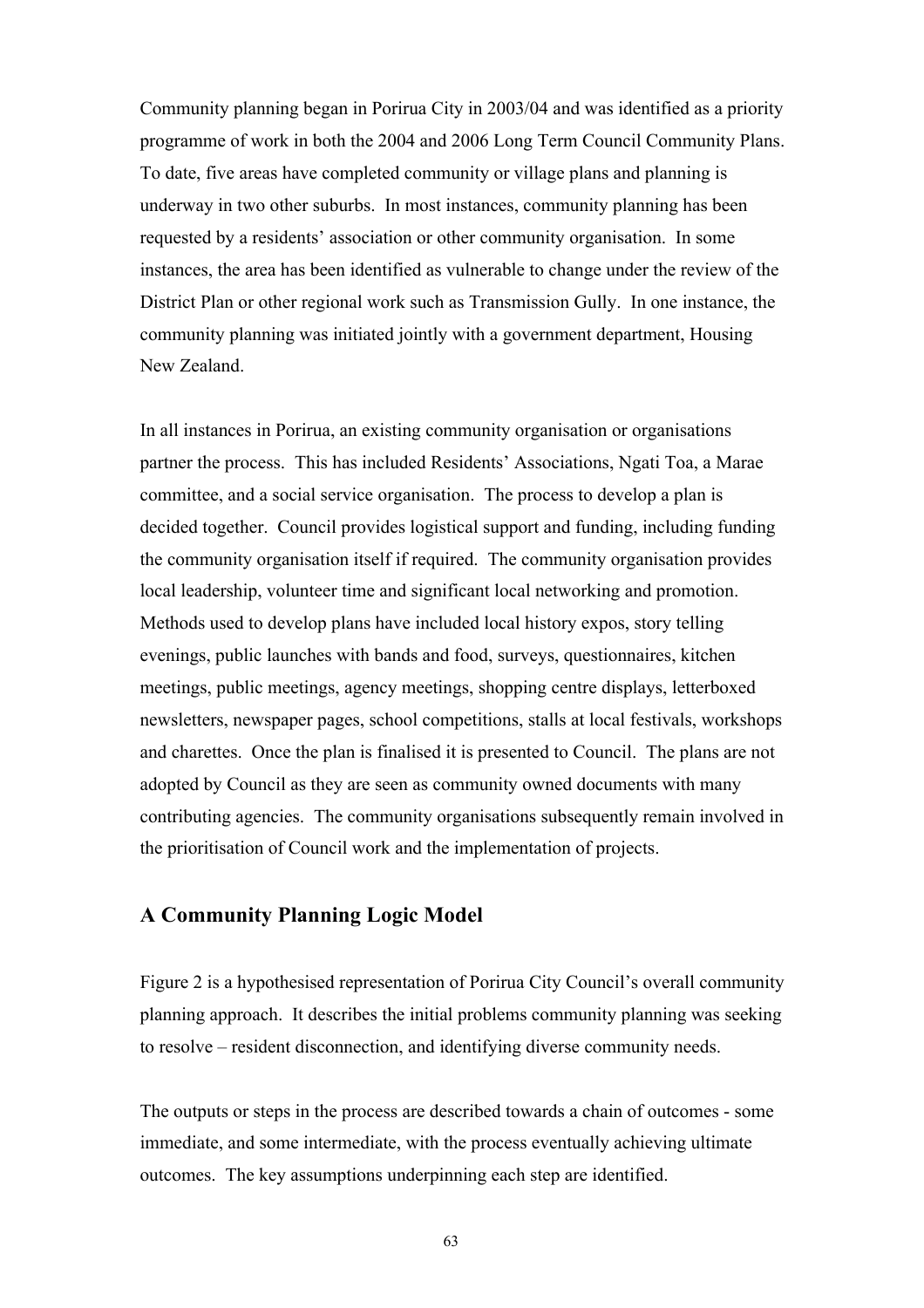Community planning began in Porirua City in 2003/04 and was identified as a priority programme of work in both the 2004 and 2006 Long Term Council Community Plans. To date, five areas have completed community or village plans and planning is underway in two other suburbs. In most instances, community planning has been requested by a residents' association or other community organisation. In some instances, the area has been identified as vulnerable to change under the review of the District Plan or other regional work such as Transmission Gully. In one instance, the community planning was initiated jointly with a government department, Housing New Zealand.

In all instances in Porirua, an existing community organisation or organisations partner the process. This has included Residents' Associations, Ngati Toa, a Marae committee, and a social service organisation. The process to develop a plan is decided together. Council provides logistical support and funding, including funding the community organisation itself if required. The community organisation provides local leadership, volunteer time and significant local networking and promotion. Methods used to develop plans have included local history expos, story telling evenings, public launches with bands and food, surveys, questionnaires, kitchen meetings, public meetings, agency meetings, shopping centre displays, letterboxed newsletters, newspaper pages, school competitions, stalls at local festivals, workshops and charettes. Once the plan is finalised it is presented to Council. The plans are not adopted by Council as they are seen as community owned documents with many contributing agencies. The community organisations subsequently remain involved in the prioritisation of Council work and the implementation of projects.

## **A Community Planning Logic Model**

Figure 2 is a hypothesised representation of Porirua City Council's overall community planning approach. It describes the initial problems community planning was seeking to resolve – resident disconnection, and identifying diverse community needs.

The outputs or steps in the process are described towards a chain of outcomes - some immediate, and some intermediate, with the process eventually achieving ultimate outcomes. The key assumptions underpinning each step are identified.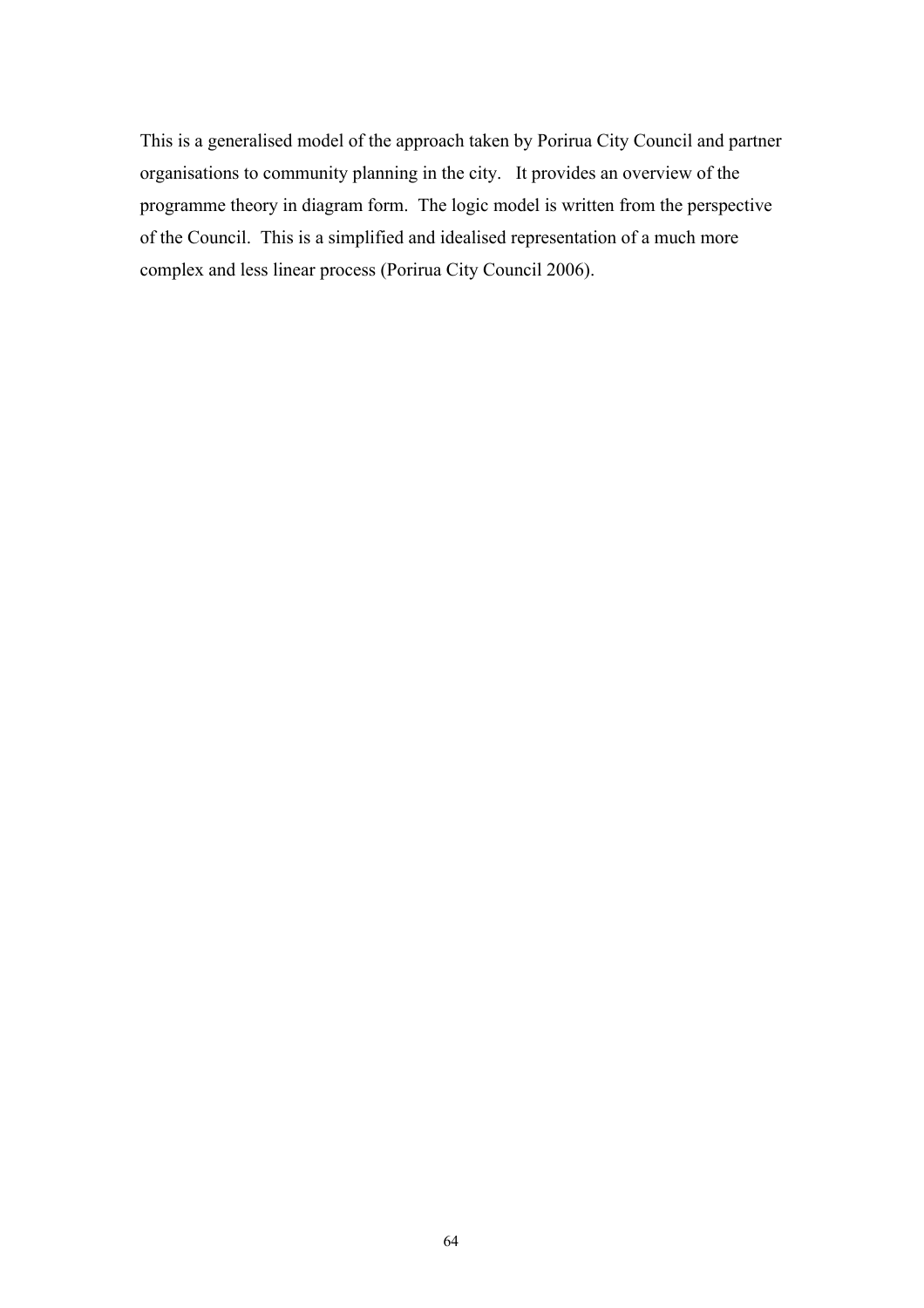This is a generalised model of the approach taken by Porirua City Council and partner organisations to community planning in the city. It provides an overview of the programme theory in diagram form. The logic model is written from the perspective of the Council. This is a simplified and idealised representation of a much more complex and less linear process (Porirua City Council 2006).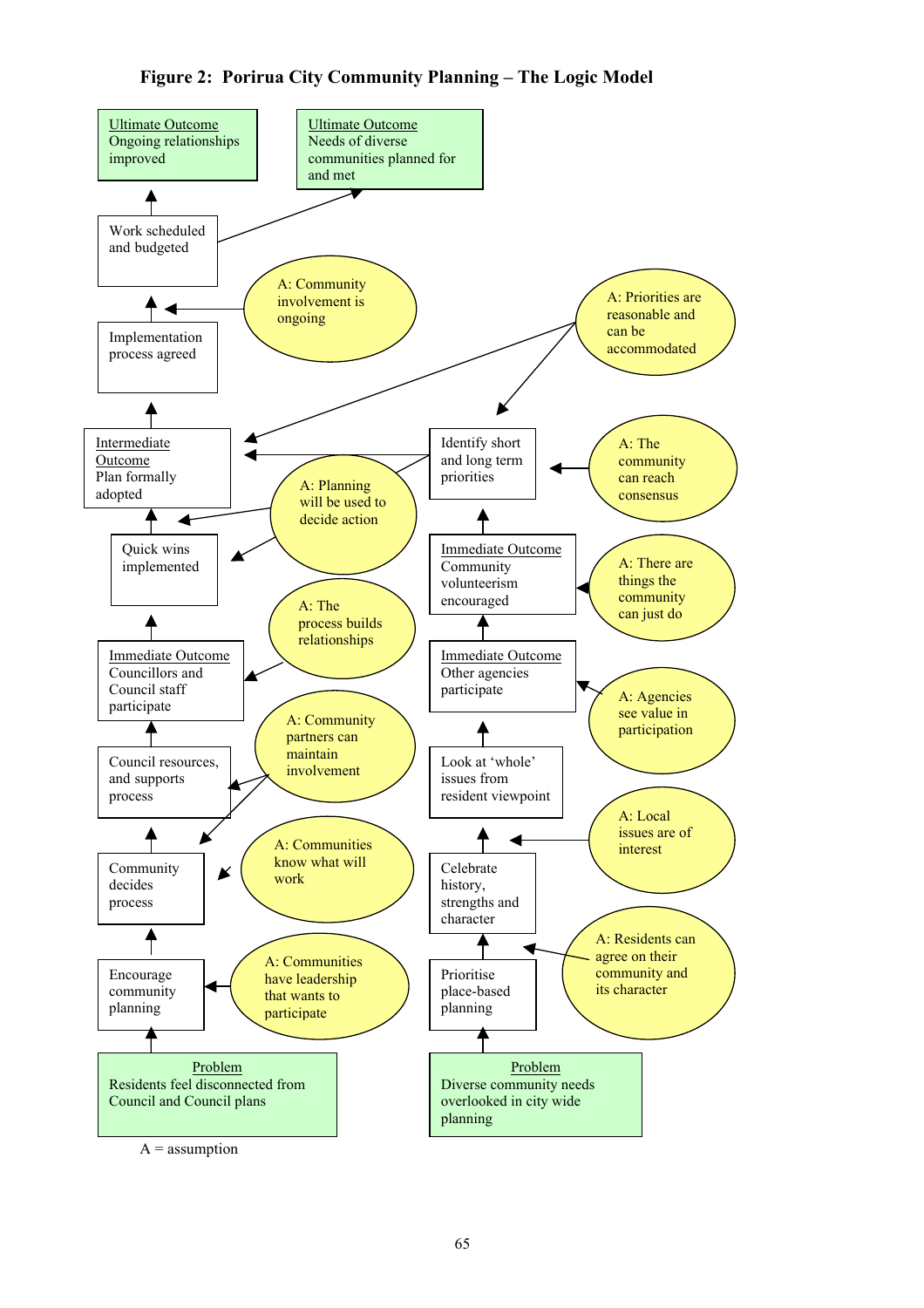**Figure 2: Porirua City Community Planning – The Logic Model**



 $A =$  assumption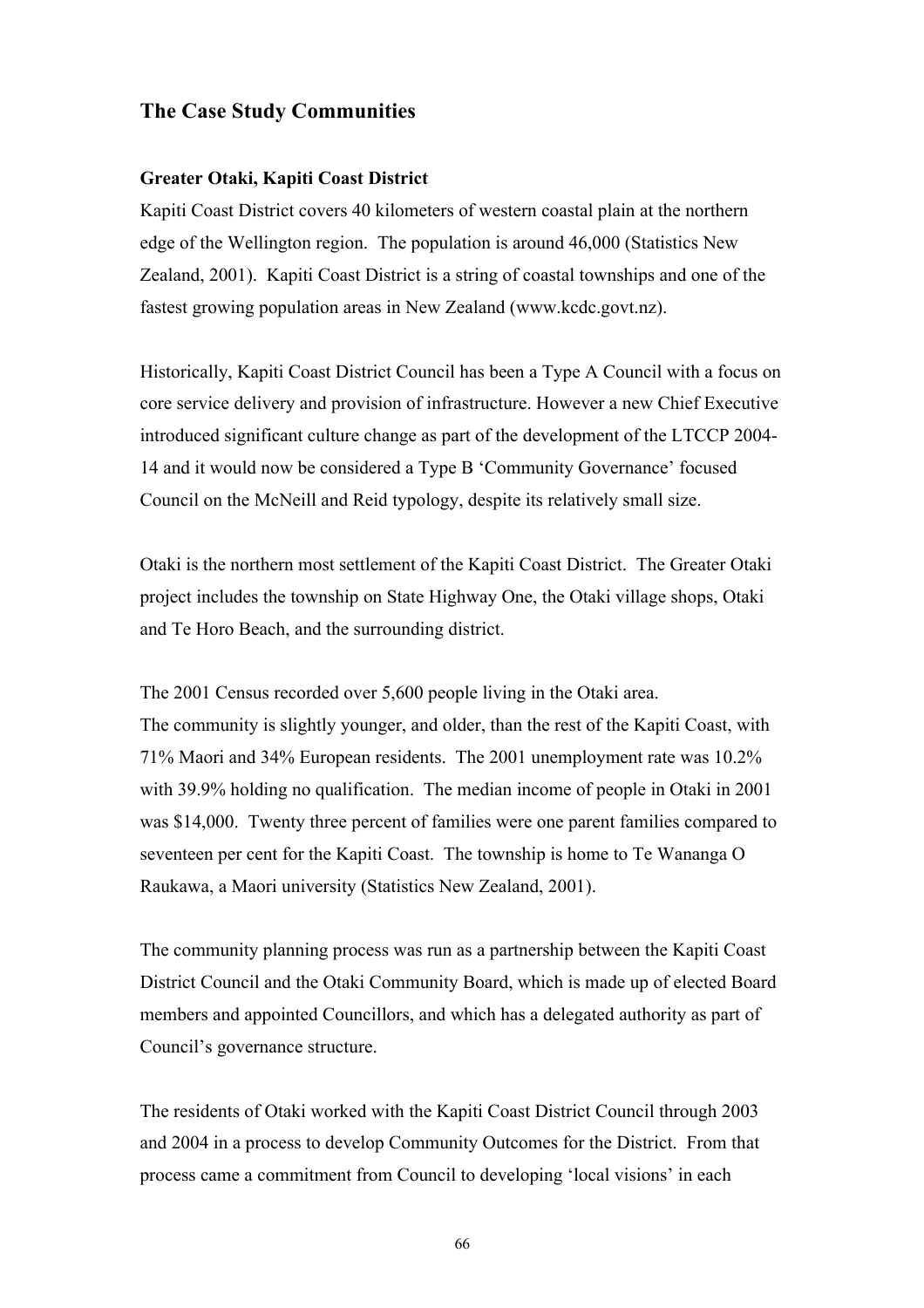## **The Case Study Communities**

### **Greater Otaki, Kapiti Coast District**

Kapiti Coast District covers 40 kilometers of western coastal plain at the northern edge of the Wellington region. The population is around 46,000 (Statistics New Zealand, 2001). Kapiti Coast District is a string of coastal townships and one of the fastest growing population areas in New Zealand (www.kcdc.govt.nz).

Historically, Kapiti Coast District Council has been a Type A Council with a focus on core service delivery and provision of infrastructure. However a new Chief Executive introduced significant culture change as part of the development of the LTCCP 2004- 14 and it would now be considered a Type B 'Community Governance' focused Council on the McNeill and Reid typology, despite its relatively small size.

Otaki is the northern most settlement of the Kapiti Coast District. The Greater Otaki project includes the township on State Highway One, the Otaki village shops, Otaki and Te Horo Beach, and the surrounding district.

The 2001 Census recorded over 5,600 people living in the Otaki area. The community is slightly younger, and older, than the rest of the Kapiti Coast, with 71% Maori and 34% European residents. The 2001 unemployment rate was 10.2% with 39.9% holding no qualification. The median income of people in Otaki in 2001 was \$14,000. Twenty three percent of families were one parent families compared to seventeen per cent for the Kapiti Coast. The township is home to Te Wananga O Raukawa, a Maori university (Statistics New Zealand, 2001).

The community planning process was run as a partnership between the Kapiti Coast District Council and the Otaki Community Board, which is made up of elected Board members and appointed Councillors, and which has a delegated authority as part of Council's governance structure.

The residents of Otaki worked with the Kapiti Coast District Council through 2003 and 2004 in a process to develop Community Outcomes for the District. From that process came a commitment from Council to developing 'local visions' in each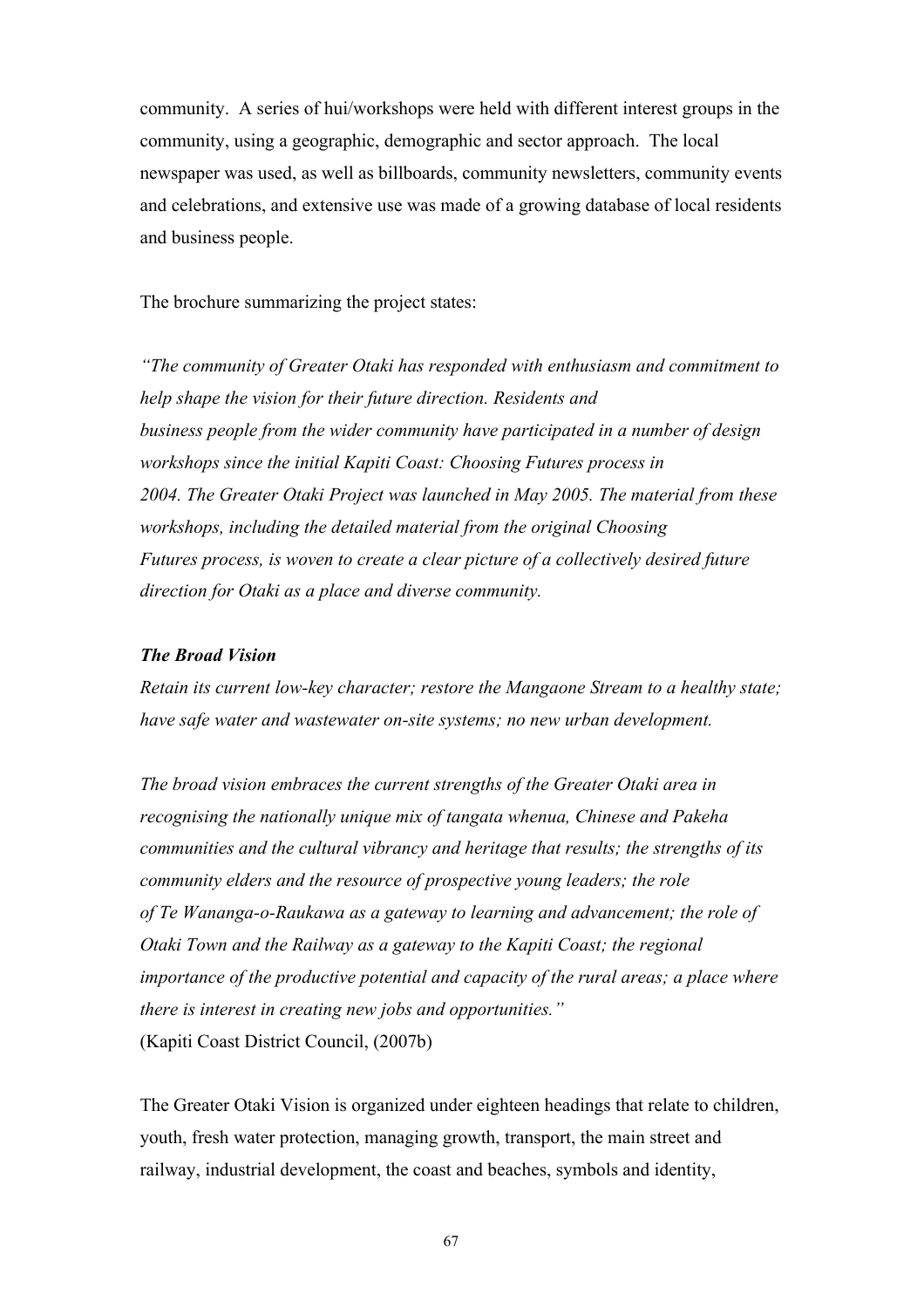community. A series of hui/workshops were held with different interest groups in the community, using a geographic, demographic and sector approach. The local newspaper was used, as well as billboards, community newsletters, community events and celebrations, and extensive use was made of a growing database of local residents and business people.

The brochure summarizing the project states:

*"The community of Greater Otaki has responded with enthusiasm and commitment to help shape the vision for their future direction. Residents and business people from the wider community have participated in a number of design workshops since the initial Kapiti Coast: Choosing Futures process in 2004. The Greater Otaki Project was launched in May 2005. The material from these workshops, including the detailed material from the original Choosing Futures process, is woven to create a clear picture of a collectively desired future direction for Otaki as a place and diverse community.*

### *The Broad Vision*

*Retain its current low-key character; restore the Mangaone Stream to a healthy state; have safe water and wastewater on-site systems; no new urban development.* 

*The broad vision embraces the current strengths of the Greater Otaki area in recognising the nationally unique mix of tangata whenua, Chinese and Pakeha communities and the cultural vibrancy and heritage that results; the strengths of its community elders and the resource of prospective young leaders; the role of Te Wananga-o-Raukawa as a gateway to learning and advancement; the role of Otaki Town and the Railway as a gateway to the Kapiti Coast; the regional importance of the productive potential and capacity of the rural areas; a place where there is interest in creating new jobs and opportunities."* (Kapiti Coast District Council, (2007b)

The Greater Otaki Vision is organized under eighteen headings that relate to children, youth, fresh water protection, managing growth, transport, the main street and railway, industrial development, the coast and beaches, symbols and identity,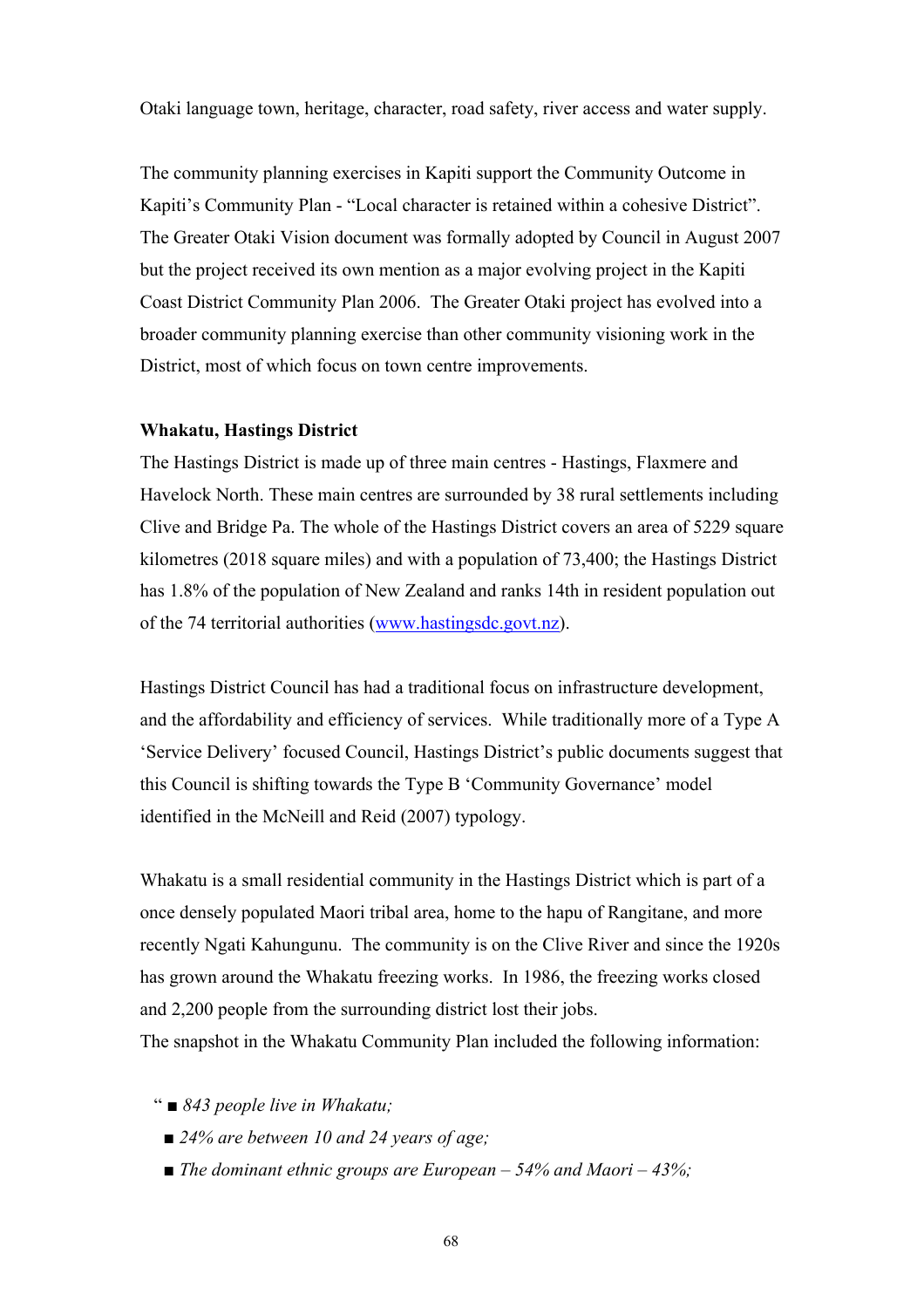Otaki language town, heritage, character, road safety, river access and water supply.

The community planning exercises in Kapiti support the Community Outcome in Kapiti's Community Plan - "Local character is retained within a cohesive District". The Greater Otaki Vision document was formally adopted by Council in August 2007 but the project received its own mention as a major evolving project in the Kapiti Coast District Community Plan 2006. The Greater Otaki project has evolved into a broader community planning exercise than other community visioning work in the District, most of which focus on town centre improvements.

### **Whakatu, Hastings District**

The Hastings District is made up of three main centres - Hastings, Flaxmere and Havelock North. These main centres are surrounded by 38 rural settlements including Clive and Bridge Pa. The whole of the Hastings District covers an area of 5229 square kilometres (2018 square miles) and with a population of 73,400; the Hastings District has 1.8% of the population of New Zealand and ranks 14th in resident population out of the 74 territorial authorities (www.hastingsdc.govt.nz).

Hastings District Council has had a traditional focus on infrastructure development, and the affordability and efficiency of services. While traditionally more of a Type A 'Service Delivery' focused Council, Hastings District's public documents suggest that this Council is shifting towards the Type B 'Community Governance' model identified in the McNeill and Reid (2007) typology.

Whakatu is a small residential community in the Hastings District which is part of a once densely populated Maori tribal area, home to the hapu of Rangitane, and more recently Ngati Kahungunu. The community is on the Clive River and since the 1920s has grown around the Whakatu freezing works. In 1986, the freezing works closed and 2,200 people from the surrounding district lost their jobs.

The snapshot in the Whakatu Community Plan included the following information:

- " *843 people live in Whakatu;*
	- 24% are between 10 and 24 years of age;
	- *The dominant ethnic groups are European 54% and Maori 43%;*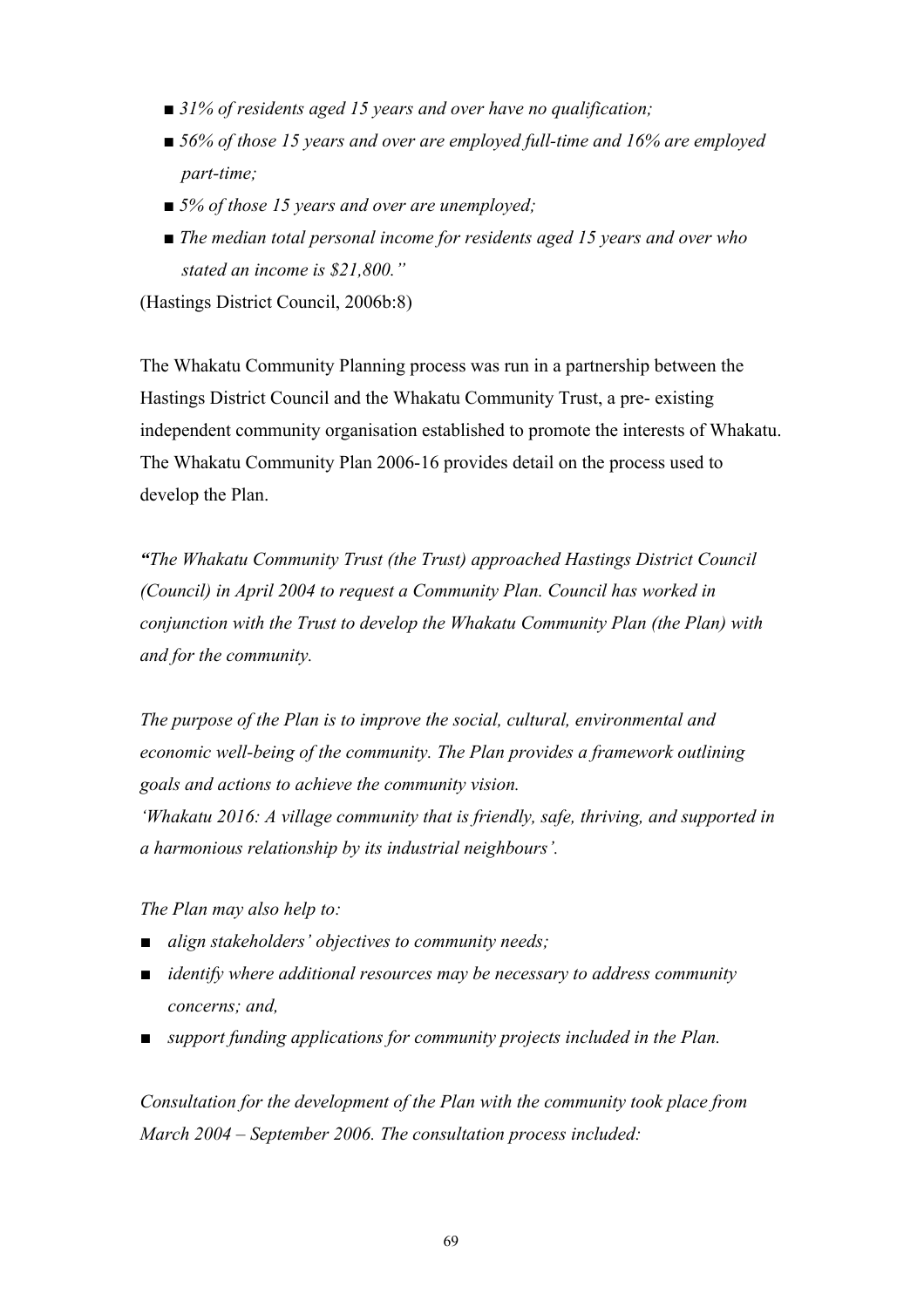- 31% of residents aged 15 years and over have no qualification;
- 56% of those 15 years and over are employed full-time and 16% are employed *part-time;*
- 5% of those 15 years and over are unemployed;
- *The median total personal income for residents aged 15 years and over who stated an income is \$21,800."*

(Hastings District Council, 2006b:8)

The Whakatu Community Planning process was run in a partnership between the Hastings District Council and the Whakatu Community Trust, a pre- existing independent community organisation established to promote the interests of Whakatu. The Whakatu Community Plan 2006-16 provides detail on the process used to develop the Plan.

*"The Whakatu Community Trust (the Trust) approached Hastings District Council (Council) in April 2004 to request a Community Plan. Council has worked in conjunction with the Trust to develop the Whakatu Community Plan (the Plan) with and for the community.*

*The purpose of the Plan is to improve the social, cultural, environmental and economic well-being of the community. The Plan provides a framework outlining goals and actions to achieve the community vision.* 

*'Whakatu 2016: A village community that is friendly, safe, thriving, and supported in a harmonious relationship by its industrial neighbours'.*

*The Plan may also help to:*

- *■ align stakeholders' objectives to community needs;*
- *■ identify where additional resources may be necessary to address community concerns; and,*
- *■ support funding applications for community projects included in the Plan.*

*Consultation for the development of the Plan with the community took place from March 2004 – September 2006. The consultation process included:*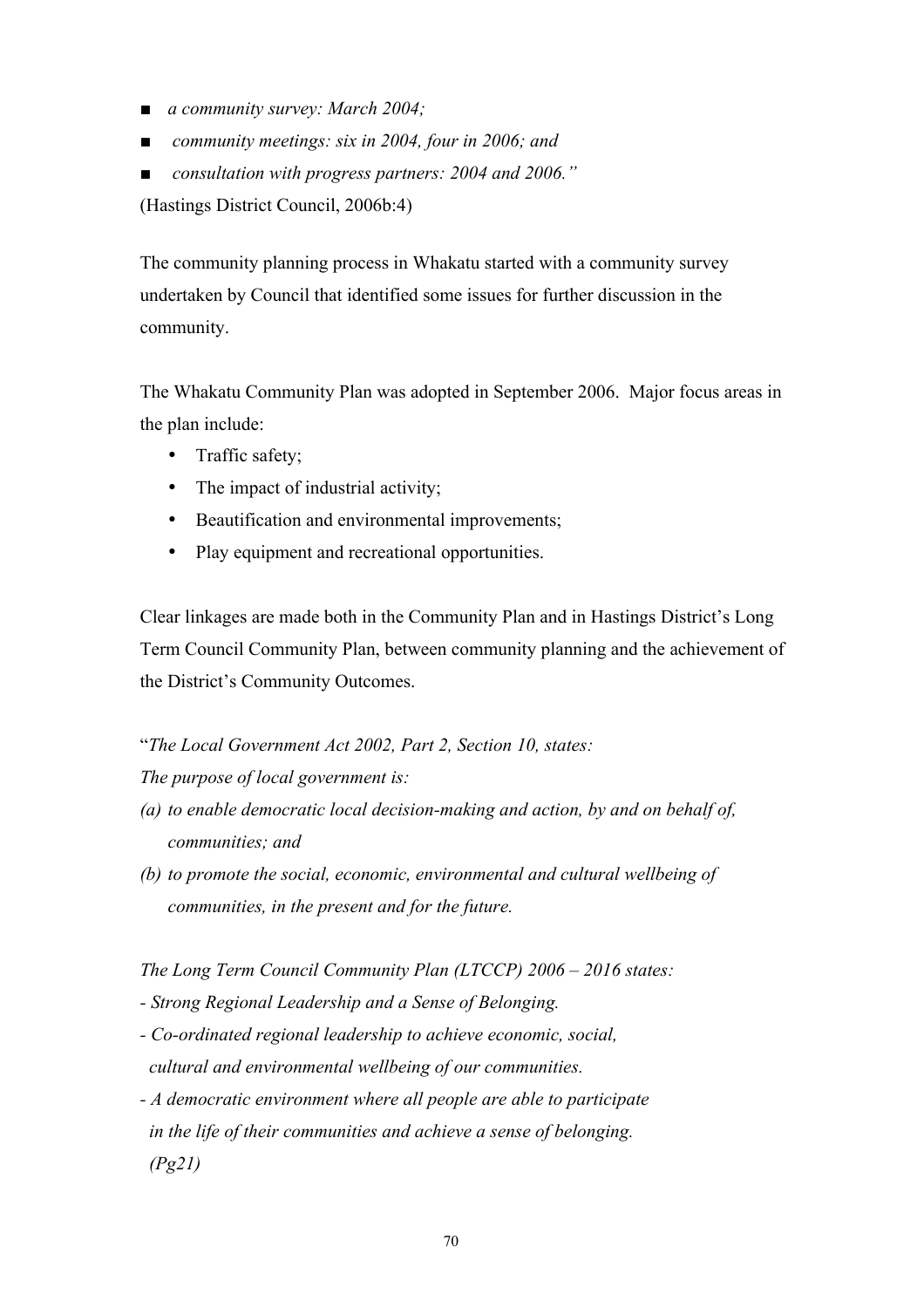- *■ a community survey: March 2004;*
- *■ community meetings: six in 2004, four in 2006; and*
- *■ consultation with progress partners: 2004 and 2006."*

(Hastings District Council, 2006b:4)

The community planning process in Whakatu started with a community survey undertaken by Council that identified some issues for further discussion in the community.

The Whakatu Community Plan was adopted in September 2006. Major focus areas in the plan include:

- Traffic safety;
- The impact of industrial activity:
- Beautification and environmental improvements;
- Play equipment and recreational opportunities.

Clear linkages are made both in the Community Plan and in Hastings District's Long Term Council Community Plan, between community planning and the achievement of the District's Community Outcomes.

"*The Local Government Act 2002, Part 2, Section 10, states:*

*The purpose of local government is:*

- *(a) to enable democratic local decision-making and action, by and on behalf of, communities; and*
- *(b) to promote the social, economic, environmental and cultural wellbeing of communities, in the present and for the future.*

*The Long Term Council Community Plan (LTCCP) 2006 – 2016 states:*

- *- Strong Regional Leadership and a Sense of Belonging.*
- *- Co-ordinated regional leadership to achieve economic, social, cultural and environmental wellbeing of our communities.*
- *- A democratic environment where all people are able to participate in the life of their communities and achieve a sense of belonging. (Pg21)*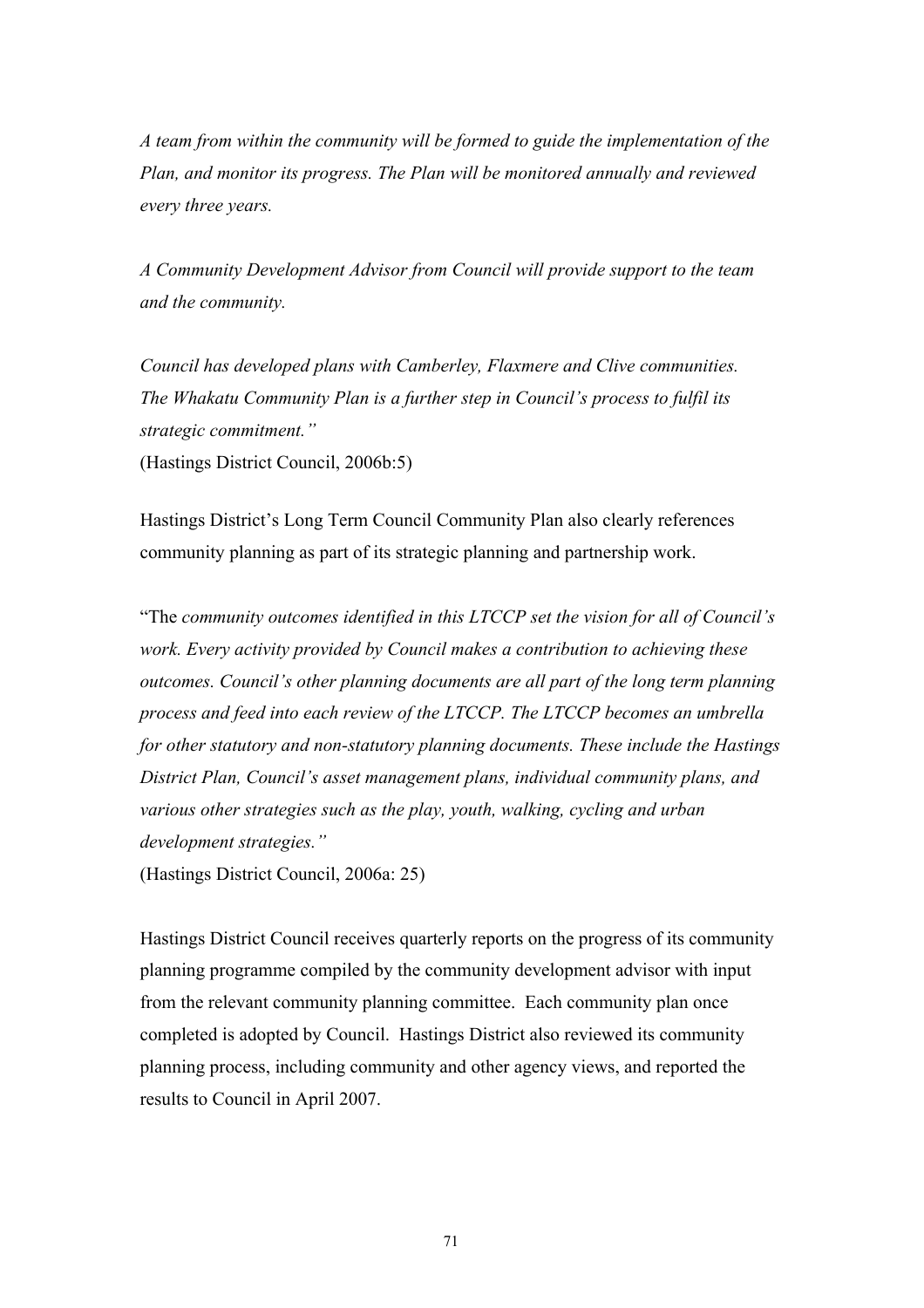*A team from within the community will be formed to guide the implementation of the Plan, and monitor its progress. The Plan will be monitored annually and reviewed every three years.*

*A Community Development Advisor from Council will provide support to the team and the community.*

*Council has developed plans with Camberley, Flaxmere and Clive communities. The Whakatu Community Plan is a further step in Council's process to fulfil its strategic commitment."*

(Hastings District Council, 2006b:5)

Hastings District's Long Term Council Community Plan also clearly references community planning as part of its strategic planning and partnership work.

"The *community outcomes identified in this LTCCP set the vision for all of Council's work. Every activity provided by Council makes a contribution to achieving these outcomes. Council's other planning documents are all part of the long term planning process and feed into each review of the LTCCP. The LTCCP becomes an umbrella for other statutory and non-statutory planning documents. These include the Hastings District Plan, Council's asset management plans, individual community plans, and various other strategies such as the play, youth, walking, cycling and urban development strategies."*

(Hastings District Council, 2006a: 25)

Hastings District Council receives quarterly reports on the progress of its community planning programme compiled by the community development advisor with input from the relevant community planning committee. Each community plan once completed is adopted by Council. Hastings District also reviewed its community planning process, including community and other agency views, and reported the results to Council in April 2007.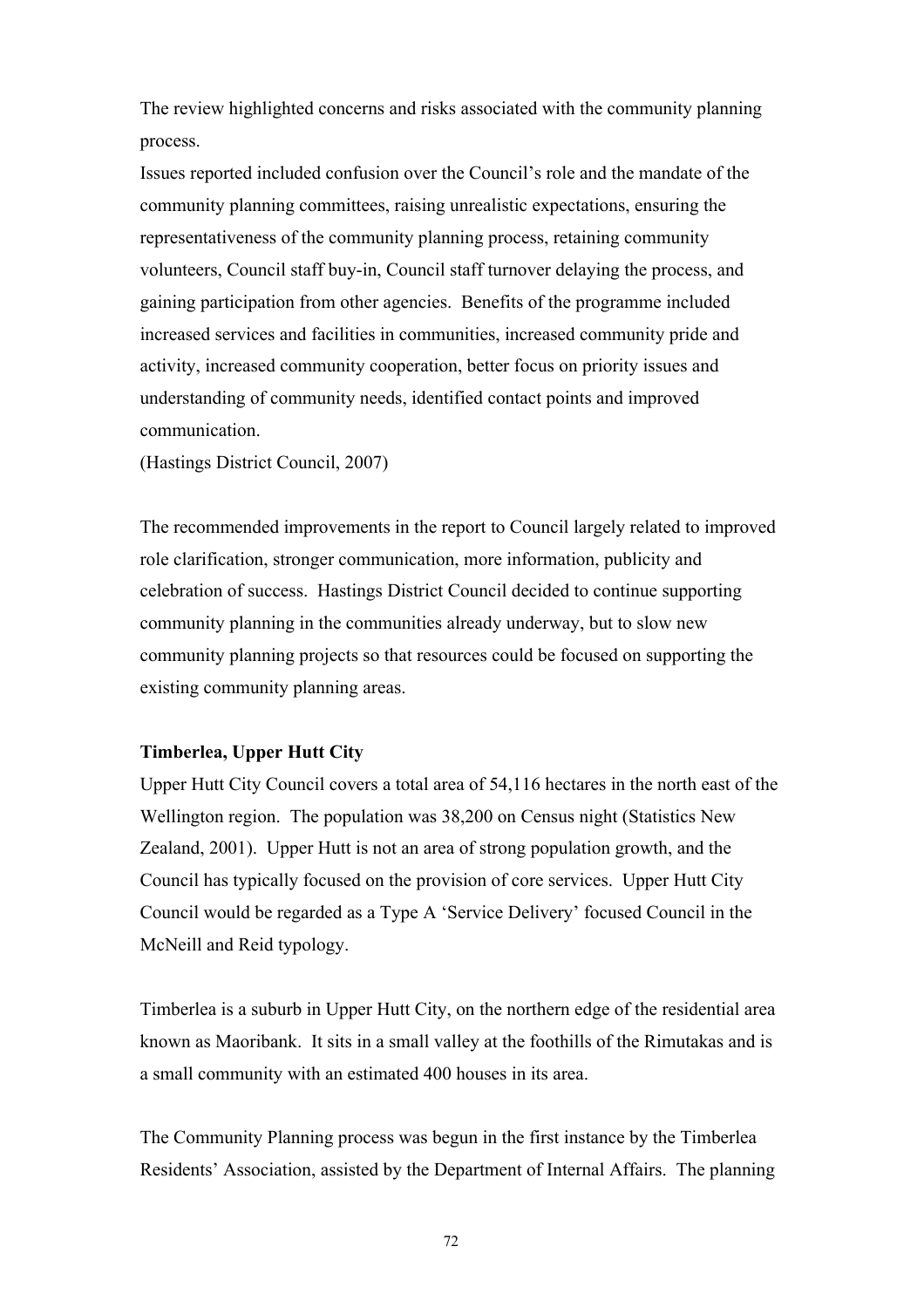The review highlighted concerns and risks associated with the community planning process.

Issues reported included confusion over the Council's role and the mandate of the community planning committees, raising unrealistic expectations, ensuring the representativeness of the community planning process, retaining community volunteers, Council staff buy-in, Council staff turnover delaying the process, and gaining participation from other agencies. Benefits of the programme included increased services and facilities in communities, increased community pride and activity, increased community cooperation, better focus on priority issues and understanding of community needs, identified contact points and improved communication.

(Hastings District Council, 2007)

The recommended improvements in the report to Council largely related to improved role clarification, stronger communication, more information, publicity and celebration of success. Hastings District Council decided to continue supporting community planning in the communities already underway, but to slow new community planning projects so that resources could be focused on supporting the existing community planning areas.

## **Timberlea, Upper Hutt City**

Upper Hutt City Council covers a total area of 54,116 hectares in the north east of the Wellington region. The population was 38,200 on Census night (Statistics New Zealand, 2001). Upper Hutt is not an area of strong population growth, and the Council has typically focused on the provision of core services. Upper Hutt City Council would be regarded as a Type A 'Service Delivery' focused Council in the McNeill and Reid typology.

Timberlea is a suburb in Upper Hutt City, on the northern edge of the residential area known as Maoribank. It sits in a small valley at the foothills of the Rimutakas and is a small community with an estimated 400 houses in its area.

The Community Planning process was begun in the first instance by the Timberlea Residents' Association, assisted by the Department of Internal Affairs. The planning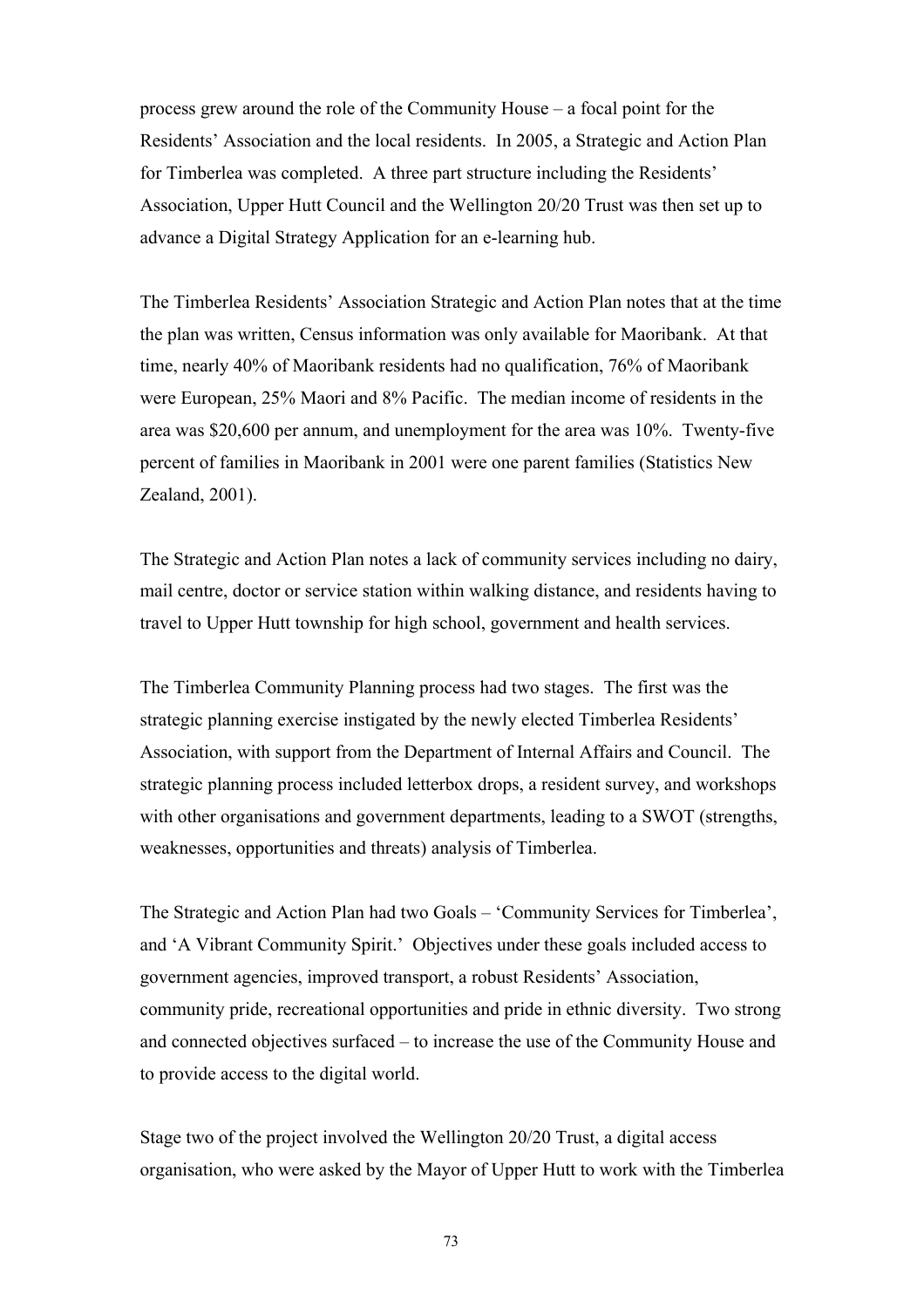process grew around the role of the Community House – a focal point for the Residents' Association and the local residents. In 2005, a Strategic and Action Plan for Timberlea was completed. A three part structure including the Residents' Association, Upper Hutt Council and the Wellington 20/20 Trust was then set up to advance a Digital Strategy Application for an e-learning hub.

The Timberlea Residents' Association Strategic and Action Plan notes that at the time the plan was written, Census information was only available for Maoribank. At that time, nearly 40% of Maoribank residents had no qualification, 76% of Maoribank were European, 25% Maori and 8% Pacific. The median income of residents in the area was \$20,600 per annum, and unemployment for the area was 10%. Twenty-five percent of families in Maoribank in 2001 were one parent families (Statistics New Zealand, 2001).

The Strategic and Action Plan notes a lack of community services including no dairy, mail centre, doctor or service station within walking distance, and residents having to travel to Upper Hutt township for high school, government and health services.

The Timberlea Community Planning process had two stages. The first was the strategic planning exercise instigated by the newly elected Timberlea Residents' Association, with support from the Department of Internal Affairs and Council. The strategic planning process included letterbox drops, a resident survey, and workshops with other organisations and government departments, leading to a SWOT (strengths, weaknesses, opportunities and threats) analysis of Timberlea.

The Strategic and Action Plan had two Goals – 'Community Services for Timberlea', and 'A Vibrant Community Spirit.' Objectives under these goals included access to government agencies, improved transport, a robust Residents' Association, community pride, recreational opportunities and pride in ethnic diversity. Two strong and connected objectives surfaced – to increase the use of the Community House and to provide access to the digital world.

Stage two of the project involved the Wellington 20/20 Trust, a digital access organisation, who were asked by the Mayor of Upper Hutt to work with the Timberlea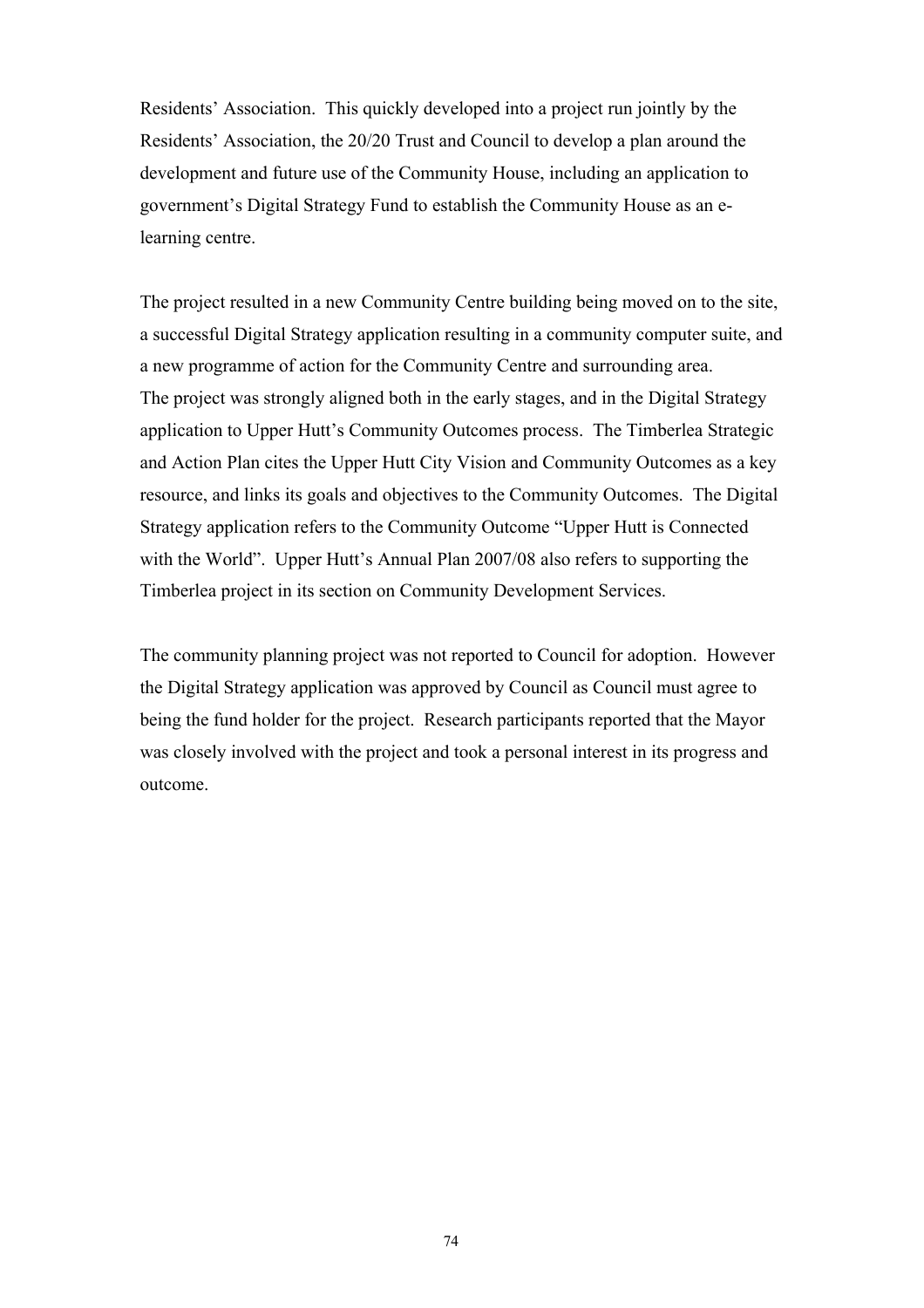Residents' Association. This quickly developed into a project run jointly by the Residents' Association, the 20/20 Trust and Council to develop a plan around the development and future use of the Community House, including an application to government's Digital Strategy Fund to establish the Community House as an elearning centre.

The project resulted in a new Community Centre building being moved on to the site, a successful Digital Strategy application resulting in a community computer suite, and a new programme of action for the Community Centre and surrounding area. The project was strongly aligned both in the early stages, and in the Digital Strategy application to Upper Hutt's Community Outcomes process. The Timberlea Strategic and Action Plan cites the Upper Hutt City Vision and Community Outcomes as a key resource, and links its goals and objectives to the Community Outcomes. The Digital Strategy application refers to the Community Outcome "Upper Hutt is Connected with the World". Upper Hutt's Annual Plan 2007/08 also refers to supporting the Timberlea project in its section on Community Development Services.

The community planning project was not reported to Council for adoption. However the Digital Strategy application was approved by Council as Council must agree to being the fund holder for the project. Research participants reported that the Mayor was closely involved with the project and took a personal interest in its progress and outcome.